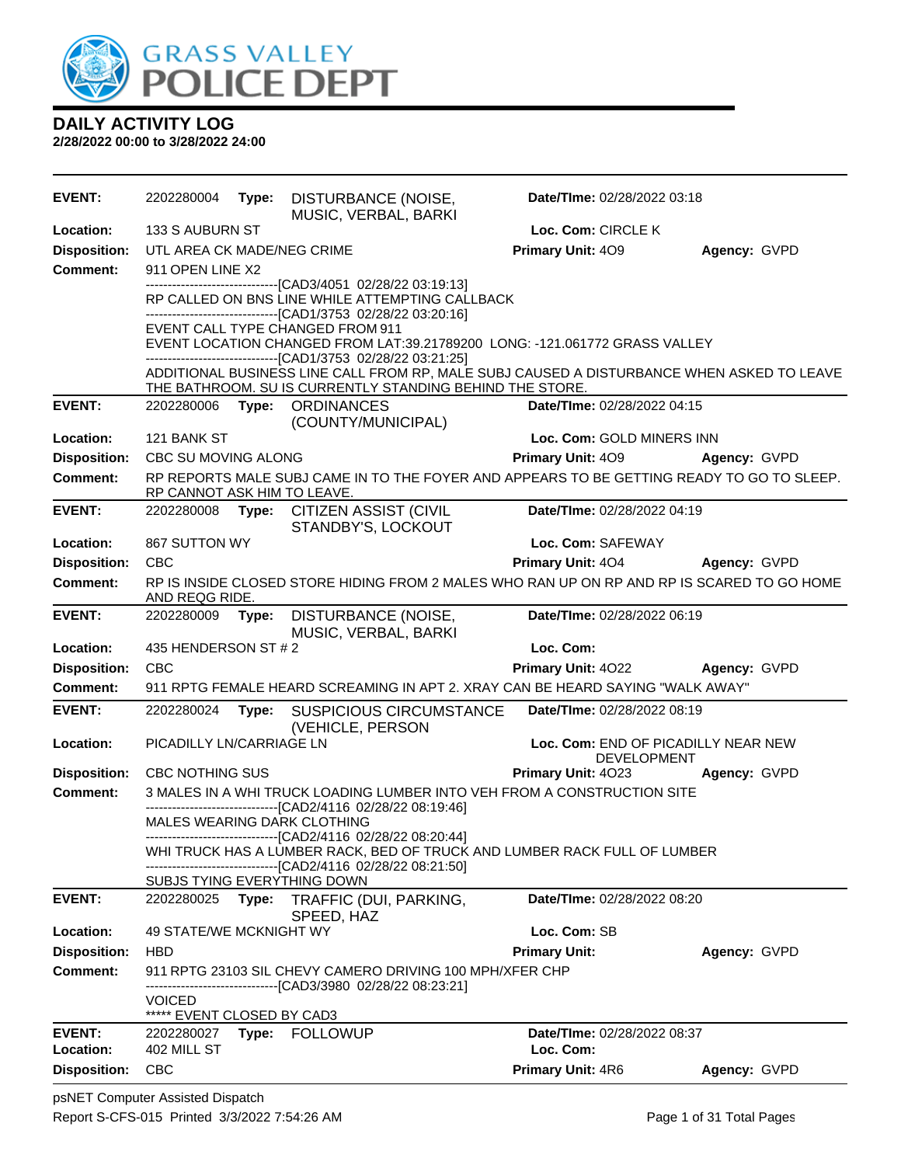

**DAILY ACTIVITY LOG 2/28/2022 00:00 to 3/28/2022 24:00**

**EVENT:** 2202280004 **Type:** DISTURBANCE (NOISE, MUSIC, VERBAL, BARKI **Date/TIme:** 02/28/2022 03:18 **Location:** 133 S AUBURN ST **Loc. Com:** CIRCLE K **Disposition:** UTL AREA CK MADE/NEG CRIME **Primary Unit:** 4O9 **Agency:** GVPD **Comment:** 911 OPEN LINE X2 ------------------------------[CAD3/4051 02/28/22 03:19:13] RP CALLED ON BNS LINE WHILE ATTEMPTING CALLBACK ------------------------------[CAD1/3753 02/28/22 03:20:16] EVENT CALL TYPE CHANGED FROM 911 EVENT LOCATION CHANGED FROM LAT: 39.21789200 LONG: -121.061772 GRASS VALLEY ------------------------------[CAD1/3753 02/28/22 03:21:25] ADDITIONAL BUSINESS LINE CALL FROM RP, MALE SUBJ CAUSED A DISTURBANCE WHEN ASKED TO LEAVE THE BATHROOM. SU IS CURRENTLY STANDING BEHIND THE STORE. **EVENT:** 2202280006 **Type:** ORDINANCES (COUNTY/MUNICIPAL) **Date/TIme:** 02/28/2022 04:15 **Location:** 121 BANK ST **Loc. Com:** GOLD MINERS INN **Disposition:** CBC SU MOVING ALONG **Primary Unit:** 4O9 **Agency:** GVPD **Comment:** RP REPORTS MALE SUBJ CAME IN TO THE FOYER AND APPEARS TO BE GETTING READY TO GO TO SLEEP. RP CANNOT ASK HIM TO LEAVE. **EVENT:** 2202280008 **Type:** CITIZEN ASSIST (CIVIL STANDBY'S, LOCKOUT **Date/TIme:** 02/28/2022 04:19 **Location:** 867 SUTTON WY **Loc. Com:** SAFEWAY **Disposition:** CBC **Primary Unit:** 4O4 **Agency:** GVPD **Comment:** RP IS INSIDE CLOSED STORE HIDING FROM 2 MALES WHO RAN UP ON RP AND RP IS SCARED TO GO HOME AND REQG RIDE. **EVENT:** 2202280009 **Type:** DISTURBANCE (NOISE, MUSIC, VERBAL, BARKI **Date/TIme:** 02/28/2022 06:19 **Location:** 435 HENDERSON ST # 2 **Loc. Com: Loc. Com: Disposition:** CBC **Primary Unit:** 4O22 **Agency:** GVPD **Comment:** 911 RPTG FEMALE HEARD SCREAMING IN APT 2. XRAY CAN BE HEARD SAYING "WALK AWAY" **EVENT:** 2202280024 **Type:** SUSPICIOUS CIRCUMSTANCE (VEHICLE, PERSON)<br>PICADILLY LN/CARRIAGE LN **Date/TIme:** 02/28/2022 08:19 **Location:** PICADILLY LN/CARRIAGE LN **Loc. Com:** END OF PICADILLY NEAR NEW DEVELOPMENT **Disposition:** CBC NOTHING SUS **Primary Unit:** 4O23 **Agency:** GVPD **Comment:** 3 MALES IN A WHI TRUCK LOADING LUMBER INTO VEH FROM A CONSTRUCTION SITE ------------------------------[CAD2/4116 02/28/22 08:19:46] MALES WEARING DARK CLOTHING ------------------------------[CAD2/4116 02/28/22 08:20:44] WHI TRUCK HAS A LUMBER RACK, BED OF TRUCK AND LUMBER RACK FULL OF LUMBER ------------------------------[CAD2/4116 02/28/22 08:21:50] SUBJS TYING EVERYTHING DOWN **EVENT:** 2202280025 **Type:** TRAFFIC (DUI, PARKING, SPEED, HAZ **Date/TIme:** 02/28/2022 08:20 **Location:** 49 STATE/WE MCKNIGHT WY **Loc. Com:** SB **Disposition:** HBD **Primary Unit: Agency:** GVPD **Comment:** 911 RPTG 23103 SIL CHEVY CAMERO DRIVING 100 MPH/XFER CHP ------------------------------[CAD3/3980 02/28/22 08:23:21] VOICED \*\*\*\*\* EVENT CLOSED BY CAD3 **EVENT:** 2202280027 **Type:** FOLLOWUP **Date/TIme:** 02/28/2022 08:37 **Location:** 402 MILL ST **Loc. Com: Disposition:** CBC **Primary Unit:** 4R6 **Agency:** GVPD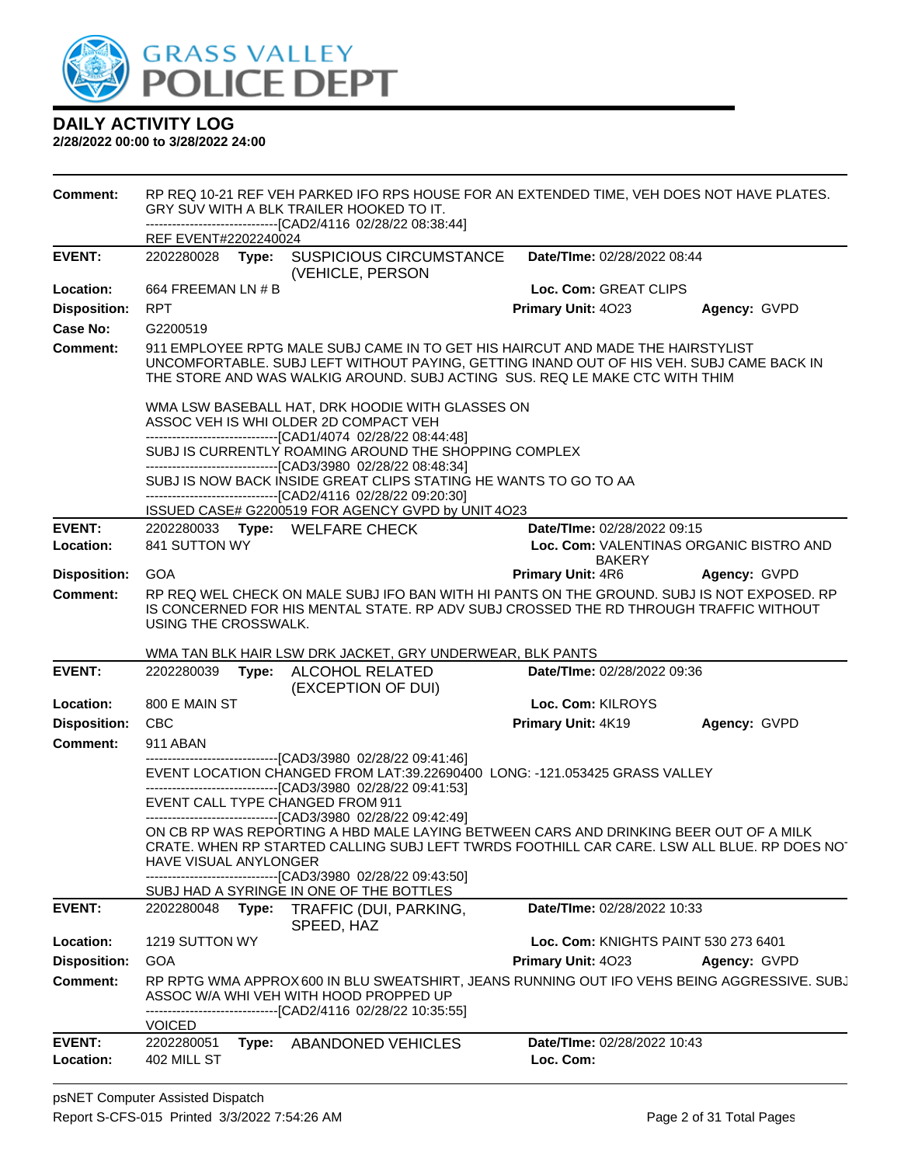

| <b>Comment:</b>     |                       |       | RP REQ 10-21 REF VEH PARKED IFO RPS HOUSE FOR AN EXTENDED TIME, VEH DOES NOT HAVE PLATES.<br>GRY SUV WITH A BLK TRAILER HOOKED TO IT.<br>--------------------------[CAD2/4116_02/28/22_08:38:44]                                                                                                                                                                                                                           |                                      |                                         |
|---------------------|-----------------------|-------|----------------------------------------------------------------------------------------------------------------------------------------------------------------------------------------------------------------------------------------------------------------------------------------------------------------------------------------------------------------------------------------------------------------------------|--------------------------------------|-----------------------------------------|
|                     | REF EVENT#2202240024  |       |                                                                                                                                                                                                                                                                                                                                                                                                                            |                                      |                                         |
| <b>EVENT:</b>       | 2202280028            | Type: | <b>SUSPICIOUS CIRCUMSTANCE</b><br>(VEHICLE, PERSON                                                                                                                                                                                                                                                                                                                                                                         | Date/TIme: 02/28/2022 08:44          |                                         |
| Location:           | 664 FREEMAN LN # B    |       |                                                                                                                                                                                                                                                                                                                                                                                                                            | Loc. Com: GREAT CLIPS                |                                         |
| <b>Disposition:</b> | <b>RPT</b>            |       |                                                                                                                                                                                                                                                                                                                                                                                                                            | Primary Unit: 4023                   | Agency: GVPD                            |
| Case No:            | G2200519              |       |                                                                                                                                                                                                                                                                                                                                                                                                                            |                                      |                                         |
| <b>Comment:</b>     |                       |       | 911 EMPLOYEE RPTG MALE SUBJ CAME IN TO GET HIS HAIRCUT AND MADE THE HAIRSTYLIST<br>UNCOMFORTABLE. SUBJ LEFT WITHOUT PAYING, GETTING INAND OUT OF HIS VEH. SUBJ CAME BACK IN<br>THE STORE AND WAS WALKIG AROUND. SUBJ ACTING SUS, REQ LE MAKE CTC WITH THIM                                                                                                                                                                 |                                      |                                         |
|                     |                       |       | WMA LSW BASEBALL HAT, DRK HOODIE WITH GLASSES ON<br>ASSOC VEH IS WHI OLDER 2D COMPACT VEH<br>-------------------------------[CAD1/4074 02/28/22 08:44:48]<br>SUBJ IS CURRENTLY ROAMING AROUND THE SHOPPING COMPLEX<br>--------------------------------[CAD3/3980 02/28/22 08:48:34]<br>SUBJ IS NOW BACK INSIDE GREAT CLIPS STATING HE WANTS TO GO TO AA<br>----------------------------------[CAD2/4116 02/28/22 09:20:30] |                                      |                                         |
|                     |                       |       | ISSUED CASE# G2200519 FOR AGENCY GVPD by UNIT 4O23                                                                                                                                                                                                                                                                                                                                                                         |                                      |                                         |
| <b>EVENT:</b>       |                       |       | 2202280033 Type: WELFARE CHECK                                                                                                                                                                                                                                                                                                                                                                                             | Date/TIme: 02/28/2022 09:15          |                                         |
| Location:           | 841 SUTTON WY         |       |                                                                                                                                                                                                                                                                                                                                                                                                                            |                                      | Loc. Com: VALENTINAS ORGANIC BISTRO AND |
| <b>Disposition:</b> | <b>GOA</b>            |       |                                                                                                                                                                                                                                                                                                                                                                                                                            | <b>BAKERY</b><br>Primary Unit: 4R6   | Agency: GVPD                            |
| <b>Comment:</b>     |                       |       | RP REQ WEL CHECK ON MALE SUBJ IFO BAN WITH HI PANTS ON THE GROUND. SUBJ IS NOT EXPOSED. RP                                                                                                                                                                                                                                                                                                                                 |                                      |                                         |
|                     | USING THE CROSSWALK.  |       | IS CONCERNED FOR HIS MENTAL STATE. RP ADV SUBJ CROSSED THE RD THROUGH TRAFFIC WITHOUT                                                                                                                                                                                                                                                                                                                                      |                                      |                                         |
|                     |                       |       | WMA TAN BLK HAIR LSW DRK JACKET, GRY UNDERWEAR, BLK PANTS                                                                                                                                                                                                                                                                                                                                                                  |                                      |                                         |
| <b>EVENT:</b>       | 2202280039            |       | Type: ALCOHOL RELATED<br>(EXCEPTION OF DUI)                                                                                                                                                                                                                                                                                                                                                                                | Date/TIme: 02/28/2022 09:36          |                                         |
| Location:           | 800 E MAIN ST         |       |                                                                                                                                                                                                                                                                                                                                                                                                                            | Loc. Com: KILROYS                    |                                         |
| <b>Disposition:</b> | <b>CBC</b>            |       |                                                                                                                                                                                                                                                                                                                                                                                                                            | Primary Unit: 4K19                   | Agency: GVPD                            |
| <b>Comment:</b>     | 911 ABAN              |       |                                                                                                                                                                                                                                                                                                                                                                                                                            |                                      |                                         |
|                     |                       |       | ----------------------------------[CAD3/3980 02/28/22 09:41:46]<br>EVENT LOCATION CHANGED FROM LAT:39.22690400 LONG: -121.053425 GRASS VALLEY<br>------------------------[CAD3/3980_02/28/22_09:41:53]                                                                                                                                                                                                                     |                                      |                                         |
|                     |                       |       | EVENT CALL TYPE CHANGED FROM 911                                                                                                                                                                                                                                                                                                                                                                                           |                                      |                                         |
|                     | HAVE VISUAL ANYLONGER |       | ----------------------------------[CAD3/3980 02/28/22 09:42:49]<br>ON CB RP WAS REPORTING A HBD MALE LAYING BETWEEN CARS AND DRINKING BEER OUT OF A MILK<br>CRATE. WHEN RP STARTED CALLING SUBJ LEFT TWRDS FOOTHILL CAR CARE. LSW ALL BLUE. RP DOES NOT                                                                                                                                                                    |                                      |                                         |
|                     |                       |       | ------------------------[CAD3/3980 02/28/22 09:43:50]<br>SUBJ HAD A SYRINGE IN ONE OF THE BOTTLES                                                                                                                                                                                                                                                                                                                          |                                      |                                         |
| <b>EVENT:</b>       | 2202280048            | Type: | TRAFFIC (DUI, PARKING,<br>SPEED, HAZ                                                                                                                                                                                                                                                                                                                                                                                       | Date/TIme: 02/28/2022 10:33          |                                         |
| Location:           | 1219 SUTTON WY        |       |                                                                                                                                                                                                                                                                                                                                                                                                                            | Loc. Com: KNIGHTS PAINT 530 273 6401 |                                         |
| <b>Disposition:</b> | <b>GOA</b>            |       |                                                                                                                                                                                                                                                                                                                                                                                                                            | Primary Unit: 4023                   | Agency: GVPD                            |
| <b>Comment:</b>     | <b>VOICED</b>         |       | RP RPTG WMA APPROX 600 IN BLU SWEATSHIRT, JEANS RUNNING OUT IFO VEHS BEING AGGRESSIVE. SUBJ<br>ASSOC W/A WHI VEH WITH HOOD PROPPED UP<br>------------------------[CAD2/4116_02/28/22_10:35:55]                                                                                                                                                                                                                             |                                      |                                         |
| <b>EVENT:</b>       |                       |       |                                                                                                                                                                                                                                                                                                                                                                                                                            |                                      |                                         |
|                     | 2202280051            | Type: | ABANDONED VEHICLES                                                                                                                                                                                                                                                                                                                                                                                                         | Date/TIme: 02/28/2022 10:43          |                                         |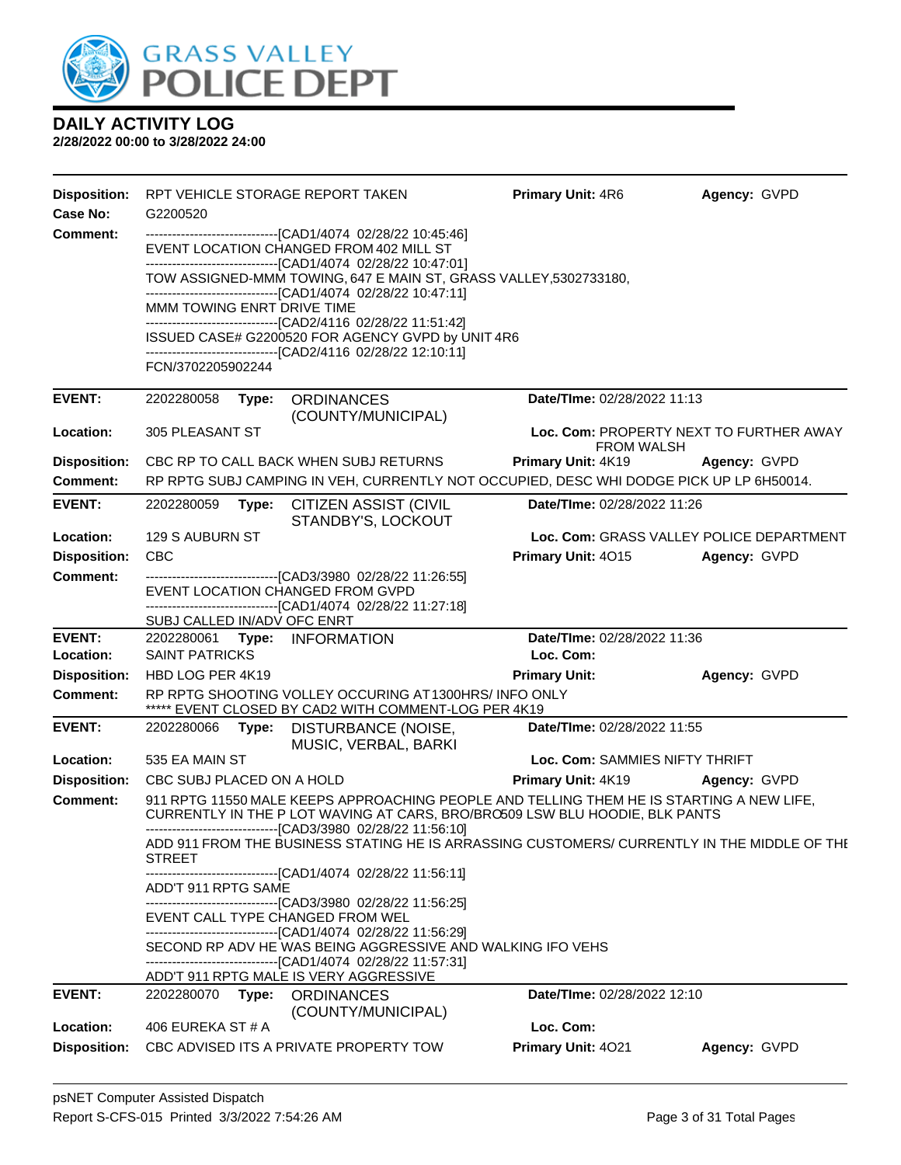

| <b>Disposition:</b><br>Case No: | G2200520                    | RPT VEHICLE STORAGE REPORT TAKEN                                                                                                                                                                                                        | <b>Primary Unit: 4R6</b>                 | Agency: GVPD                             |
|---------------------------------|-----------------------------|-----------------------------------------------------------------------------------------------------------------------------------------------------------------------------------------------------------------------------------------|------------------------------------------|------------------------------------------|
| <b>Comment:</b>                 |                             | -------------------------------[CAD1/4074 02/28/22 10:45:46]<br>EVENT LOCATION CHANGED FROM 402 MILL ST<br>-------------------------------[CAD1/4074 02/28/22 10:47:01]                                                                 |                                          |                                          |
|                                 |                             | TOW ASSIGNED-MMM TOWING, 647 E MAIN ST, GRASS VALLEY, 5302733180,                                                                                                                                                                       |                                          |                                          |
|                                 | MMM TOWING ENRT DRIVE TIME  | ------------------------------[CAD1/4074_02/28/22 10:47:11]<br>------------------------------[CAD2/4116 02/28/22 11:51:42]                                                                                                              |                                          |                                          |
|                                 |                             | ISSUED CASE# G2200520 FOR AGENCY GVPD by UNIT 4R6                                                                                                                                                                                       |                                          |                                          |
|                                 | FCN/3702205902244           | -------------------------------[CAD2/4116 02/28/22 12:10:11]                                                                                                                                                                            |                                          |                                          |
| <b>EVENT:</b>                   | 2202280058<br>Type:         | <b>ORDINANCES</b><br>(COUNTY/MUNICIPAL)                                                                                                                                                                                                 | Date/TIme: 02/28/2022 11:13              |                                          |
| Location:                       | 305 PLEASANT ST             |                                                                                                                                                                                                                                         | <b>FROM WALSH</b>                        | Loc. Com: PROPERTY NEXT TO FURTHER AWAY  |
| <b>Disposition:</b>             |                             | CBC RP TO CALL BACK WHEN SUBJ RETURNS                                                                                                                                                                                                   | <b>Primary Unit: 4K19</b>                | Agency: GVPD                             |
| Comment:                        |                             | RP RPTG SUBJ CAMPING IN VEH, CURRENTLY NOT OCCUPIED, DESC WHI DODGE PICK UP LP 6H50014.                                                                                                                                                 |                                          |                                          |
| <b>EVENT:</b>                   | 2202280059<br>Type:         | <b>CITIZEN ASSIST (CIVIL</b><br>STANDBY'S, LOCKOUT                                                                                                                                                                                      | Date/TIme: 02/28/2022 11:26              |                                          |
| Location:                       | 129 S AUBURN ST             |                                                                                                                                                                                                                                         |                                          | Loc. Com: GRASS VALLEY POLICE DEPARTMENT |
| <b>Disposition:</b>             | <b>CBC</b>                  |                                                                                                                                                                                                                                         | <b>Primary Unit: 4015</b>                | Agency: GVPD                             |
| <b>Comment:</b>                 |                             | -------------------------------[CAD3/3980 02/28/22 11:26:55]<br>EVENT LOCATION CHANGED FROM GVPD<br>------------------------------[CAD1/4074_02/28/22 11:27:18]                                                                         |                                          |                                          |
|                                 | SUBJ CALLED IN/ADV OFC ENRT |                                                                                                                                                                                                                                         |                                          |                                          |
| <b>EVENT:</b><br>Location:      | <b>SAINT PATRICKS</b>       | 2202280061 Type: INFORMATION                                                                                                                                                                                                            | Date/TIme: 02/28/2022 11:36<br>Loc. Com: |                                          |
| <b>Disposition:</b>             | HBD LOG PER 4K19            |                                                                                                                                                                                                                                         | <b>Primary Unit:</b>                     | Agency: GVPD                             |
| <b>Comment:</b>                 |                             | RP RPTG SHOOTING VOLLEY OCCURING AT 1300HRS/ INFO ONLY<br>***** EVENT CLOSED BY CAD2 WITH COMMENT-LOG PER 4K19                                                                                                                          |                                          |                                          |
| <b>EVENT:</b>                   | 2202280066                  | Type: DISTURBANCE (NOISE,<br>MUSIC, VERBAL, BARKI                                                                                                                                                                                       | Date/TIme: 02/28/2022 11:55              |                                          |
| Location:                       | 535 EA MAIN ST              |                                                                                                                                                                                                                                         | Loc. Com: SAMMIES NIFTY THRIFT           |                                          |
| <b>Disposition:</b>             | CBC SUBJ PLACED ON A HOLD   |                                                                                                                                                                                                                                         | <b>Primary Unit: 4K19 Agency: GVPD</b>   |                                          |
| <b>Comment:</b>                 |                             | 911 RPTG 11550 MALE KEEPS APPROACHING PEOPLE AND TELLING THEM HE IS STARTING A NEW LIFE,<br>CURRENTLY IN THE P LOT WAVING AT CARS, BRO/BRO509 LSW BLU HOODIE, BLK PANTS<br>-------------------------------[CAD3/3980 02/28/22 11:56:10] |                                          |                                          |
|                                 | STREET                      | ADD 911 FROM THE BUSINESS STATING HE IS ARRASSING CUSTOMERS/ CURRENTLY IN THE MIDDLE OF THE                                                                                                                                             |                                          |                                          |
|                                 | ADD'T 911 RPTG SAME         | ------------------------------[CAD1/4074 02/28/22 11:56:11]                                                                                                                                                                             |                                          |                                          |
|                                 |                             | ---------------------------------[CAD3/3980 02/28/22 11:56:25]<br>EVENT CALL TYPE CHANGED FROM WEL<br>------------------------------[CAD1/4074_02/28/22 11:56:29]                                                                       |                                          |                                          |
|                                 |                             | SECOND RP ADV HE WAS BEING AGGRESSIVE AND WALKING IFO VEHS<br>-------------------------------[CAD1/4074 02/28/22 11:57:31]                                                                                                              |                                          |                                          |
|                                 |                             | ADD'T 911 RPTG MALE IS VERY AGGRESSIVE                                                                                                                                                                                                  |                                          |                                          |
| <b>EVENT:</b>                   | 2202280070 Type:            | <b>ORDINANCES</b><br>(COUNTY/MUNICIPAL)                                                                                                                                                                                                 | Date/TIme: 02/28/2022 12:10              |                                          |
| Location:                       | 406 EUREKA ST#A             |                                                                                                                                                                                                                                         | Loc. Com:                                |                                          |
| <b>Disposition:</b>             |                             | CBC ADVISED ITS A PRIVATE PROPERTY TOW                                                                                                                                                                                                  | Primary Unit: 4021                       | Agency: GVPD                             |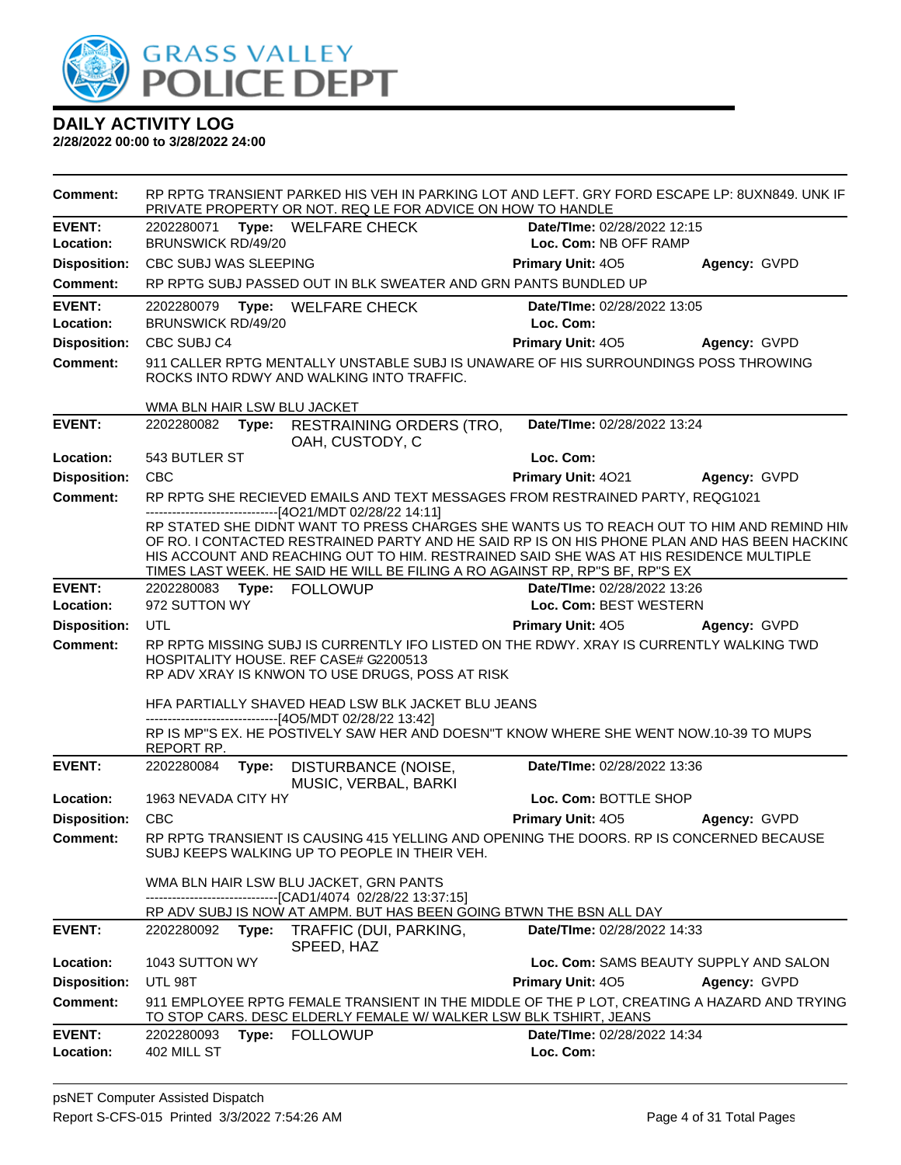

| <b>Comment:</b>     |                             |       | RP RPTG TRANSIENT PARKED HIS VEH IN PARKING LOT AND LEFT. GRY FORD ESCAPE LP: 8UXN849. UNK IF<br>PRIVATE PROPERTY OR NOT. REQ LE FOR ADVICE ON HOW TO HANDLE                                                                                                                                                                                                                                                                    |                                        |              |
|---------------------|-----------------------------|-------|---------------------------------------------------------------------------------------------------------------------------------------------------------------------------------------------------------------------------------------------------------------------------------------------------------------------------------------------------------------------------------------------------------------------------------|----------------------------------------|--------------|
| <b>EVENT:</b>       |                             |       | 2202280071 Type: WELFARE CHECK                                                                                                                                                                                                                                                                                                                                                                                                  | Date/TIme: 02/28/2022 12:15            |              |
| Location:           | <b>BRUNSWICK RD/49/20</b>   |       |                                                                                                                                                                                                                                                                                                                                                                                                                                 | Loc. Com: NB OFF RAMP                  |              |
| <b>Disposition:</b> | CBC SUBJ WAS SLEEPING       |       |                                                                                                                                                                                                                                                                                                                                                                                                                                 | Primary Unit: 405                      | Agency: GVPD |
| Comment:            |                             |       | RP RPTG SUBJ PASSED OUT IN BLK SWEATER AND GRN PANTS BUNDLED UP                                                                                                                                                                                                                                                                                                                                                                 |                                        |              |
| <b>EVENT:</b>       | 2202280079                  | Type: | <b>WELFARE CHECK</b>                                                                                                                                                                                                                                                                                                                                                                                                            | Date/TIme: 02/28/2022 13:05            |              |
| Location:           | BRUNSWICK RD/49/20          |       |                                                                                                                                                                                                                                                                                                                                                                                                                                 | Loc. Com:                              |              |
| <b>Disposition:</b> | CBC SUBJ C4                 |       |                                                                                                                                                                                                                                                                                                                                                                                                                                 | <b>Primary Unit: 405</b>               | Agency: GVPD |
| <b>Comment:</b>     |                             |       | 911 CALLER RPTG MENTALLY UNSTABLE SUBJ IS UNAWARE OF HIS SURROUNDINGS POSS THROWING<br>ROCKS INTO RDWY AND WALKING INTO TRAFFIC.                                                                                                                                                                                                                                                                                                |                                        |              |
|                     | WMA BLN HAIR LSW BLU JACKET |       |                                                                                                                                                                                                                                                                                                                                                                                                                                 |                                        |              |
| <b>EVENT:</b>       | 2202280082                  |       | Type: RESTRAINING ORDERS (TRO,<br>OAH, CUSTODY, C                                                                                                                                                                                                                                                                                                                                                                               | Date/TIme: 02/28/2022 13:24            |              |
| Location:           | 543 BUTLER ST               |       |                                                                                                                                                                                                                                                                                                                                                                                                                                 | Loc. Com:                              |              |
| <b>Disposition:</b> | <b>CBC</b>                  |       |                                                                                                                                                                                                                                                                                                                                                                                                                                 | Primary Unit: 4021                     | Agency: GVPD |
| <b>Comment:</b>     |                             |       | RP RPTG SHE RECIEVED EMAILS AND TEXT MESSAGES FROM RESTRAINED PARTY, REQG1021                                                                                                                                                                                                                                                                                                                                                   |                                        |              |
|                     |                             |       | -------------------------------[4O21/MDT 02/28/22 14:11]<br>RP STATED SHE DIDNT WANT TO PRESS CHARGES SHE WANTS US TO REACH OUT TO HIM AND REMIND HIM<br>OF RO. I CONTACTED RESTRAINED PARTY AND HE SAID RP IS ON HIS PHONE PLAN AND HAS BEEN HACKING<br>HIS ACCOUNT AND REACHING OUT TO HIM. RESTRAINED SAID SHE WAS AT HIS RESIDENCE MULTIPLE<br>TIMES LAST WEEK. HE SAID HE WILL BE FILING A RO AGAINST RP, RP"S BF, RP"S EX |                                        |              |
| <b>EVENT:</b>       | 2202280083 Type: FOLLOWUP   |       |                                                                                                                                                                                                                                                                                                                                                                                                                                 | Date/TIme: 02/28/2022 13:26            |              |
| Location:           | 972 SUTTON WY               |       |                                                                                                                                                                                                                                                                                                                                                                                                                                 | Loc. Com: BEST WESTERN                 |              |
| <b>Disposition:</b> | <b>UTL</b>                  |       |                                                                                                                                                                                                                                                                                                                                                                                                                                 | Primary Unit: 405                      | Agency: GVPD |
| <b>Comment:</b>     |                             |       | RP RPTG MISSING SUBJ IS CURRENTLY IFO LISTED ON THE RDWY. XRAY IS CURRENTLY WALKING TWD<br>HOSPITALITY HOUSE. REF CASE# G2200513<br>RP ADV XRAY IS KNWON TO USE DRUGS, POSS AT RISK                                                                                                                                                                                                                                             |                                        |              |
|                     |                             |       | HFA PARTIALLY SHAVED HEAD LSW BLK JACKET BLU JEANS<br>------------------------------[4O5/MDT 02/28/22 13:42]                                                                                                                                                                                                                                                                                                                    |                                        |              |
|                     | REPORT RP.                  |       | RP IS MP"S EX. HE POSTIVELY SAW HER AND DOESN"T KNOW WHERE SHE WENT NOW.10-39 TO MUPS                                                                                                                                                                                                                                                                                                                                           |                                        |              |
| <b>EVENT:</b>       | 2202280084                  | Type: | DISTURBANCE (NOISE,<br>MUSIC, VERBAL, BARKI                                                                                                                                                                                                                                                                                                                                                                                     | Date/TIme: 02/28/2022 13:36            |              |
| Location:           | 1963 NEVADA CITY HY         |       |                                                                                                                                                                                                                                                                                                                                                                                                                                 | Loc. Com: BOTTLE SHOP                  |              |
| <b>Disposition:</b> | <b>CBC</b>                  |       |                                                                                                                                                                                                                                                                                                                                                                                                                                 | <b>Primary Unit: 405</b>               | Agency: GVPD |
| Comment:            |                             |       | RP RPTG TRANSIENT IS CAUSING 415 YELLING AND OPENING THE DOORS. RP IS CONCERNED BECAUSE<br>SUBJ KEEPS WALKING UP TO PEOPLE IN THEIR VEH.                                                                                                                                                                                                                                                                                        |                                        |              |
|                     |                             |       | WMA BLN HAIR LSW BLU JACKET, GRN PANTS<br>-------------------------------[CAD1/4074 02/28/22 13:37:15]                                                                                                                                                                                                                                                                                                                          |                                        |              |
|                     |                             |       | RP ADV SUBJ IS NOW AT AMPM. BUT HAS BEEN GOING BTWN THE BSN ALL DAY                                                                                                                                                                                                                                                                                                                                                             |                                        |              |
| <b>EVENT:</b>       | 2202280092                  |       | Type: TRAFFIC (DUI, PARKING,<br>SPEED, HAZ                                                                                                                                                                                                                                                                                                                                                                                      | Date/TIme: 02/28/2022 14:33            |              |
| Location:           | 1043 SUTTON WY              |       |                                                                                                                                                                                                                                                                                                                                                                                                                                 | Loc. Com: SAMS BEAUTY SUPPLY AND SALON |              |
| <b>Disposition:</b> | UTL 98T                     |       |                                                                                                                                                                                                                                                                                                                                                                                                                                 | Primary Unit: 405                      | Agency: GVPD |
| <b>Comment:</b>     |                             |       | 911 EMPLOYEE RPTG FEMALE TRANSIENT IN THE MIDDLE OF THE P LOT, CREATING A HAZARD AND TRYING<br>TO STOP CARS. DESC ELDERLY FEMALE W/ WALKER LSW BLK TSHIRT, JEANS                                                                                                                                                                                                                                                                |                                        |              |
| <b>EVENT:</b>       | 2202280093                  |       | Type: FOLLOWUP                                                                                                                                                                                                                                                                                                                                                                                                                  | Date/TIme: 02/28/2022 14:34            |              |
| Location:           | 402 MILL ST                 |       |                                                                                                                                                                                                                                                                                                                                                                                                                                 | Loc. Com:                              |              |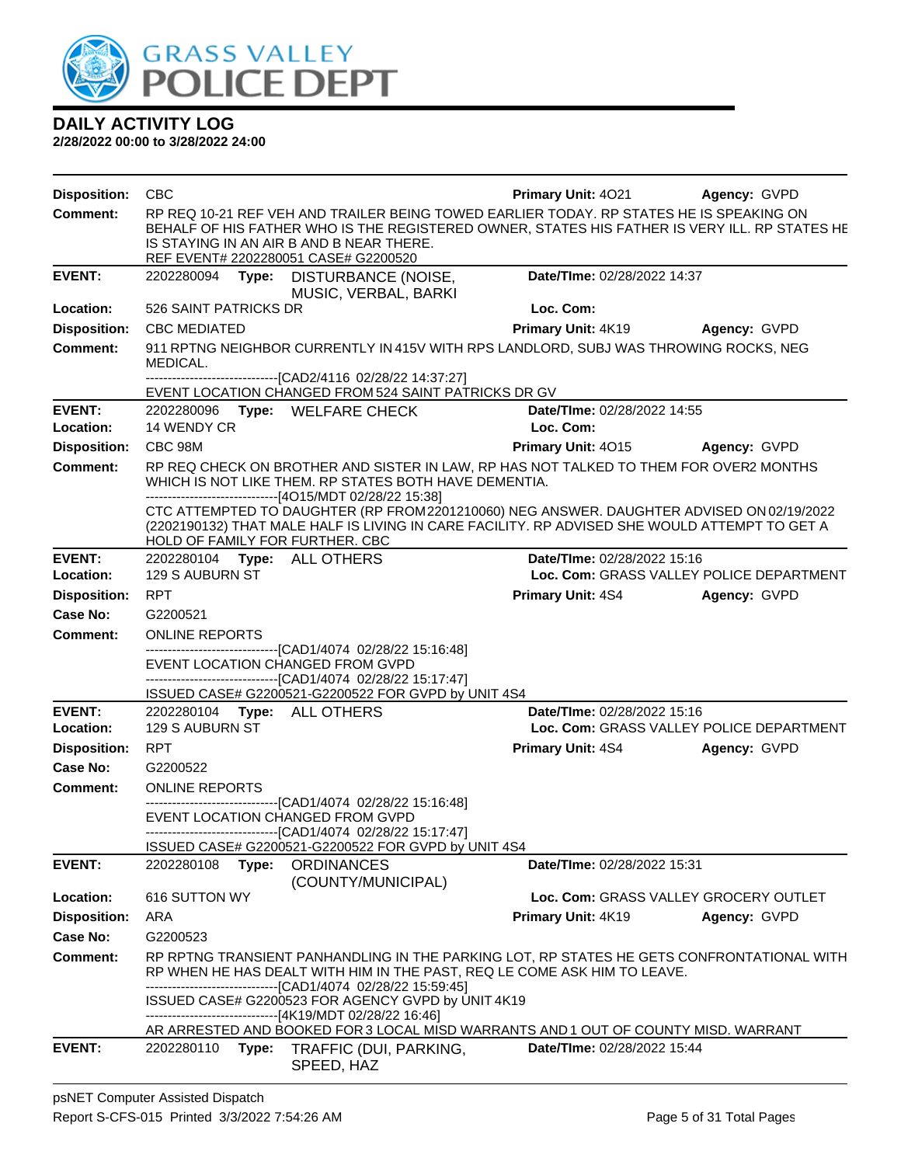

| <b>Disposition:</b>        | CBC                                            |                                                                                                                                                                                                                                                                              | <b>Primary Unit: 4021</b>                | <b>Agency: GVPD</b>                      |
|----------------------------|------------------------------------------------|------------------------------------------------------------------------------------------------------------------------------------------------------------------------------------------------------------------------------------------------------------------------------|------------------------------------------|------------------------------------------|
| <b>Comment:</b>            |                                                | RP REQ 10-21 REF VEH AND TRAILER BEING TOWED EARLIER TODAY. RP STATES HE IS SPEAKING ON<br>BEHALF OF HIS FATHER WHO IS THE REGISTERED OWNER, STATES HIS FATHER IS VERY ILL. RP STATES HE<br>IS STAYING IN AN AIR B AND B NEAR THERE.<br>REF EVENT# 2202280051 CASE# G2200520 |                                          |                                          |
| <b>EVENT:</b>              | 2202280094 Type:                               | DISTURBANCE (NOISE,<br>MUSIC, VERBAL, BARKI                                                                                                                                                                                                                                  | Date/TIme: 02/28/2022 14:37              |                                          |
| Location:                  | 526 SAINT PATRICKS DR                          |                                                                                                                                                                                                                                                                              | Loc. Com:                                |                                          |
| <b>Disposition:</b>        | <b>CBC MEDIATED</b>                            |                                                                                                                                                                                                                                                                              | <b>Primary Unit: 4K19</b>                | Agency: GVPD                             |
| <b>Comment:</b>            | MEDICAL.                                       | 911 RPTNG NEIGHBOR CURRENTLY IN 415V WITH RPS LANDLORD, SUBJ WAS THROWING ROCKS, NEG                                                                                                                                                                                         |                                          |                                          |
|                            |                                                | -------------------------------[CAD2/4116 02/28/22 14:37:27]<br>EVENT LOCATION CHANGED FROM 524 SAINT PATRICKS DR GV                                                                                                                                                         |                                          |                                          |
| <b>EVENT:</b><br>Location: | 14 WENDY CR                                    | 2202280096 Type: WELFARE CHECK                                                                                                                                                                                                                                               | Date/TIme: 02/28/2022 14:55<br>Loc. Com: |                                          |
| <b>Disposition:</b>        | CBC 98M                                        |                                                                                                                                                                                                                                                                              | Primary Unit: 4015 Agency: GVPD          |                                          |
| <b>Comment:</b>            |                                                | RP REQ CHECK ON BROTHER AND SISTER IN LAW, RP HAS NOT TALKED TO THEM FOR OVER2 MONTHS<br>WHICH IS NOT LIKE THEM. RP STATES BOTH HAVE DEMENTIA.<br>-------------------------------[4O15/MDT 02/28/22 15:38]                                                                   |                                          |                                          |
|                            | HOLD OF FAMILY FOR FURTHER. CBC                | CTC ATTEMPTED TO DAUGHTER (RP FROM2201210060) NEG ANSWER. DAUGHTER ADVISED ON 02/19/2022<br>(2202190132) THAT MALE HALF IS LIVING IN CARE FACILITY. RP ADVISED SHE WOULD ATTEMPT TO GET A                                                                                    |                                          |                                          |
| <b>EVENT:</b>              | 2202280104 Type: ALL OTHERS                    |                                                                                                                                                                                                                                                                              | Date/TIme: 02/28/2022 15:16              |                                          |
| Location:                  | 129 S AUBURN ST                                |                                                                                                                                                                                                                                                                              |                                          | Loc. Com: GRASS VALLEY POLICE DEPARTMENT |
| <b>Disposition:</b>        | <b>RPT</b>                                     |                                                                                                                                                                                                                                                                              | <b>Primary Unit: 4S4</b>                 | Agency: GVPD                             |
| Case No:                   | G2200521                                       |                                                                                                                                                                                                                                                                              |                                          |                                          |
| <b>Comment:</b>            | <b>ONLINE REPORTS</b>                          | -------------------------------[CAD1/4074 02/28/22 15:16:48]                                                                                                                                                                                                                 |                                          |                                          |
|                            |                                                | EVENT LOCATION CHANGED FROM GVPD<br>-------------------------------[CAD1/4074 02/28/22 15:17:47]                                                                                                                                                                             |                                          |                                          |
|                            |                                                | ISSUED CASE# G2200521-G2200522 FOR GVPD by UNIT 4S4                                                                                                                                                                                                                          |                                          |                                          |
| <b>EVENT:</b><br>Location: | 2202280104 Type: ALL OTHERS<br>129 S AUBURN ST |                                                                                                                                                                                                                                                                              | Date/TIme: 02/28/2022 15:16              | Loc. Com: GRASS VALLEY POLICE DEPARTMENT |
| <b>Disposition:</b>        | <b>RPT</b>                                     |                                                                                                                                                                                                                                                                              | <b>Primary Unit: 4S4</b>                 | Agency: GVPD                             |
| Case No:                   | G2200522                                       |                                                                                                                                                                                                                                                                              |                                          |                                          |
| <b>Comment:</b>            | <b>ONLINE REPORTS</b>                          |                                                                                                                                                                                                                                                                              |                                          |                                          |
|                            |                                                | --------------------------------[CAD1/4074 02/28/22 15:16:48]<br>EVENT LOCATION CHANGED FROM GVPD                                                                                                                                                                            |                                          |                                          |
|                            |                                                | ---------------------------------[CAD1/4074 02/28/22 15:17:47]                                                                                                                                                                                                               |                                          |                                          |
| <b>EVENT:</b>              | 2202280108<br>Type:                            | ISSUED CASE# G2200521-G2200522 FOR GVPD by UNIT 4S4<br><b>ORDINANCES</b>                                                                                                                                                                                                     | Date/TIme: 02/28/2022 15:31              |                                          |
|                            |                                                | (COUNTY/MUNICIPAL)                                                                                                                                                                                                                                                           |                                          |                                          |
| Location:                  | 616 SUTTON WY                                  |                                                                                                                                                                                                                                                                              |                                          | Loc. Com: GRASS VALLEY GROCERY OUTLET    |
| <b>Disposition:</b>        | ARA                                            |                                                                                                                                                                                                                                                                              | Primary Unit: 4K19                       | Agency: GVPD                             |
| Case No:                   | G2200523                                       |                                                                                                                                                                                                                                                                              |                                          |                                          |
| <b>Comment:</b>            |                                                | RP RPTNG TRANSIENT PANHANDLING IN THE PARKING LOT, RP STATES HE GETS CONFRONTATIONAL WITH<br>RP WHEN HE HAS DEALT WITH HIM IN THE PAST, REQ LE COME ASK HIM TO LEAVE.<br>-------------------------------[CAD1/4074 02/28/22 15:59:45]                                        |                                          |                                          |
|                            |                                                | ISSUED CASE# G2200523 FOR AGENCY GVPD by UNIT 4K19<br>-------------------------------[4K19/MDT 02/28/22 16:46]<br>AR ARRESTED AND BOOKED FOR 3 LOCAL MISD WARRANTS AND 1 OUT OF COUNTY MISD. WARRANT                                                                         |                                          |                                          |
| <b>EVENT:</b>              | 2202280110<br>Type:                            | TRAFFIC (DUI, PARKING,                                                                                                                                                                                                                                                       | <b>Date/Time: 02/28/2022 15:44</b>       |                                          |
|                            |                                                | SPEED, HAZ                                                                                                                                                                                                                                                                   |                                          |                                          |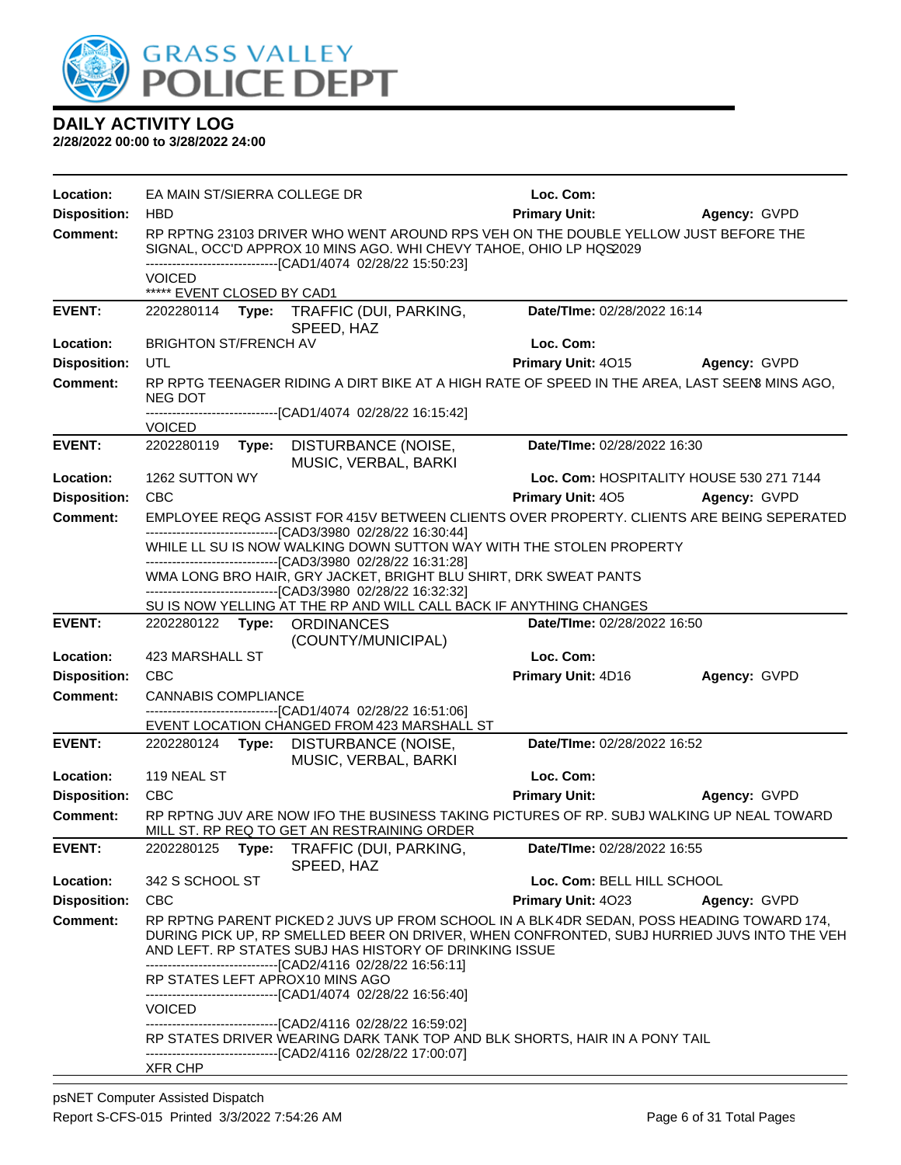

| Location:           | EA MAIN ST/SIERRA COLLEGE DR                                                                                                                                                                                             |       |                                                                                                                                                                                                                                                                                                                  | Loc. Com:                   |                                          |  |
|---------------------|--------------------------------------------------------------------------------------------------------------------------------------------------------------------------------------------------------------------------|-------|------------------------------------------------------------------------------------------------------------------------------------------------------------------------------------------------------------------------------------------------------------------------------------------------------------------|-----------------------------|------------------------------------------|--|
| <b>Disposition:</b> | <b>HBD</b>                                                                                                                                                                                                               |       |                                                                                                                                                                                                                                                                                                                  | <b>Primary Unit:</b>        | Agency: GVPD                             |  |
| <b>Comment:</b>     | RP RPTNG 23103 DRIVER WHO WENT AROUND RPS VEH ON THE DOUBLE YELLOW JUST BEFORE THE<br>SIGNAL, OCC'D APPROX 10 MINS AGO. WHI CHEVY TAHOE, OHIO LP HQS2029<br>-------------------------------[CAD1/4074_02/28/22 15:50:23] |       |                                                                                                                                                                                                                                                                                                                  |                             |                                          |  |
|                     | VOICED<br>***** EVENT CLOSED BY CAD1                                                                                                                                                                                     |       |                                                                                                                                                                                                                                                                                                                  |                             |                                          |  |
| <b>EVENT:</b>       |                                                                                                                                                                                                                          |       | 2202280114 Type: TRAFFIC (DUI, PARKING,<br>SPEED, HAZ                                                                                                                                                                                                                                                            | Date/TIme: 02/28/2022 16:14 |                                          |  |
| Location:           | <b>BRIGHTON ST/FRENCH AV</b>                                                                                                                                                                                             |       |                                                                                                                                                                                                                                                                                                                  | Loc. Com:                   |                                          |  |
| <b>Disposition:</b> | UTL                                                                                                                                                                                                                      |       |                                                                                                                                                                                                                                                                                                                  | <b>Primary Unit: 4015</b>   | <b>Agency: GVPD</b>                      |  |
| <b>Comment:</b>     | NEG DOT                                                                                                                                                                                                                  |       | RP RPTG TEENAGER RIDING A DIRT BIKE AT A HIGH RATE OF SPEED IN THE AREA, LAST SEEN MINS AGO,                                                                                                                                                                                                                     |                             |                                          |  |
|                     | <b>VOICED</b>                                                                                                                                                                                                            |       | ----------------------------[CAD1/4074_02/28/22 16:15:42]                                                                                                                                                                                                                                                        |                             |                                          |  |
| <b>EVENT:</b>       | 2202280119                                                                                                                                                                                                               |       | Type: DISTURBANCE (NOISE,<br>MUSIC, VERBAL, BARKI                                                                                                                                                                                                                                                                | Date/TIme: 02/28/2022 16:30 |                                          |  |
| Location:           | 1262 SUTTON WY                                                                                                                                                                                                           |       |                                                                                                                                                                                                                                                                                                                  |                             | Loc. Com: HOSPITALITY HOUSE 530 271 7144 |  |
| <b>Disposition:</b> | <b>CBC</b>                                                                                                                                                                                                               |       |                                                                                                                                                                                                                                                                                                                  | <b>Primary Unit: 405</b>    | Agency: GVPD                             |  |
| Comment:            |                                                                                                                                                                                                                          |       | EMPLOYEE REQG ASSIST FOR 415V BETWEEN CLIENTS OVER PROPERTY. CLIENTS ARE BEING SEPERATED<br>---------------------------------[CAD3/3980 02/28/22 16:30:44]                                                                                                                                                       |                             |                                          |  |
|                     | WHILE LL SU IS NOW WALKING DOWN SUTTON WAY WITH THE STOLEN PROPERTY<br>--------------------------------[CAD3/3980 02/28/22 16:31:28]                                                                                     |       |                                                                                                                                                                                                                                                                                                                  |                             |                                          |  |
|                     |                                                                                                                                                                                                                          |       | WMA LONG BRO HAIR, GRY JACKET, BRIGHT BLU SHIRT, DRK SWEAT PANTS<br>---------------------[CAD3/3980 02/28/22 16:32:32]                                                                                                                                                                                           |                             |                                          |  |
|                     |                                                                                                                                                                                                                          |       | SU IS NOW YELLING AT THE RP AND WILL CALL BACK IF ANYTHING CHANGES                                                                                                                                                                                                                                               |                             |                                          |  |
| <b>EVENT:</b>       |                                                                                                                                                                                                                          |       | 2202280122 Type: ORDINANCES<br>(COUNTY/MUNICIPAL)                                                                                                                                                                                                                                                                | Date/TIme: 02/28/2022 16:50 |                                          |  |
| Location:           | 423 MARSHALL ST                                                                                                                                                                                                          |       |                                                                                                                                                                                                                                                                                                                  | Loc. Com:                   |                                          |  |
| <b>Disposition:</b> | <b>CBC</b>                                                                                                                                                                                                               |       |                                                                                                                                                                                                                                                                                                                  | Primary Unit: 4D16          | Agency: GVPD                             |  |
| <b>Comment:</b>     | <b>CANNABIS COMPLIANCE</b>                                                                                                                                                                                               |       | --------------------------------[CAD1/4074 02/28/22 16:51:06]                                                                                                                                                                                                                                                    |                             |                                          |  |
|                     |                                                                                                                                                                                                                          |       | EVENT LOCATION CHANGED FROM 423 MARSHALL ST                                                                                                                                                                                                                                                                      |                             |                                          |  |
| <b>EVENT:</b>       |                                                                                                                                                                                                                          |       | 2202280124 Type: DISTURBANCE (NOISE,<br>MUSIC, VERBAL, BARKI                                                                                                                                                                                                                                                     | Date/TIme: 02/28/2022 16:52 |                                          |  |
| Location:           | 119 NEAL ST                                                                                                                                                                                                              |       |                                                                                                                                                                                                                                                                                                                  | Loc. Com:                   |                                          |  |
| <b>Disposition:</b> | <b>CBC</b>                                                                                                                                                                                                               |       |                                                                                                                                                                                                                                                                                                                  | <b>Primary Unit:</b>        | Agency: GVPD                             |  |
| <b>Comment:</b>     |                                                                                                                                                                                                                          |       | RP RPTNG JUV ARE NOW IFO THE BUSINESS TAKING PICTURES OF RP. SUBJ WALKING UP NEAL TOWARD<br>MILL ST. RP REQ TO GET AN RESTRAINING ORDER                                                                                                                                                                          |                             |                                          |  |
| <b>EVENT:</b>       | 2202280125                                                                                                                                                                                                               | Type: | TRAFFIC (DUI, PARKING,<br>SPEED, HAZ                                                                                                                                                                                                                                                                             | Date/TIme: 02/28/2022 16:55 |                                          |  |
| Location:           | 342 S SCHOOL ST                                                                                                                                                                                                          |       |                                                                                                                                                                                                                                                                                                                  | Loc. Com: BELL HILL SCHOOL  |                                          |  |
| <b>Disposition:</b> | <b>CBC</b>                                                                                                                                                                                                               |       |                                                                                                                                                                                                                                                                                                                  | Primary Unit: 4023          | Agency: GVPD                             |  |
| <b>Comment:</b>     |                                                                                                                                                                                                                          |       | RP RPTNG PARENT PICKED 2 JUVS UP FROM SCHOOL IN A BLK4DR SEDAN, POSS HEADING TOWARD 174,<br>DURING PICK UP, RP SMELLED BEER ON DRIVER, WHEN CONFRONTED, SUBJ HURRIED JUVS INTO THE VEH<br>AND LEFT. RP STATES SUBJ HAS HISTORY OF DRINKING ISSUE<br>-------------------------------[CAD2/4116 02/28/22 16:56:11] |                             |                                          |  |
|                     |                                                                                                                                                                                                                          |       | RP STATES LEFT APROX10 MINS AGO<br>--------------------------------[CAD1/4074 02/28/22 16:56:40]                                                                                                                                                                                                                 |                             |                                          |  |
|                     | <b>VOICED</b>                                                                                                                                                                                                            |       |                                                                                                                                                                                                                                                                                                                  |                             |                                          |  |
|                     |                                                                                                                                                                                                                          |       | ----------------------------------[CAD2/4116 02/28/22 16:59:02]<br>RP STATES DRIVER WEARING DARK TANK TOP AND BLK SHORTS, HAIR IN A PONY TAIL<br>-------------------------------[CAD2/4116 02/28/22 17:00:07]                                                                                                    |                             |                                          |  |
|                     | XFR CHP                                                                                                                                                                                                                  |       |                                                                                                                                                                                                                                                                                                                  |                             |                                          |  |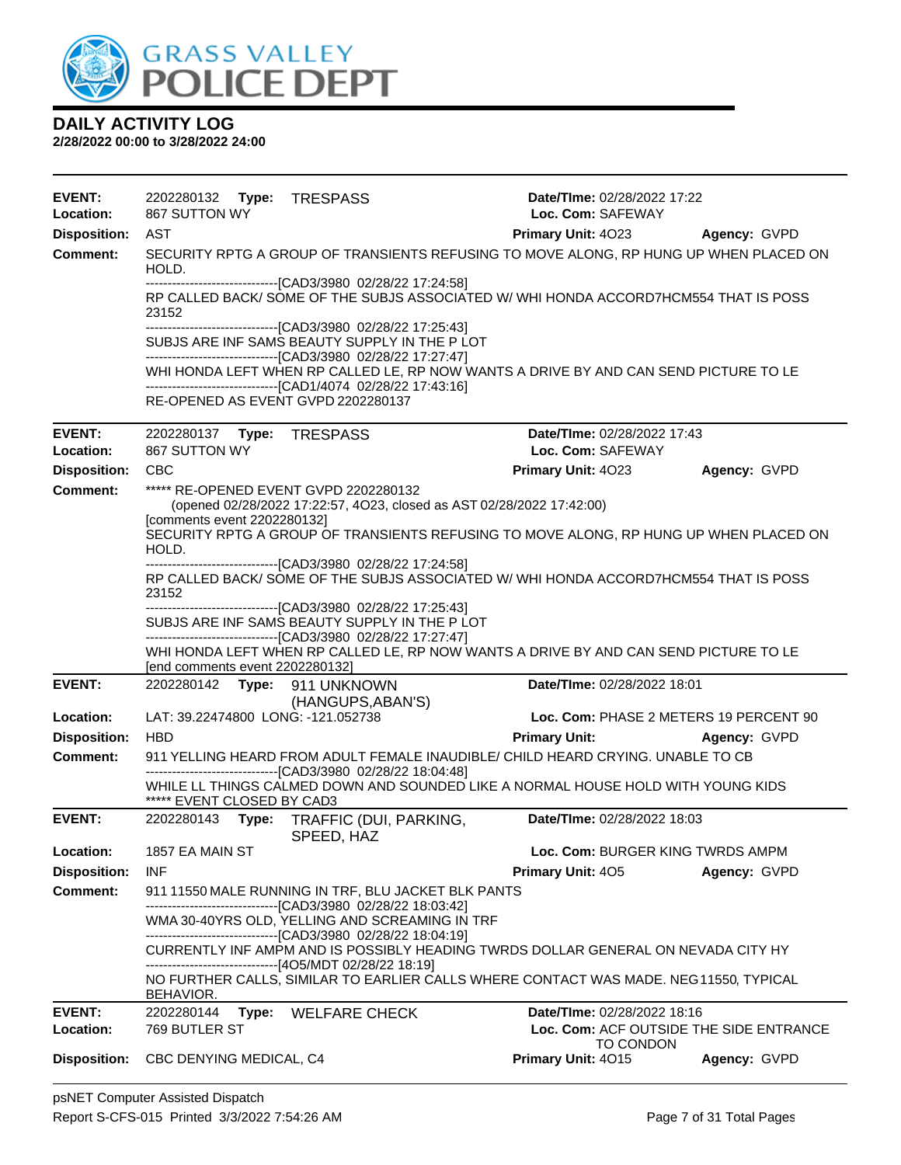

| <b>EVENT:</b><br>Location:        | 2202280132 Type: TRESPASS<br>867 SUTTON WY |                                                                                                                      | Date/TIme: 02/28/2022 17:22<br>Loc. Com: SAFEWAY                                      |              |
|-----------------------------------|--------------------------------------------|----------------------------------------------------------------------------------------------------------------------|---------------------------------------------------------------------------------------|--------------|
| <b>Disposition:</b>               | AST                                        |                                                                                                                      | Primary Unit: 4023 Agency: GVPD                                                       |              |
| <b>Comment:</b>                   | HOLD.                                      |                                                                                                                      | SECURITY RPTG A GROUP OF TRANSIENTS REFUSING TO MOVE ALONG, RP HUNG UP WHEN PLACED ON |              |
|                                   | 23152                                      | --------------------------------[CAD3/3980 02/28/22 17:24:58]                                                        | RP CALLED BACK/ SOME OF THE SUBJS ASSOCIATED W/ WHI HONDA ACCORD7HCM554 THAT IS POSS  |              |
|                                   |                                            | -------------------------------[CAD3/3980 02/28/22 17:25:43]                                                         |                                                                                       |              |
|                                   |                                            | SUBJS ARE INF SAMS BEAUTY SUPPLY IN THE P LOT<br>---------------------------------[CAD3/3980 02/28/22 17:27:47]      |                                                                                       |              |
|                                   |                                            |                                                                                                                      | WHI HONDA LEFT WHEN RP CALLED LE, RP NOW WANTS A DRIVE BY AND CAN SEND PICTURE TO LE  |              |
|                                   |                                            | --------------------------------[CAD1/4074 02/28/22 17:43:16]<br>RE-OPENED AS EVENT GVPD 2202280137                  |                                                                                       |              |
|                                   |                                            |                                                                                                                      |                                                                                       |              |
| <b>EVENT:</b><br><b>Location:</b> | 2202280137 Type: TRESPASS<br>867 SUTTON WY |                                                                                                                      | Date/TIme: 02/28/2022 17:43<br>Loc. Com: SAFEWAY                                      |              |
| <b>Disposition:</b>               | <b>CBC</b>                                 |                                                                                                                      | Primary Unit: 4023                                                                    | Agency: GVPD |
| Comment:                          |                                            | ***** RE-OPENED EVENT GVPD 2202280132                                                                                |                                                                                       |              |
|                                   |                                            | (opened 02/28/2022 17:22:57, 4O23, closed as AST 02/28/2022 17:42:00)                                                |                                                                                       |              |
|                                   | [comments event 2202280132]<br>HOLD.       |                                                                                                                      | SECURITY RPTG A GROUP OF TRANSIENTS REFUSING TO MOVE ALONG, RP HUNG UP WHEN PLACED ON |              |
|                                   |                                            | -------------------[CAD3/3980 02/28/22 17:24:58]                                                                     |                                                                                       |              |
|                                   | 23152                                      |                                                                                                                      | RP CALLED BACK/ SOME OF THE SUBJS ASSOCIATED W/ WHI HONDA ACCORD7HCM554 THAT IS POSS  |              |
|                                   |                                            | ---------------------------------[CAD3/3980 02/28/22 17:25:43]<br>SUBJS ARE INF SAMS BEAUTY SUPPLY IN THE P LOT      |                                                                                       |              |
|                                   |                                            | -------------------------------[CAD3/3980 02/28/22 17:27:47]                                                         |                                                                                       |              |
|                                   |                                            |                                                                                                                      | WHI HONDA LEFT WHEN RP CALLED LE, RP NOW WANTS A DRIVE BY AND CAN SEND PICTURE TO LE  |              |
| <b>EVENT:</b>                     | [end comments event 2202280132]            | 2202280142 Type: 911 UNKNOWN                                                                                         | Date/TIme: 02/28/2022 18:01                                                           |              |
|                                   |                                            | (HANGUPS, ABAN'S)                                                                                                    |                                                                                       |              |
| Location:                         |                                            | LAT: 39.22474800 LONG: -121.052738                                                                                   | Loc. Com: PHASE 2 METERS 19 PERCENT 90                                                |              |
| <b>Disposition:</b>               | <b>HBD</b>                                 |                                                                                                                      | <b>Primary Unit:</b>                                                                  | Agency: GVPD |
| Comment:                          |                                            | ------------------------[CAD3/3980 02/28/22 18:04:48]                                                                | 911 YELLING HEARD FROM ADULT FEMALE INAUDIBLE/ CHILD HEARD CRYING. UNABLE TO CB       |              |
|                                   | ***** EVENT CLOSED BY CAD3                 |                                                                                                                      | WHILE LL THINGS CALMED DOWN AND SOUNDED LIKE A NORMAL HOUSE HOLD WITH YOUNG KIDS      |              |
| <b>EVENT:</b>                     | 2202280143                                 | Type: TRAFFIC (DUI, PARKING,<br>SPEED, HAZ                                                                           | Date/TIme: 02/28/2022 18:03                                                           |              |
| Location:                         | 1857 EA MAIN ST                            |                                                                                                                      | Loc. Com: BURGER KING TWRDS AMPM                                                      |              |
| <b>Disposition:</b>               | <b>INF</b>                                 |                                                                                                                      | <b>Primary Unit: 405</b>                                                              | Agency: GVPD |
| <b>Comment:</b>                   |                                            | 911 11550 MALE RUNNING IN TRF, BLU JACKET BLK PANTS<br>--------------------------------[CAD3/3980_02/28/22 18:03:42] |                                                                                       |              |
|                                   |                                            | WMA 30-40YRS OLD, YELLING AND SCREAMING IN TRF                                                                       |                                                                                       |              |
|                                   |                                            | ---------------------------------[CAD3/3980 02/28/22 18:04:19]                                                       |                                                                                       |              |
|                                   |                                            | -------------------------------[4O5/MDT 02/28/22 18:19]                                                              | CURRENTLY INF AMPM AND IS POSSIBLY HEADING TWRDS DOLLAR GENERAL ON NEVADA CITY HY     |              |
|                                   | BEHAVIOR.                                  |                                                                                                                      | NO FURTHER CALLS, SIMILAR TO EARLIER CALLS WHERE CONTACT WAS MADE. NEG11550, TYPICAL  |              |
| <b>EVENT:</b>                     | 2202280144                                 | Type: WELFARE CHECK                                                                                                  | Date/TIme: 02/28/2022 18:16                                                           |              |
| Location:                         | 769 BUTLER ST                              |                                                                                                                      | Loc. Com: ACF OUTSIDE THE SIDE ENTRANCE                                               |              |
| <b>Disposition:</b>               | CBC DENYING MEDICAL, C4                    |                                                                                                                      | TO CONDON<br>Primary Unit: 4015                                                       | Agency: GVPD |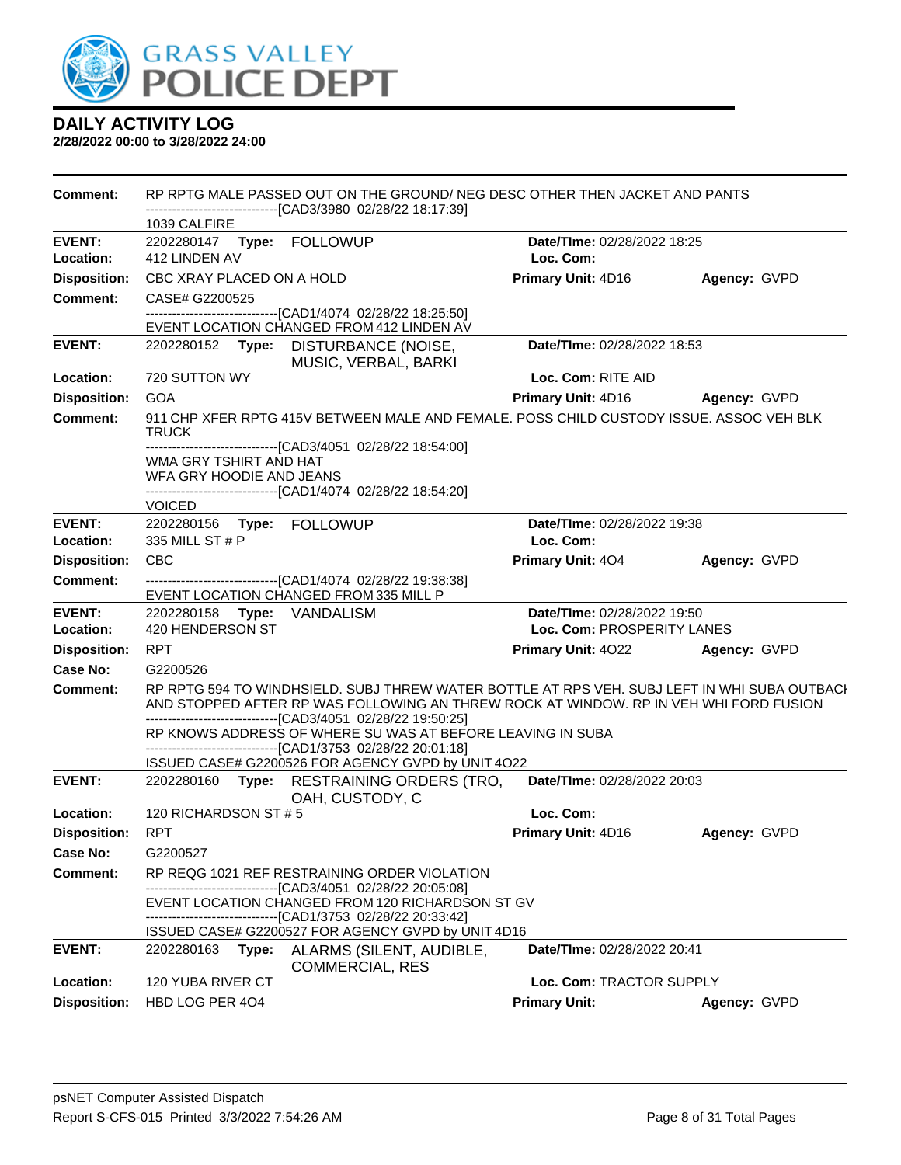

| <b>Comment:</b>     |                                                    | RP RPTG MALE PASSED OUT ON THE GROUND/ NEG DESC OTHER THEN JACKET AND PANTS                                                                                                                                                                           |                                    |              |
|---------------------|----------------------------------------------------|-------------------------------------------------------------------------------------------------------------------------------------------------------------------------------------------------------------------------------------------------------|------------------------------------|--------------|
|                     | 1039 CALFIRE                                       | ------------------------[CAD3/3980_02/28/22 18:17:39]                                                                                                                                                                                                 |                                    |              |
| <b>EVENT:</b>       |                                                    |                                                                                                                                                                                                                                                       | Date/TIme: 02/28/2022 18:25        |              |
| Location:           | 412 LINDEN AV                                      |                                                                                                                                                                                                                                                       | Loc. Com:                          |              |
| <b>Disposition:</b> | CBC XRAY PLACED ON A HOLD                          |                                                                                                                                                                                                                                                       | Primary Unit: 4D16                 | Agency: GVPD |
| <b>Comment:</b>     | CASE# G2200525                                     |                                                                                                                                                                                                                                                       |                                    |              |
|                     |                                                    | -------------------------------[CAD1/4074_02/28/22_18:25:50]<br>EVENT LOCATION CHANGED FROM 412 LINDEN AV                                                                                                                                             |                                    |              |
| <b>EVENT:</b>       |                                                    | 2202280152 Type: DISTURBANCE (NOISE,<br>MUSIC, VERBAL, BARKI                                                                                                                                                                                          | Date/TIme: 02/28/2022 18:53        |              |
| Location:           | 720 SUTTON WY                                      |                                                                                                                                                                                                                                                       | Loc. Com: RITE AID                 |              |
| <b>Disposition:</b> | <b>GOA</b>                                         |                                                                                                                                                                                                                                                       | Primary Unit: 4D16                 | Agency: GVPD |
| <b>Comment:</b>     | <b>TRUCK</b>                                       | 911 CHP XFER RPTG 415V BETWEEN MALE AND FEMALE. POSS CHILD CUSTODY ISSUE. ASSOC VEH BLK                                                                                                                                                               |                                    |              |
|                     | WMA GRY TSHIRT AND HAT<br>WFA GRY HOODIE AND JEANS | -------------------------------[CAD3/4051 02/28/22 18:54:00]<br>-------------------------------[CAD1/4074 02/28/22 18:54:20]                                                                                                                          |                                    |              |
|                     | <b>VOICED</b>                                      |                                                                                                                                                                                                                                                       |                                    |              |
| <b>EVENT:</b>       | 2202280156 Type: FOLLOWUP                          |                                                                                                                                                                                                                                                       | Date/TIme: 02/28/2022 19:38        |              |
| Location:           | 335 MILL ST # P                                    |                                                                                                                                                                                                                                                       | Loc. Com:                          |              |
| <b>Disposition:</b> | <b>CBC</b>                                         |                                                                                                                                                                                                                                                       | Primary Unit: 404                  | Agency: GVPD |
| <b>Comment:</b>     |                                                    | -------------------------------[CAD1/4074 02/28/22 19:38:38]<br>EVENT LOCATION CHANGED FROM 335 MILL P                                                                                                                                                |                                    |              |
| <b>EVENT:</b>       | 2202280158 Type: VANDALISM                         |                                                                                                                                                                                                                                                       | Date/TIme: 02/28/2022 19:50        |              |
| Location:           | 420 HENDERSON ST                                   |                                                                                                                                                                                                                                                       | Loc. Com: PROSPERITY LANES         |              |
| <b>Disposition:</b> | <b>RPT</b>                                         |                                                                                                                                                                                                                                                       | <b>Primary Unit: 4022</b>          | Agency: GVPD |
| Case No:            | G2200526                                           |                                                                                                                                                                                                                                                       |                                    |              |
| <b>Comment:</b>     |                                                    | RP RPTG 594 TO WINDHSIELD. SUBJ THREW WATER BOTTLE AT RPS VEH. SUBJ LEFT IN WHI SUBA OUTBACH<br>AND STOPPED AFTER RP WAS FOLLOWING AN THREW ROCK AT WINDOW. RP IN VEH WHI FORD FUSION<br>-------------------------------[CAD3/4051 02/28/22 19:50:25] |                                    |              |
|                     |                                                    | RP KNOWS ADDRESS OF WHERE SU WAS AT BEFORE LEAVING IN SUBA<br>-------------------------------[CAD1/3753 02/28/22 20:01:18]                                                                                                                            |                                    |              |
| <b>EVENT:</b>       |                                                    | ISSUED CASE# G2200526 FOR AGENCY GVPD by UNIT 4O22                                                                                                                                                                                                    | Date/TIme: 02/28/2022 20:03        |              |
|                     |                                                    | 2202280160 Type: RESTRAINING ORDERS (TRO,<br>OAH, CUSTODY, C                                                                                                                                                                                          |                                    |              |
| Location:           | 120 RICHARDSON ST #5                               |                                                                                                                                                                                                                                                       | Loc. Com:                          |              |
| <b>Disposition:</b> | <b>RPT</b>                                         |                                                                                                                                                                                                                                                       | Primary Unit: 4D16                 | Agency: GVPD |
| Case No:            | G2200527                                           |                                                                                                                                                                                                                                                       |                                    |              |
| <b>Comment:</b>     |                                                    | RP REQG 1021 REF RESTRAINING ORDER VIOLATION                                                                                                                                                                                                          |                                    |              |
|                     |                                                    | -------------------------------[CAD3/4051 02/28/22 20:05:08]<br>EVENT LOCATION CHANGED FROM 120 RICHARDSON ST GV                                                                                                                                      |                                    |              |
|                     |                                                    | -------------------------------[CAD1/3753 02/28/22 20:33:42]                                                                                                                                                                                          |                                    |              |
|                     |                                                    | ISSUED CASE# G2200527 FOR AGENCY GVPD by UNIT 4D16                                                                                                                                                                                                    |                                    |              |
| <b>EVENT:</b>       | 2202280163<br>Type:                                | ALARMS (SILENT, AUDIBLE,<br><b>COMMERCIAL, RES</b>                                                                                                                                                                                                    | <b>Date/Time: 02/28/2022 20:41</b> |              |
| Location:           | 120 YUBA RIVER CT                                  |                                                                                                                                                                                                                                                       | Loc. Com: TRACTOR SUPPLY           |              |
| <b>Disposition:</b> | HBD LOG PER 404                                    |                                                                                                                                                                                                                                                       | <b>Primary Unit:</b>               | Agency: GVPD |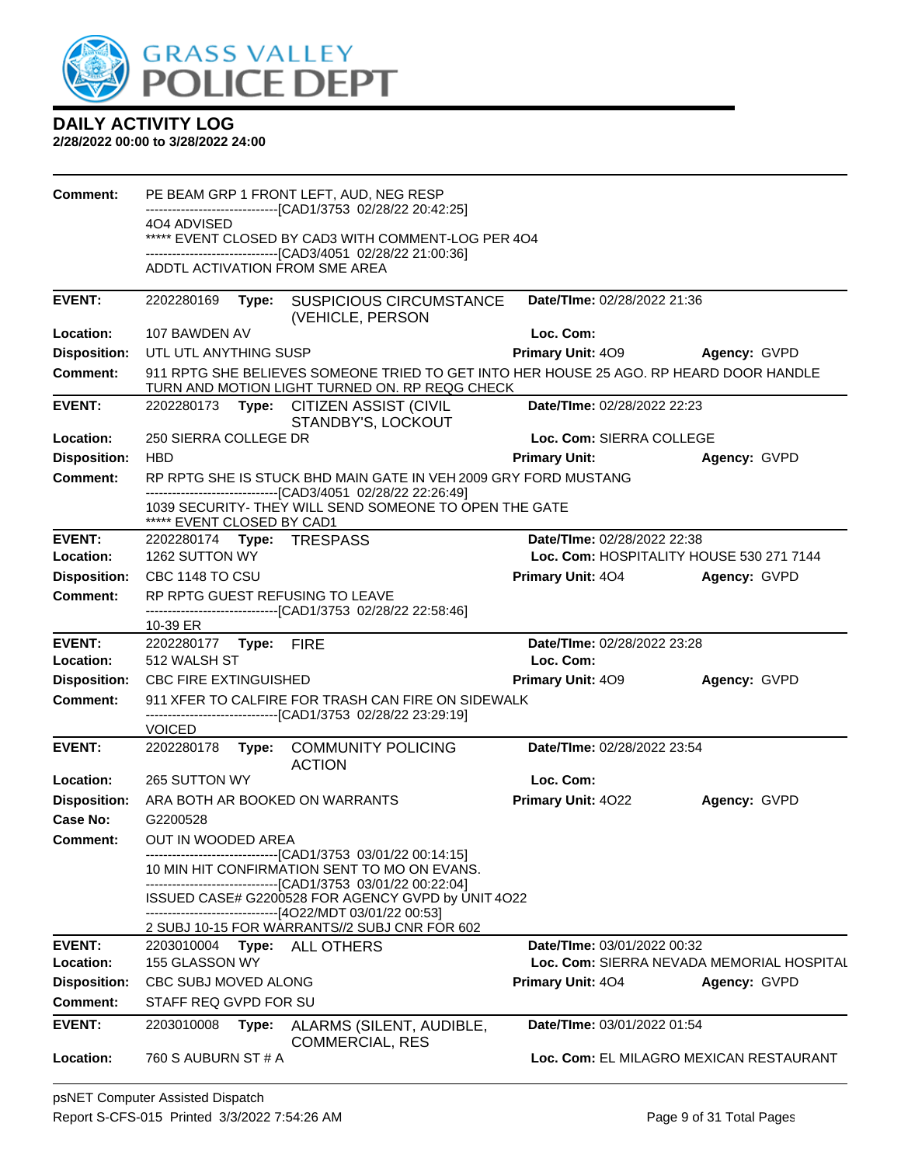

| <b>Comment:</b>     |                              |       | PE BEAM GRP 1 FRONT LEFT, AUD, NEG RESP                                                                                                  |                                    |                                                           |
|---------------------|------------------------------|-------|------------------------------------------------------------------------------------------------------------------------------------------|------------------------------------|-----------------------------------------------------------|
|                     | 404 ADVISED                  |       | ------------------------------[CAD1/3753_02/28/22 20:42:25]                                                                              |                                    |                                                           |
|                     |                              |       | ***** EVENT CLOSED BY CAD3 WITH COMMENT-LOG PER 404                                                                                      |                                    |                                                           |
|                     |                              |       | -------------------------------[CAD3/4051 02/28/22 21:00:36]<br>ADDTL ACTIVATION FROM SME AREA                                           |                                    |                                                           |
|                     |                              |       |                                                                                                                                          |                                    |                                                           |
| <b>EVENT:</b>       | 2202280169                   | Type: | <b>SUSPICIOUS CIRCUMSTANCE</b>                                                                                                           | Date/TIme: 02/28/2022 21:36        |                                                           |
| Location:           | 107 BAWDEN AV                |       | (VEHICLE, PERSON                                                                                                                         | Loc. Com:                          |                                                           |
| <b>Disposition:</b> | UTL UTL ANYTHING SUSP        |       |                                                                                                                                          | <b>Primary Unit: 409</b>           | Agency: GVPD                                              |
| <b>Comment:</b>     |                              |       | 911 RPTG SHE BELIEVES SOMEONE TRIED TO GET INTO HER HOUSE 25 AGO. RP HEARD DOOR HANDLE<br>TURN AND MOTION LIGHT TURNED ON. RP REQG CHECK |                                    |                                                           |
| <b>EVENT:</b>       |                              |       | 2202280173 Type: CITIZEN ASSIST (CIVIL<br>STANDBY'S, LOCKOUT                                                                             | Date/TIme: 02/28/2022 22:23        |                                                           |
| Location:           | 250 SIERRA COLLEGE DR        |       |                                                                                                                                          | Loc. Com: SIERRA COLLEGE           |                                                           |
| <b>Disposition:</b> | <b>HBD</b>                   |       |                                                                                                                                          | <b>Primary Unit:</b>               | Agency: GVPD                                              |
| <b>Comment:</b>     |                              |       | RP RPTG SHE IS STUCK BHD MAIN GATE IN VEH 2009 GRY FORD MUSTANG                                                                          |                                    |                                                           |
|                     |                              |       | -------------------------------[CAD3/4051 02/28/22 22:26:49]<br>1039 SECURITY- THEY WILL SEND SOMEONE TO OPEN THE GATE                   |                                    |                                                           |
|                     | ***** EVENT CLOSED BY CAD1   |       |                                                                                                                                          |                                    |                                                           |
| <b>EVENT:</b>       |                              |       | 2202280174 Type: TRESPASS                                                                                                                | Date/TIme: 02/28/2022 22:38        |                                                           |
| Location:           | 1262 SUTTON WY               |       |                                                                                                                                          |                                    | Loc. Com: HOSPITALITY HOUSE 530 271 7144                  |
| <b>Disposition:</b> | CBC 1148 TO CSU              |       |                                                                                                                                          | <b>Primary Unit: 404</b>           | Agency: GVPD                                              |
| <b>Comment:</b>     |                              |       | RP RPTG GUEST REFUSING TO LEAVE<br>-------------------------------[CAD1/3753 02/28/22 22:58:46]                                          |                                    |                                                           |
|                     | 10-39 ER                     |       |                                                                                                                                          |                                    |                                                           |
|                     |                              |       |                                                                                                                                          |                                    |                                                           |
| <b>EVENT:</b>       | 2202280177 Type: FIRE        |       |                                                                                                                                          | Date/TIme: 02/28/2022 23:28        |                                                           |
| Location:           | 512 WALSH ST                 |       |                                                                                                                                          | Loc. Com:                          |                                                           |
| <b>Disposition:</b> | <b>CBC FIRE EXTINGUISHED</b> |       |                                                                                                                                          | <b>Primary Unit: 409</b>           | Agency: GVPD                                              |
| <b>Comment:</b>     |                              |       | 911 XFER TO CALFIRE FOR TRASH CAN FIRE ON SIDEWALK                                                                                       |                                    |                                                           |
|                     | <b>VOICED</b>                |       | -------------------------------[CAD1/3753 02/28/22 23:29:19]                                                                             |                                    |                                                           |
| <b>EVENT:</b>       | 2202280178                   |       | Type: COMMUNITY POLICING                                                                                                                 | Date/TIme: 02/28/2022 23:54        |                                                           |
| Location:           | 265 SUTTON WY                |       | <b>ACTION</b>                                                                                                                            | Loc. Com:                          |                                                           |
| <b>Disposition:</b> |                              |       | ARA BOTH AR BOOKED ON WARRANTS                                                                                                           | <b>Primary Unit: 4022</b>          | Agency: GVPD                                              |
| Case No:            | G2200528                     |       |                                                                                                                                          |                                    |                                                           |
| <b>Comment:</b>     | OUT IN WOODED AREA           |       |                                                                                                                                          |                                    |                                                           |
|                     |                              |       | ------------------------------[CAD1/3753 03/01/22 00:14:15]<br>10 MIN HIT CONFIRMATION SENT TO MO ON EVANS.                              |                                    |                                                           |
|                     |                              |       | ------------------------------[CAD1/3753 03/01/22 00:22:04]<br>ISSUED CASE# G2200528 FOR AGENCY GVPD by UNIT 4O22                        |                                    |                                                           |
|                     |                              |       | -------------------------------[4O22/MDT 03/01/22 00:53]                                                                                 |                                    |                                                           |
| <b>EVENT:</b>       | 2203010004                   |       | 2 SUBJ 10-15 FOR WARRANTS//2 SUBJ CNR FOR 602                                                                                            | Date/TIme: 03/01/2022 00:32        |                                                           |
| Location:           | 155 GLASSON WY               | Type: | <b>ALL OTHERS</b>                                                                                                                        |                                    |                                                           |
| <b>Disposition:</b> | CBC SUBJ MOVED ALONG         |       |                                                                                                                                          | Primary Unit: 404                  | Loc. Com: SIERRA NEVADA MEMORIAL HOSPITAL<br>Agency: GVPD |
| <b>Comment:</b>     | STAFF REQ GVPD FOR SU        |       |                                                                                                                                          |                                    |                                                           |
| <b>EVENT:</b>       | 2203010008                   | Type: | ALARMS (SILENT, AUDIBLE,<br><b>COMMERCIAL, RES</b>                                                                                       | <b>Date/TIme: 03/01/2022 01:54</b> |                                                           |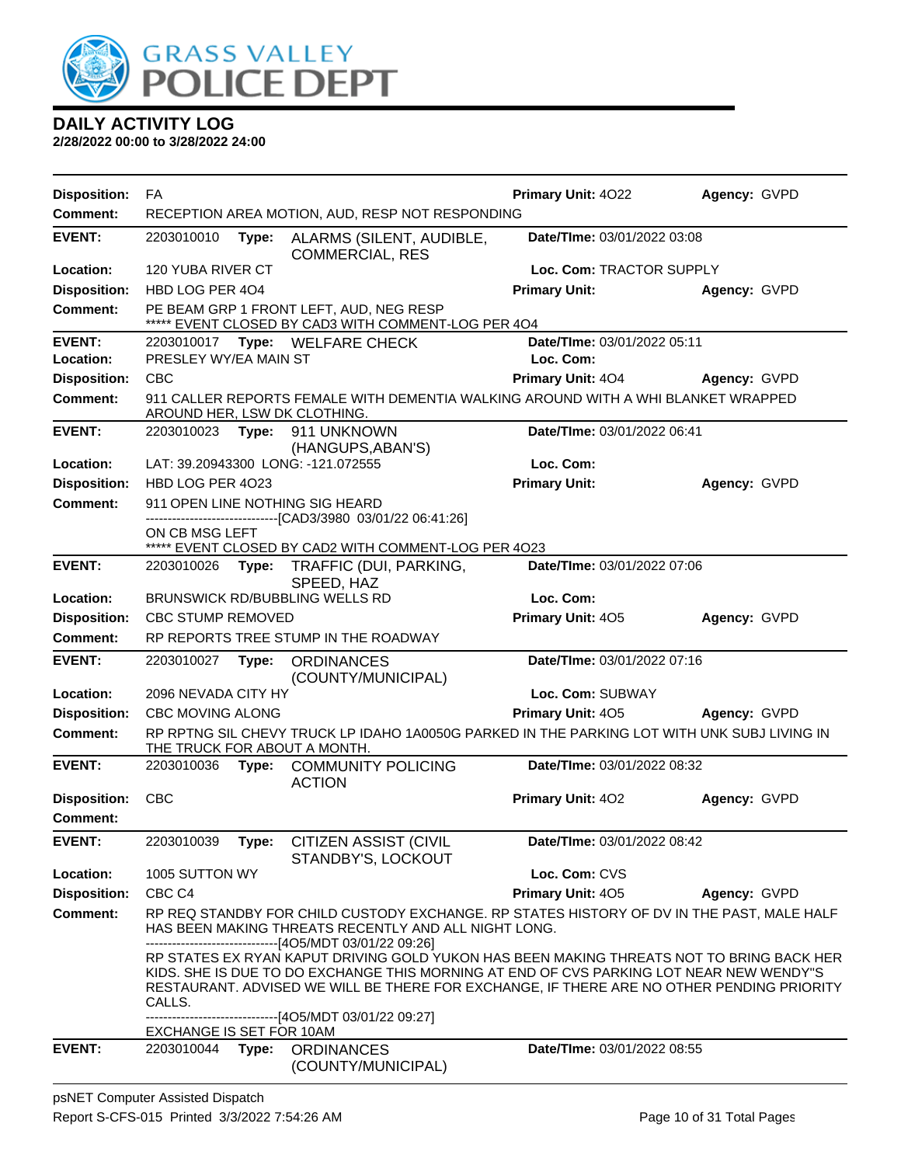

| <b>Disposition:</b>        | FA                       |       |                                                                                                                                                                                                                                                                                  | Primary Unit: 4022                       | Agency: GVPD |
|----------------------------|--------------------------|-------|----------------------------------------------------------------------------------------------------------------------------------------------------------------------------------------------------------------------------------------------------------------------------------|------------------------------------------|--------------|
| <b>Comment:</b>            |                          |       | RECEPTION AREA MOTION, AUD, RESP NOT RESPONDING                                                                                                                                                                                                                                  |                                          |              |
| <b>EVENT:</b>              | 2203010010               | Type: | ALARMS (SILENT, AUDIBLE,<br><b>COMMERCIAL, RES</b>                                                                                                                                                                                                                               | Date/TIme: 03/01/2022 03:08              |              |
| Location:                  | 120 YUBA RIVER CT        |       |                                                                                                                                                                                                                                                                                  | Loc. Com: TRACTOR SUPPLY                 |              |
| <b>Disposition:</b>        | HBD LOG PER 404          |       |                                                                                                                                                                                                                                                                                  | <b>Primary Unit:</b>                     | Agency: GVPD |
| <b>Comment:</b>            |                          |       | PE BEAM GRP 1 FRONT LEFT, AUD, NEG RESP<br>***** EVENT CLOSED BY CAD3 WITH COMMENT-LOG PER 4O4                                                                                                                                                                                   |                                          |              |
| <b>EVENT:</b><br>Location: | PRESLEY WY/EA MAIN ST    |       | 2203010017 Type: WELFARE CHECK                                                                                                                                                                                                                                                   | Date/TIme: 03/01/2022 05:11<br>Loc. Com: |              |
| <b>Disposition:</b>        | <b>CBC</b>               |       |                                                                                                                                                                                                                                                                                  | <b>Primary Unit: 404</b>                 | Agency: GVPD |
| <b>Comment:</b>            |                          |       | 911 CALLER REPORTS FEMALE WITH DEMENTIA WALKING AROUND WITH A WHI BLANKET WRAPPED<br>AROUND HER, LSW DK CLOTHING.                                                                                                                                                                |                                          |              |
| <b>EVENT:</b>              |                          |       | 2203010023 Type: 911 UNKNOWN<br>(HANGUPS, ABAN'S)                                                                                                                                                                                                                                | Date/TIme: 03/01/2022 06:41              |              |
| Location:                  |                          |       | LAT: 39.20943300 LONG: -121.072555                                                                                                                                                                                                                                               | Loc. Com:                                |              |
| <b>Disposition:</b>        | HBD LOG PER 4023         |       |                                                                                                                                                                                                                                                                                  | <b>Primary Unit:</b>                     | Agency: GVPD |
| <b>Comment:</b>            |                          |       | 911 OPEN LINE NOTHING SIG HEARD                                                                                                                                                                                                                                                  |                                          |              |
|                            | ON CB MSG LEFT           |       | ----------------------[CAD3/3980_03/01/22_06:41:26]<br>***** EVENT CLOSED BY CAD2 WITH COMMENT-LOG PER 4023                                                                                                                                                                      |                                          |              |
| <b>EVENT:</b>              | 2203010026 Type:         |       | TRAFFIC (DUI, PARKING,<br>SPEED, HAZ                                                                                                                                                                                                                                             | Date/TIme: 03/01/2022 07:06              |              |
| Location:                  |                          |       | BRUNSWICK RD/BUBBLING WELLS RD                                                                                                                                                                                                                                                   | Loc. Com:                                |              |
| <b>Disposition:</b>        | <b>CBC STUMP REMOVED</b> |       |                                                                                                                                                                                                                                                                                  | Primary Unit: 405                        | Agency: GVPD |
| <b>Comment:</b>            |                          |       | RP REPORTS TREE STUMP IN THE ROADWAY                                                                                                                                                                                                                                             |                                          |              |
| <b>EVENT:</b>              | 2203010027               | Type: | <b>ORDINANCES</b><br>(COUNTY/MUNICIPAL)                                                                                                                                                                                                                                          | Date/TIme: 03/01/2022 07:16              |              |
| Location:                  | 2096 NEVADA CITY HY      |       |                                                                                                                                                                                                                                                                                  | Loc. Com: SUBWAY                         |              |
| <b>Disposition:</b>        | <b>CBC MOVING ALONG</b>  |       |                                                                                                                                                                                                                                                                                  | Primary Unit: 405                        | Agency: GVPD |
| <b>Comment:</b>            |                          |       | RP RPTNG SIL CHEVY TRUCK LP IDAHO 1A0050G PARKED IN THE PARKING LOT WITH UNK SUBJ LIVING IN<br>THE TRUCK FOR ABOUT A MONTH.                                                                                                                                                      |                                          |              |
| <b>EVENT:</b>              | 2203010036               | Type: | <b>COMMUNITY POLICING</b><br><b>ACTION</b>                                                                                                                                                                                                                                       | Date/TIme: 03/01/2022 08:32              |              |
| <b>Disposition:</b>        | <b>CBC</b>               |       |                                                                                                                                                                                                                                                                                  | Primary Unit: 402                        | Agency: GVPD |
| <b>Comment:</b>            |                          |       |                                                                                                                                                                                                                                                                                  |                                          |              |
| <b>EVENT:</b>              |                          |       | 2203010039 Type: CITIZEN ASSIST (CIVIL<br>STANDBY'S, LOCKOUT                                                                                                                                                                                                                     | Date/TIme: 03/01/2022 08:42              |              |
| Location:                  | 1005 SUTTON WY           |       |                                                                                                                                                                                                                                                                                  | Loc. Com: CVS                            |              |
| <b>Disposition:</b>        | CBC <sub>C4</sub>        |       |                                                                                                                                                                                                                                                                                  | Primary Unit: 405                        | Agency: GVPD |
| <b>Comment:</b>            |                          |       | RP REQ STANDBY FOR CHILD CUSTODY EXCHANGE. RP STATES HISTORY OF DV IN THE PAST, MALE HALF<br>HAS BEEN MAKING THREATS RECENTLY AND ALL NIGHT LONG.<br>-------------------------------[4O5/MDT 03/01/22 09:26]                                                                     |                                          |              |
|                            | CALLS.                   |       | RP STATES EX RYAN KAPUT DRIVING GOLD YUKON HAS BEEN MAKING THREATS NOT TO BRING BACK HER<br>KIDS. SHE IS DUE TO DO EXCHANGE THIS MORNING AT END OF CVS PARKING LOT NEAR NEW WENDY"S<br>RESTAURANT. ADVISED WE WILL BE THERE FOR EXCHANGE, IF THERE ARE NO OTHER PENDING PRIORITY |                                          |              |
|                            | EXCHANGE IS SET FOR 10AM |       | -----------------[4O5/MDT 03/01/22 09:27]                                                                                                                                                                                                                                        |                                          |              |
| <b>EVENT:</b>              |                          |       | 2203010044 Type: ORDINANCES<br>(COUNTY/MUNICIPAL)                                                                                                                                                                                                                                | Date/TIme: 03/01/2022 08:55              |              |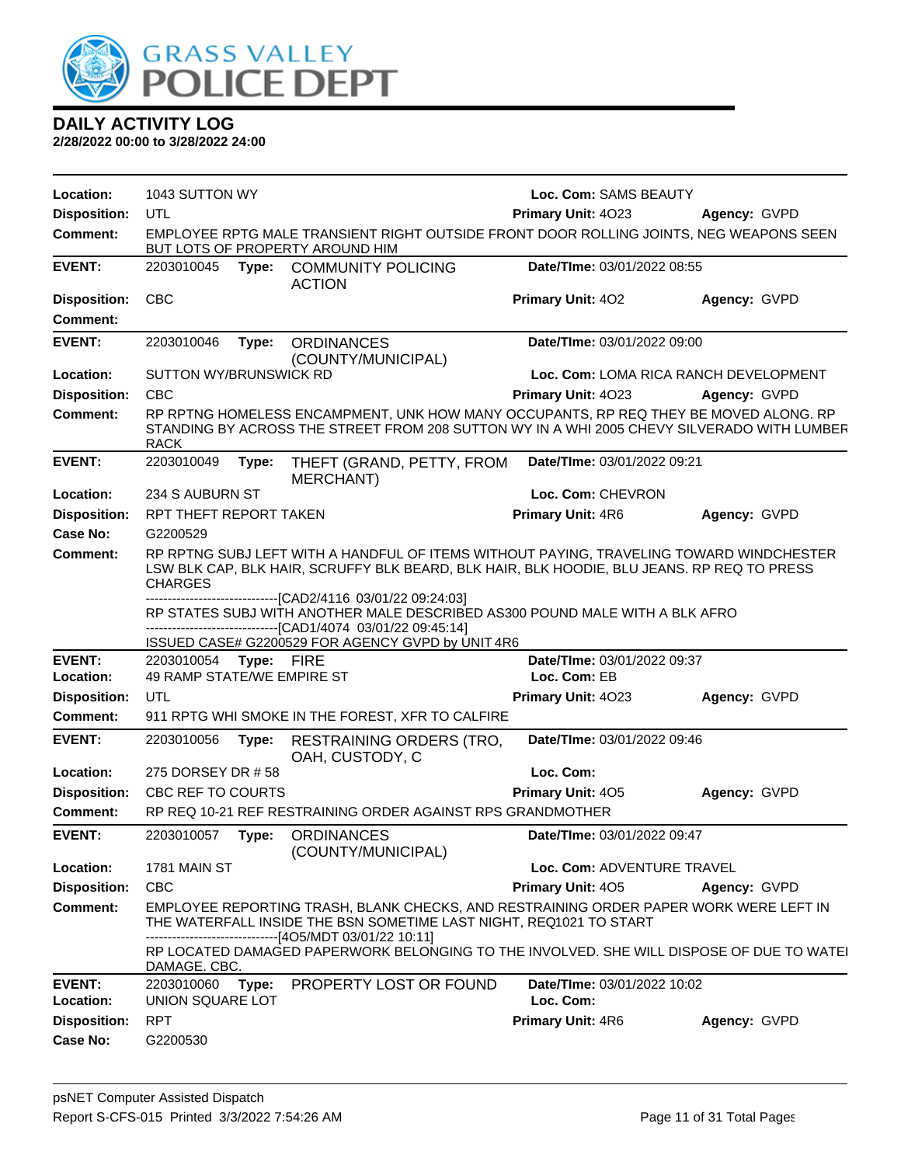

| Location:                  | 1043 SUTTON WY                           |            |                                                                                                                                                                                                          | Loc. Com: SAMS BEAUTY                       |              |
|----------------------------|------------------------------------------|------------|----------------------------------------------------------------------------------------------------------------------------------------------------------------------------------------------------------|---------------------------------------------|--------------|
| <b>Disposition:</b>        | UTL                                      |            |                                                                                                                                                                                                          | Primary Unit: 4023                          | Agency: GVPD |
| <b>Comment:</b>            |                                          |            | EMPLOYEE RPTG MALE TRANSIENT RIGHT OUTSIDE FRONT DOOR ROLLING JOINTS, NEG WEAPONS SEEN<br>BUT LOTS OF PROPERTY AROUND HIM                                                                                |                                             |              |
| <b>EVENT:</b>              | 2203010045                               | Type:      | <b>COMMUNITY POLICING</b><br><b>ACTION</b>                                                                                                                                                               | Date/TIme: 03/01/2022 08:55                 |              |
| <b>Disposition:</b>        | <b>CBC</b>                               |            |                                                                                                                                                                                                          | Primary Unit: 402                           | Agency: GVPD |
| <b>Comment:</b>            |                                          |            |                                                                                                                                                                                                          |                                             |              |
| <b>EVENT:</b>              | 2203010046                               | Type:      | <b>ORDINANCES</b><br>(COUNTY/MUNICIPAL)                                                                                                                                                                  | Date/TIme: 03/01/2022 09:00                 |              |
| Location:                  | SUTTON WY/BRUNSWICK RD                   |            |                                                                                                                                                                                                          | Loc. Com: LOMA RICA RANCH DEVELOPMENT       |              |
| <b>Disposition:</b>        | <b>CBC</b>                               |            |                                                                                                                                                                                                          | Primary Unit: 4023                          | Agency: GVPD |
| <b>Comment:</b>            | <b>RACK</b>                              |            | RP RPTNG HOMELESS ENCAMPMENT, UNK HOW MANY OCCUPANTS, RP REQ THEY BE MOVED ALONG. RP<br>STANDING BY ACROSS THE STREET FROM 208 SUTTON WY IN A WHI 2005 CHEVY SILVERADO WITH LUMBER                       |                                             |              |
| <b>EVENT:</b>              | 2203010049                               | Type:      | THEFT (GRAND, PETTY, FROM<br><b>MERCHANT)</b>                                                                                                                                                            | Date/TIme: 03/01/2022 09:21                 |              |
| Location:                  | 234 S AUBURN ST                          |            |                                                                                                                                                                                                          | Loc. Com: CHEVRON                           |              |
| <b>Disposition:</b>        | RPT THEFT REPORT TAKEN                   |            |                                                                                                                                                                                                          | Primary Unit: 4R6                           | Agency: GVPD |
| Case No:                   | G2200529                                 |            |                                                                                                                                                                                                          |                                             |              |
| Comment:                   | <b>CHARGES</b>                           |            | RP RPTNG SUBJ LEFT WITH A HANDFUL OF ITEMS WITHOUT PAYING, TRAVELING TOWARD WINDCHESTER<br>LSW BLK CAP, BLK HAIR, SCRUFFY BLK BEARD, BLK HAIR, BLK HOODIE, BLU JEANS. RP REQ TO PRESS                    |                                             |              |
|                            |                                          |            | --------------------------------[CAD2/4116 03/01/22 09:24:03]<br>RP STATES SUBJ WITH ANOTHER MALE DESCRIBED AS300 POUND MALE WITH A BLK AFRO<br>------------------[CAD1/4074_03/01/22_09:45:14]          |                                             |              |
|                            |                                          |            | ISSUED CASE# G2200529 FOR AGENCY GVPD by UNIT 4R6                                                                                                                                                        |                                             |              |
| <b>EVENT:</b><br>Location: | 2203010054<br>49 RAMP STATE/WE EMPIRE ST | Type: FIRE |                                                                                                                                                                                                          | Date/TIme: 03/01/2022 09:37<br>Loc. Com: EB |              |
| <b>Disposition:</b>        | UTL                                      |            |                                                                                                                                                                                                          | Primary Unit: 4023                          | Agency: GVPD |
| <b>Comment:</b>            |                                          |            | 911 RPTG WHI SMOKE IN THE FOREST, XFR TO CALFIRE                                                                                                                                                         |                                             |              |
|                            |                                          |            |                                                                                                                                                                                                          |                                             |              |
| <b>EVENT:</b>              | 2203010056                               | Type:      | <b>RESTRAINING ORDERS (TRO,</b><br>OAH, CUSTODY, C                                                                                                                                                       | Date/TIme: 03/01/2022 09:46                 |              |
| Location:                  | 275 DORSEY DR #58                        |            |                                                                                                                                                                                                          | Loc. Com:                                   |              |
| <b>Disposition:</b>        | CBC REF TO COURTS                        |            |                                                                                                                                                                                                          | Primary Unit: 405                           | Agency: GVPD |
| Comment:                   |                                          |            | RP REQ 10-21 REF RESTRAINING ORDER AGAINST RPS GRANDMOTHER                                                                                                                                               |                                             |              |
| <b>EVENT:</b>              | 2203010057                               | Type:      | <b>ORDINANCES</b><br>(COUNTY/MUNICIPAL)                                                                                                                                                                  | Date/TIme: 03/01/2022 09:47                 |              |
| Location:                  | 1781 MAIN ST                             |            |                                                                                                                                                                                                          | <b>Loc. Com: ADVENTURE TRAVEL</b>           |              |
| <b>Disposition:</b>        | <b>CBC</b>                               |            |                                                                                                                                                                                                          | Primary Unit: 405                           | Agency: GVPD |
| <b>Comment:</b>            |                                          |            | EMPLOYEE REPORTING TRASH, BLANK CHECKS, AND RESTRAINING ORDER PAPER WORK WERE LEFT IN<br>THE WATERFALL INSIDE THE BSN SOMETIME LAST NIGHT, REQ1021 TO START<br>-----------------[4O5/MDT 03/01/22 10:11] |                                             |              |
|                            | DAMAGE. CBC.                             |            | RP LOCATED DAMAGED PAPERWORK BELONGING TO THE INVOLVED. SHE WILL DISPOSE OF DUE TO WATEI                                                                                                                 |                                             |              |
| <b>EVENT:</b><br>Location: | 2203010060<br>UNION SQUARE LOT           | Type:      | PROPERTY LOST OR FOUND                                                                                                                                                                                   | Date/TIme: 03/01/2022 10:02<br>Loc. Com:    |              |
| <b>Disposition:</b>        | <b>RPT</b>                               |            |                                                                                                                                                                                                          | Primary Unit: 4R6                           | Agency: GVPD |
| <b>Case No:</b>            | G2200530                                 |            |                                                                                                                                                                                                          |                                             |              |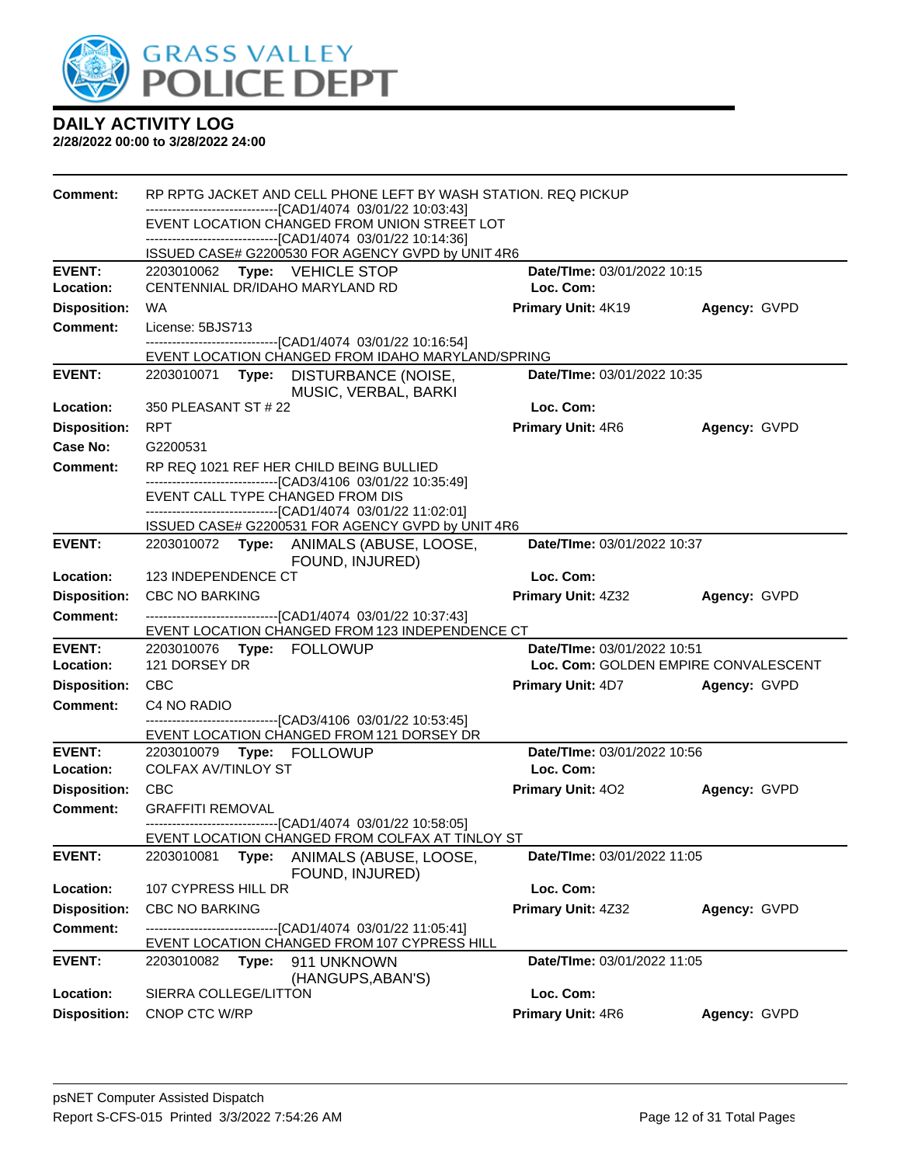

| Comment:            | RP RPTG JACKET AND CELL PHONE LEFT BY WASH STATION. REQ PICKUP                                                                                                               |                                      |              |  |  |  |
|---------------------|------------------------------------------------------------------------------------------------------------------------------------------------------------------------------|--------------------------------------|--------------|--|--|--|
|                     | -------------------------------[CAD1/4074 03/01/22 10:03:43]<br>EVENT LOCATION CHANGED FROM UNION STREET LOT<br>-------------------------------[CAD1/4074 03/01/22 10:14:36] |                                      |              |  |  |  |
|                     | ISSUED CASE# G2200530 FOR AGENCY GVPD by UNIT 4R6                                                                                                                            |                                      |              |  |  |  |
| <b>EVENT:</b>       | 2203010062 Type: VEHICLE STOP                                                                                                                                                | Date/TIme: 03/01/2022 10:15          |              |  |  |  |
| Location:           | CENTENNIAL DR/IDAHO MARYLAND RD                                                                                                                                              | Loc. Com:                            |              |  |  |  |
| <b>Disposition:</b> | WA                                                                                                                                                                           | Primary Unit: 4K19                   | Agency: GVPD |  |  |  |
| <b>Comment:</b>     | License: 5BJS713                                                                                                                                                             |                                      |              |  |  |  |
|                     | ------------------------------[CAD1/4074 03/01/22 10:16:54]<br>EVENT LOCATION CHANGED FROM IDAHO MARYLAND/SPRING                                                             |                                      |              |  |  |  |
| <b>EVENT:</b>       | 2203010071 Type: DISTURBANCE (NOISE,<br>MUSIC, VERBAL, BARKI                                                                                                                 | Date/TIme: 03/01/2022 10:35          |              |  |  |  |
| Location:           | 350 PLEASANT ST # 22                                                                                                                                                         | Loc. Com:                            |              |  |  |  |
| <b>Disposition:</b> | <b>RPT</b>                                                                                                                                                                   | <b>Primary Unit: 4R6</b>             | Agency: GVPD |  |  |  |
| Case No:            | G2200531                                                                                                                                                                     |                                      |              |  |  |  |
| <b>Comment:</b>     | RP REQ 1021 REF HER CHILD BEING BULLIED                                                                                                                                      |                                      |              |  |  |  |
|                     | --------------------------------[CAD3/4106 03/01/22 10:35:49]<br>EVENT CALL TYPE CHANGED FROM DIS                                                                            |                                      |              |  |  |  |
|                     | -------------------------------[CAD1/4074 03/01/22 11:02:01]<br>ISSUED CASE# G2200531 FOR AGENCY GVPD by UNIT 4R6                                                            |                                      |              |  |  |  |
| <b>EVENT:</b>       | 2203010072 Type: ANIMALS (ABUSE, LOOSE,<br>FOUND, INJURED)                                                                                                                   | Date/TIme: 03/01/2022 10:37          |              |  |  |  |
| Location:           | 123 INDEPENDENCE CT                                                                                                                                                          | Loc. Com:                            |              |  |  |  |
| <b>Disposition:</b> | <b>CBC NO BARKING</b>                                                                                                                                                        | <b>Primary Unit: 4Z32</b>            | Agency: GVPD |  |  |  |
| <b>Comment:</b>     | -------------------------------[CAD1/4074 03/01/22 10:37:43]<br>EVENT LOCATION CHANGED FROM 123 INDEPENDENCE CT                                                              |                                      |              |  |  |  |
| <b>EVENT:</b>       |                                                                                                                                                                              | Date/TIme: 03/01/2022 10:51          |              |  |  |  |
| Location:           | 121 DORSEY DR                                                                                                                                                                | Loc. Com: GOLDEN EMPIRE CONVALESCENT |              |  |  |  |
| <b>Disposition:</b> | <b>CBC</b>                                                                                                                                                                   | <b>Primary Unit: 4D7</b>             | Agency: GVPD |  |  |  |
| <b>Comment:</b>     | C4 NO RADIO                                                                                                                                                                  |                                      |              |  |  |  |
|                     | ------------------------------[CAD3/4106 03/01/22 10:53:45]<br>EVENT LOCATION CHANGED FROM 121 DORSEY DR                                                                     |                                      |              |  |  |  |
| <b>EVENT:</b>       |                                                                                                                                                                              | Date/TIme: 03/01/2022 10:56          |              |  |  |  |
| Location:           | <b>COLFAX AV/TINLOY ST</b>                                                                                                                                                   | Loc. Com:                            |              |  |  |  |
| <b>Disposition:</b> | <b>CBC</b>                                                                                                                                                                   | <b>Primary Unit: 402</b>             | Agency: GVPD |  |  |  |
| <b>Comment:</b>     | <b>GRAFFITI REMOVAL</b>                                                                                                                                                      |                                      |              |  |  |  |
|                     | -------------------------------[CAD1/4074 03/01/22 10:58:05]<br>EVENT LOCATION CHANGED FROM COLFAX AT TINLOY ST                                                              |                                      |              |  |  |  |
| <b>EVENT:</b>       | 2203010081 Type: ANIMALS (ABUSE, LOOSE,<br>FOUND, INJURED)                                                                                                                   | Date/TIme: 03/01/2022 11:05          |              |  |  |  |
| Location:           | 107 CYPRESS HILL DR                                                                                                                                                          | Loc. Com:                            |              |  |  |  |
| <b>Disposition:</b> | <b>CBC NO BARKING</b>                                                                                                                                                        | Primary Unit: 4Z32                   | Agency: GVPD |  |  |  |
| <b>Comment:</b>     | -------------------------------[CAD1/4074 03/01/22 11:05:41]<br>EVENT LOCATION CHANGED FROM 107 CYPRESS HILL                                                                 |                                      |              |  |  |  |
| <b>EVENT:</b>       | 911 UNKNOWN<br>2203010082 <b>Type:</b><br>(HANGUPS, ABAN'S)                                                                                                                  | Date/TIme: 03/01/2022 11:05          |              |  |  |  |
| Location:           | SIERRA COLLEGE/LITTON                                                                                                                                                        | Loc. Com:                            |              |  |  |  |
| <b>Disposition:</b> | CNOP CTC W/RP                                                                                                                                                                | Primary Unit: 4R6                    | Agency: GVPD |  |  |  |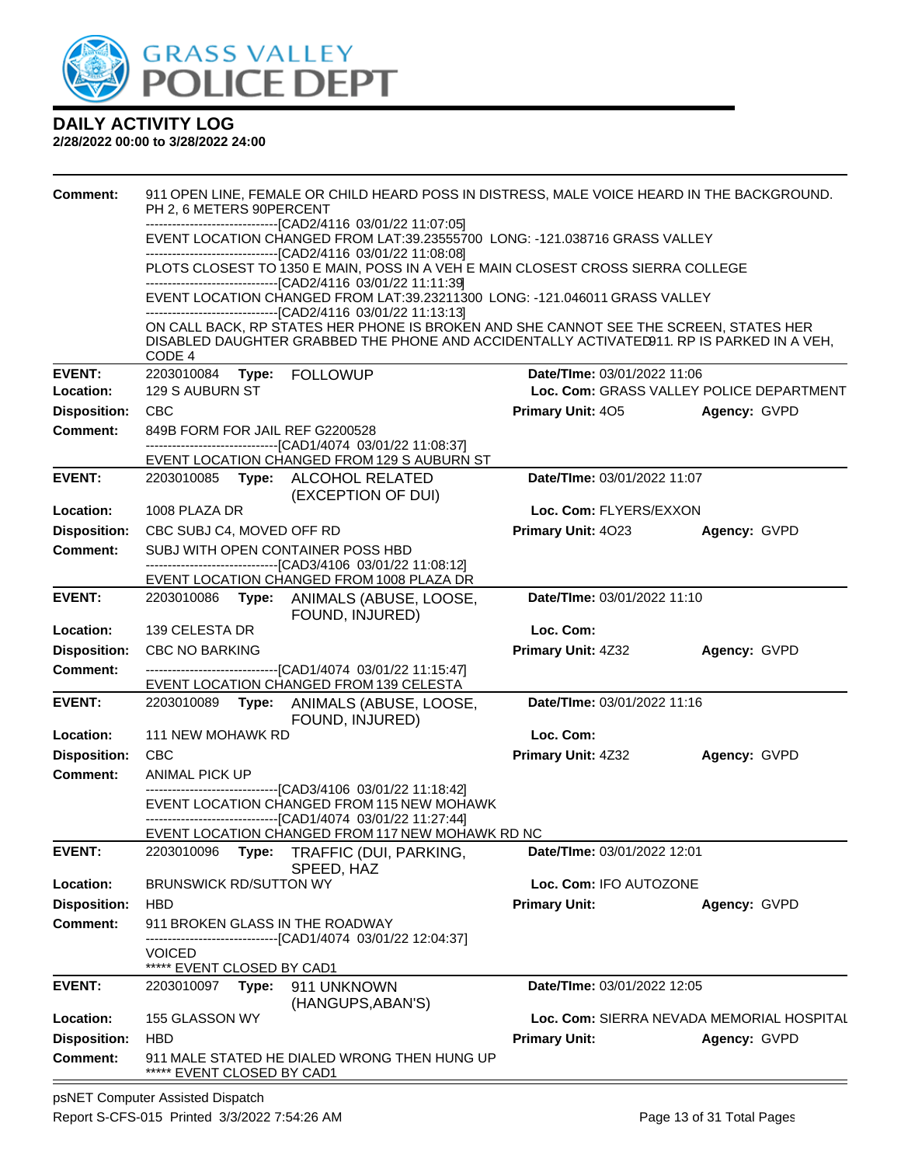

#### **2/28/2022 00:00 to 3/28/2022 24:00**

| <b>Comment:</b>     | PH 2, 6 METERS 90PERCENT                                                                                                                                                 | 911 OPEN LINE, FEMALE OR CHILD HEARD POSS IN DISTRESS, MALE VOICE HEARD IN THE BACKGROUND.                                                                                         |  |  |  |  |
|---------------------|--------------------------------------------------------------------------------------------------------------------------------------------------------------------------|------------------------------------------------------------------------------------------------------------------------------------------------------------------------------------|--|--|--|--|
|                     | ------------------------------[CAD2/4116 03/01/22 11:07:05]                                                                                                              |                                                                                                                                                                                    |  |  |  |  |
|                     | EVENT LOCATION CHANGED FROM LAT:39.23555700 LONG: -121.038716 GRASS VALLEY<br>-------------------------------[CAD2/4116 03/01/22 11:08:08]                               |                                                                                                                                                                                    |  |  |  |  |
|                     | PLOTS CLOSEST TO 1350 E MAIN, POSS IN A VEH E MAIN CLOSEST CROSS SIERRA COLLEGE<br>------------------------------[CAD2/4116 03/01/22 11:11:39]                           |                                                                                                                                                                                    |  |  |  |  |
|                     | EVENT LOCATION CHANGED FROM LAT:39.23211300 LONG: -121.046011 GRASS VALLEY<br>-----------------------------[CAD2/4116_03/01/22_11:13:13]                                 |                                                                                                                                                                                    |  |  |  |  |
|                     |                                                                                                                                                                          | ON CALL BACK, RP STATES HER PHONE IS BROKEN AND SHE CANNOT SEE THE SCREEN, STATES HER<br>DISABLED DAUGHTER GRABBED THE PHONE AND ACCIDENTALLY ACTIVATED911. RP IS PARKED IN A VEH. |  |  |  |  |
| <b>EVENT:</b>       | CODE 4<br>2203010084<br>Type: FOLLOWUP                                                                                                                                   | Date/TIme: 03/01/2022 11:06                                                                                                                                                        |  |  |  |  |
| Location:           | 129 S AUBURN ST                                                                                                                                                          | Loc. Com: GRASS VALLEY POLICE DEPARTMENT                                                                                                                                           |  |  |  |  |
| <b>Disposition:</b> | <b>CBC</b>                                                                                                                                                               | <b>Primary Unit: 405</b><br>Agency: GVPD                                                                                                                                           |  |  |  |  |
| <b>Comment:</b>     | 849B FORM FOR JAIL REF G2200528<br>------------------------------[CAD1/4074 03/01/22 11:08:37]                                                                           |                                                                                                                                                                                    |  |  |  |  |
| <b>EVENT:</b>       | EVENT LOCATION CHANGED FROM 129 S AUBURN ST                                                                                                                              | Date/TIme: 03/01/2022 11:07                                                                                                                                                        |  |  |  |  |
|                     | 2203010085 Type: ALCOHOL RELATED<br>(EXCEPTION OF DUI)                                                                                                                   |                                                                                                                                                                                    |  |  |  |  |
| Location:           | 1008 PLAZA DR                                                                                                                                                            | Loc. Com: FLYERS/EXXON                                                                                                                                                             |  |  |  |  |
| <b>Disposition:</b> | CBC SUBJ C4, MOVED OFF RD                                                                                                                                                | Primary Unit: 4023<br>Agency: GVPD                                                                                                                                                 |  |  |  |  |
| <b>Comment:</b>     | SUBJ WITH OPEN CONTAINER POSS HBD                                                                                                                                        |                                                                                                                                                                                    |  |  |  |  |
|                     | -------------------------------[CAD3/4106 03/01/22 11:08:12]<br>EVENT LOCATION CHANGED FROM 1008 PLAZA DR                                                                |                                                                                                                                                                                    |  |  |  |  |
| <b>EVENT:</b>       | 2203010086 Type: ANIMALS (ABUSE, LOOSE,<br>FOUND, INJURED)                                                                                                               | Date/TIme: 03/01/2022 11:10                                                                                                                                                        |  |  |  |  |
| Location:           | 139 CELESTA DR                                                                                                                                                           | Loc. Com:                                                                                                                                                                          |  |  |  |  |
| <b>Disposition:</b> | <b>CBC NO BARKING</b>                                                                                                                                                    | Primary Unit: 4Z32<br>Agency: GVPD                                                                                                                                                 |  |  |  |  |
| <b>Comment:</b>     | ------------------------------[CAD1/4074 03/01/22 11:15:47]<br>EVENT LOCATION CHANGED FROM 139 CELESTA                                                                   |                                                                                                                                                                                    |  |  |  |  |
| <b>EVENT:</b>       | 2203010089 Type: ANIMALS (ABUSE, LOOSE,<br>FOUND, INJURED)                                                                                                               | Date/TIme: 03/01/2022 11:16                                                                                                                                                        |  |  |  |  |
| Location:           | 111 NEW MOHAWK RD                                                                                                                                                        | Loc. Com:                                                                                                                                                                          |  |  |  |  |
| <b>Disposition:</b> | CBC                                                                                                                                                                      | Primary Unit: 4Z32<br>Agency: GVPD                                                                                                                                                 |  |  |  |  |
| <b>Comment:</b>     | ANIMAL PICK UP                                                                                                                                                           |                                                                                                                                                                                    |  |  |  |  |
|                     | ------------------------------[CAD3/4106 03/01/22 11:18:42]<br>EVENT LOCATION CHANGED FROM 115 NEW MOHAWK<br>------------------------------[CAD1/4074 03/01/22 11:27:44] |                                                                                                                                                                                    |  |  |  |  |
|                     | EVENT LOCATION CHANGED FROM 117 NEW MOHAWK RD NC                                                                                                                         |                                                                                                                                                                                    |  |  |  |  |
| <b>EVENT:</b>       | 2203010096<br>Type:<br>TRAFFIC (DUI, PARKING,<br>SPEED, HAZ                                                                                                              | Date/TIme: 03/01/2022 12:01                                                                                                                                                        |  |  |  |  |
| Location:           | <b>BRUNSWICK RD/SUTTON WY</b>                                                                                                                                            | Loc. Com: IFO AUTOZONE                                                                                                                                                             |  |  |  |  |
| <b>Disposition:</b> | <b>HBD</b>                                                                                                                                                               | <b>Primary Unit:</b><br>Agency: GVPD                                                                                                                                               |  |  |  |  |
| <b>Comment:</b>     | 911 BROKEN GLASS IN THE ROADWAY<br>-----------------------[CAD1/4074_03/01/22 12:04:37]                                                                                  |                                                                                                                                                                                    |  |  |  |  |
|                     | <b>VOICED</b>                                                                                                                                                            |                                                                                                                                                                                    |  |  |  |  |
| <b>EVENT:</b>       | ***** EVENT CLOSED BY CAD1<br>911 UNKNOWN<br>2203010097<br>Type:                                                                                                         | Date/TIme: 03/01/2022 12:05                                                                                                                                                        |  |  |  |  |
|                     | (HANGUPS, ABAN'S)                                                                                                                                                        |                                                                                                                                                                                    |  |  |  |  |
| Location:           | 155 GLASSON WY                                                                                                                                                           | Loc. Com: SIERRA NEVADA MEMORIAL HOSPITAL                                                                                                                                          |  |  |  |  |
| <b>Disposition:</b> | HBD                                                                                                                                                                      | <b>Primary Unit:</b><br>Agency: GVPD                                                                                                                                               |  |  |  |  |
| <b>Comment:</b>     | 911 MALE STATED HE DIALED WRONG THEN HUNG UP<br>***** EVENT CLOSED BY CAD1                                                                                               |                                                                                                                                                                                    |  |  |  |  |
|                     | entra Antioted Dionated                                                                                                                                                  |                                                                                                                                                                                    |  |  |  |  |

psNET Computer Assisted Dispatch Report S-CFS-015 Printed 3/3/2022 7:54:26 AM Page 13 of 31 Total Pages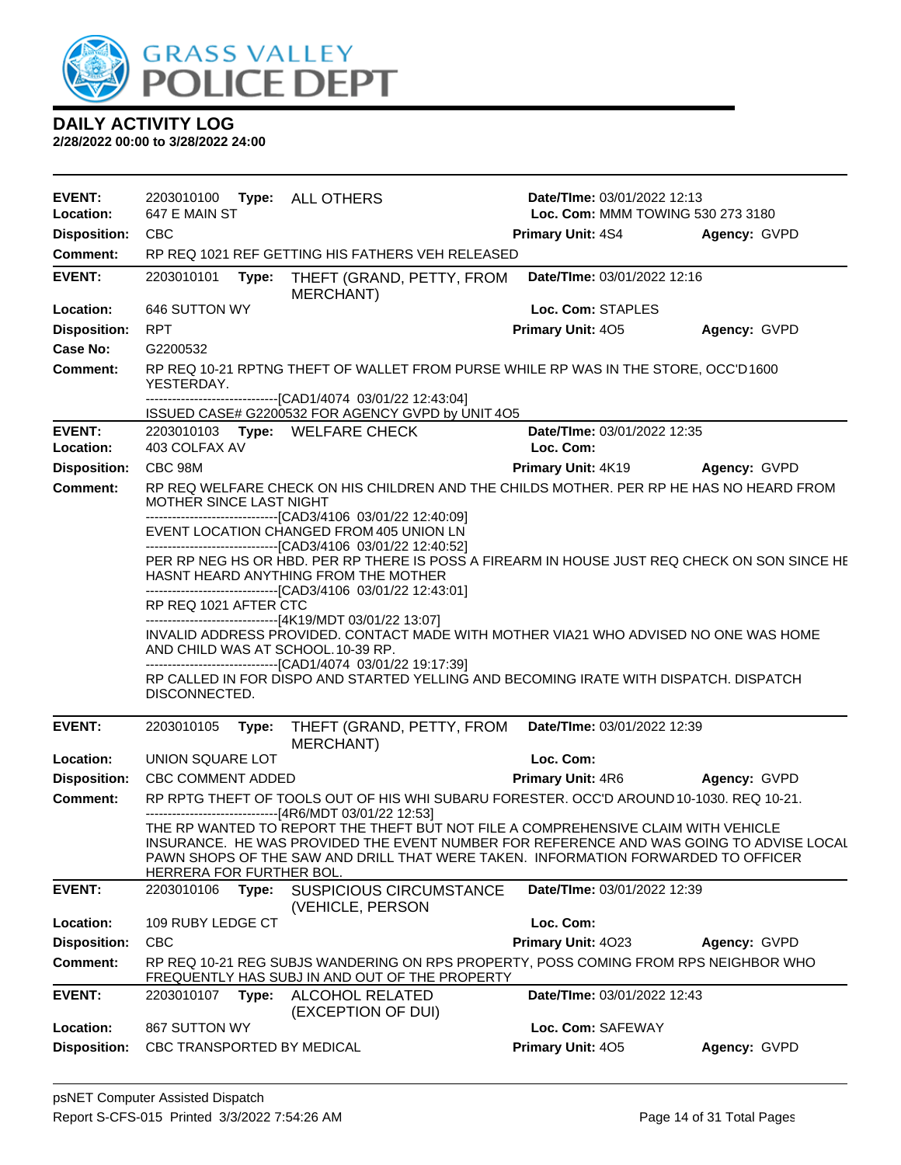

| <b>EVENT:</b><br>Location: | 2203010100<br>647 E MAIN ST |       | <b>Type: ALL OTHERS</b>                                                                                                                                                                                                                                                    | Date/TIme: 03/01/2022 12:13<br>Loc. Com: MMM TOWING 530 273 3180 |              |
|----------------------------|-----------------------------|-------|----------------------------------------------------------------------------------------------------------------------------------------------------------------------------------------------------------------------------------------------------------------------------|------------------------------------------------------------------|--------------|
| <b>Disposition:</b>        | <b>CBC</b>                  |       |                                                                                                                                                                                                                                                                            | <b>Primary Unit: 4S4</b>                                         | Agency: GVPD |
| <b>Comment:</b>            |                             |       | RP REQ 1021 REF GETTING HIS FATHERS VEH RELEASED                                                                                                                                                                                                                           |                                                                  |              |
|                            |                             |       |                                                                                                                                                                                                                                                                            |                                                                  |              |
| <b>EVENT:</b>              | 2203010101                  | Type: | THEFT (GRAND, PETTY, FROM<br>MERCHANT)                                                                                                                                                                                                                                     | Date/TIme: 03/01/2022 12:16                                      |              |
| Location:                  | 646 SUTTON WY               |       |                                                                                                                                                                                                                                                                            | Loc. Com: STAPLES                                                |              |
| <b>Disposition:</b>        | <b>RPT</b>                  |       |                                                                                                                                                                                                                                                                            | Primary Unit: 405                                                | Agency: GVPD |
| <b>Case No:</b>            | G2200532                    |       |                                                                                                                                                                                                                                                                            |                                                                  |              |
| Comment:                   | YESTERDAY.                  |       | RP REQ 10-21 RPTNG THEFT OF WALLET FROM PURSE WHILE RP WAS IN THE STORE, OCC'D1600                                                                                                                                                                                         |                                                                  |              |
|                            |                             |       | ------------------------------[CAD1/4074_03/01/22 12:43:04]<br>ISSUED CASE# G2200532 FOR AGENCY GVPD by UNIT 4O5                                                                                                                                                           |                                                                  |              |
| <b>EVENT:</b>              |                             |       | 2203010103 Type: WELFARE CHECK                                                                                                                                                                                                                                             | Date/TIme: 03/01/2022 12:35                                      |              |
| Location:                  | 403 COLFAX AV               |       |                                                                                                                                                                                                                                                                            | Loc. Com:                                                        |              |
| <b>Disposition:</b>        | CBC 98M                     |       |                                                                                                                                                                                                                                                                            | <b>Primary Unit: 4K19</b>                                        | Agency: GVPD |
| <b>Comment:</b>            | MOTHER SINCE LAST NIGHT     |       | RP REQ WELFARE CHECK ON HIS CHILDREN AND THE CHILDS MOTHER. PER RP HE HAS NO HEARD FROM                                                                                                                                                                                    |                                                                  |              |
|                            |                             |       | -------------------------------[CAD3/4106 03/01/22 12:40:09]<br>EVENT LOCATION CHANGED FROM 405 UNION LN<br>---------------------------------[CAD3/4106 03/01/22 12:40:52]<br>PER RP NEG HS OR HBD. PER RP THERE IS POSS A FIREARM IN HOUSE JUST REQ CHECK ON SON SINCE HE |                                                                  |              |
|                            |                             |       | HASNT HEARD ANYTHING FROM THE MOTHER<br>--------------------------------[CAD3/4106 03/01/22 12:43:01]                                                                                                                                                                      |                                                                  |              |
|                            | RP REQ 1021 AFTER CTC       |       | ------------------------------[4K19/MDT 03/01/22 13:07]                                                                                                                                                                                                                    |                                                                  |              |
|                            |                             |       | INVALID ADDRESS PROVIDED. CONTACT MADE WITH MOTHER VIA21 WHO ADVISED NO ONE WAS HOME<br>AND CHILD WAS AT SCHOOL. 10-39 RP.<br>-------------------------------[CAD1/4074_03/01/22_19:17:39]                                                                                 |                                                                  |              |
|                            | DISCONNECTED.               |       | RP CALLED IN FOR DISPO AND STARTED YELLING AND BECOMING IRATE WITH DISPATCH. DISPATCH                                                                                                                                                                                      |                                                                  |              |
| <b>EVENT:</b>              | 2203010105                  | Type: | THEFT (GRAND, PETTY, FROM<br><b>MERCHANT)</b>                                                                                                                                                                                                                              | Date/TIme: 03/01/2022 12:39                                      |              |
| Location:                  | UNION SQUARE LOT            |       |                                                                                                                                                                                                                                                                            | Loc. Com:                                                        |              |
| <b>Disposition:</b>        | <b>CBC COMMENT ADDED</b>    |       |                                                                                                                                                                                                                                                                            | Primary Unit: 4R6 Agency: GVPD                                   |              |
| <b>Comment:</b>            |                             |       | RP RPTG THEFT OF TOOLS OUT OF HIS WHI SUBARU FORESTER. OCC'D AROUND 10-1030. REQ 10-21.<br>-------------------------------[4R6/MDT 03/01/22 12:53]                                                                                                                         |                                                                  |              |
|                            | HERRERA FOR FURTHER BOL.    |       | THE RP WANTED TO REPORT THE THEFT BUT NOT FILE A COMPREHENSIVE CLAIM WITH VEHICLE<br>INSURANCE. HE WAS PROVIDED THE EVENT NUMBER FOR REFERENCE AND WAS GOING TO ADVISE LOCAL<br>PAWN SHOPS OF THE SAW AND DRILL THAT WERE TAKEN. INFORMATION FORWARDED TO OFFICER          |                                                                  |              |
| <b>EVENT:</b>              | 2203010106                  | Type: | <b>SUSPICIOUS CIRCUMSTANCE</b><br>(VEHICLE, PERSON                                                                                                                                                                                                                         | Date/TIme: 03/01/2022 12:39                                      |              |
| Location:                  | 109 RUBY LEDGE CT           |       |                                                                                                                                                                                                                                                                            | Loc. Com:                                                        |              |
| <b>Disposition:</b>        | <b>CBC</b>                  |       |                                                                                                                                                                                                                                                                            | Primary Unit: 4023                                               | Agency: GVPD |
| <b>Comment:</b>            |                             |       | RP REQ 10-21 REG SUBJS WANDERING ON RPS PROPERTY, POSS COMING FROM RPS NEIGHBOR WHO<br>FREQUENTLY HAS SUBJ IN AND OUT OF THE PROPERTY                                                                                                                                      |                                                                  |              |
| <b>EVENT:</b>              | 2203010107                  | Type: | ALCOHOL RELATED<br>(EXCEPTION OF DUI)                                                                                                                                                                                                                                      | Date/TIme: 03/01/2022 12:43                                      |              |
| Location:                  | 867 SUTTON WY               |       |                                                                                                                                                                                                                                                                            | Loc. Com: SAFEWAY                                                |              |
| <b>Disposition:</b>        | CBC TRANSPORTED BY MEDICAL  |       |                                                                                                                                                                                                                                                                            | Primary Unit: 405                                                | Agency: GVPD |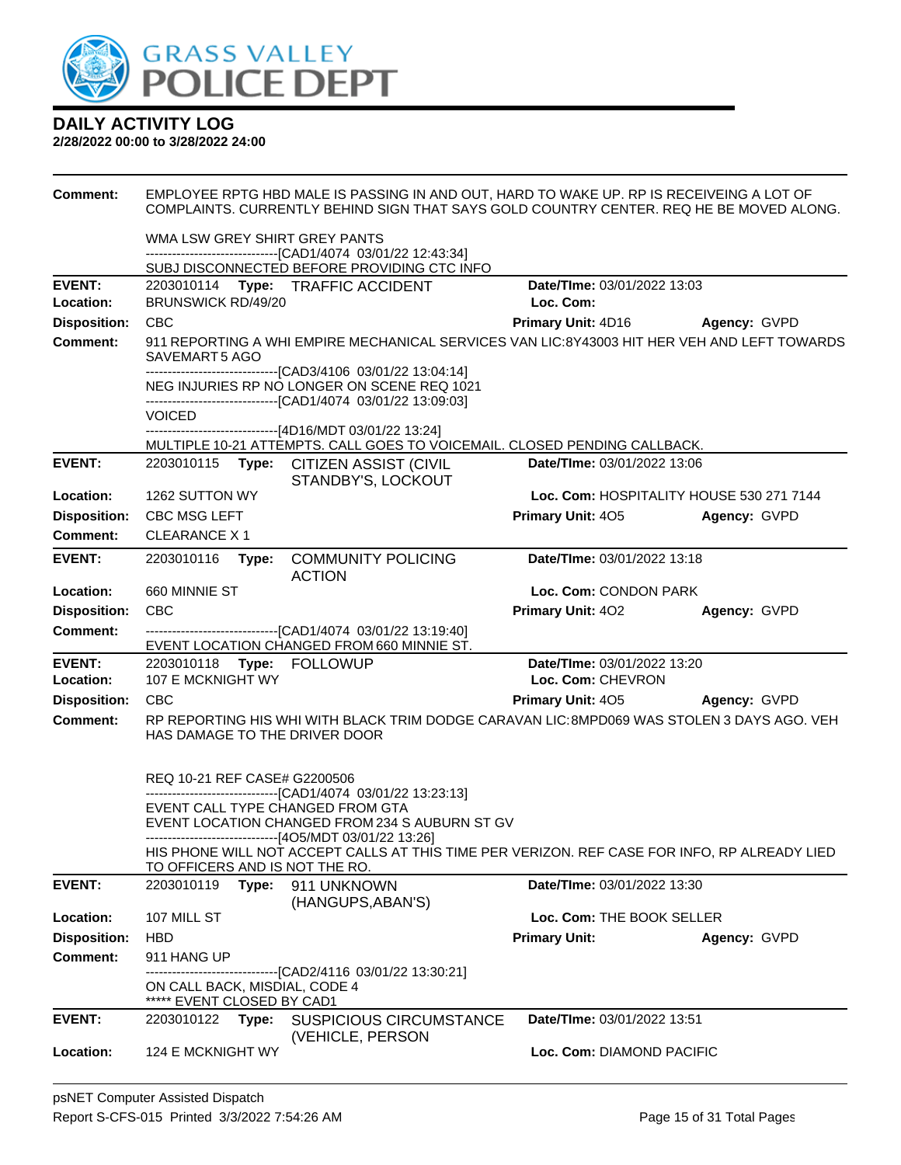

| <b>Comment:</b>            | EMPLOYEE RPTG HBD MALE IS PASSING IN AND OUT, HARD TO WAKE UP. RP IS RECEIVEING A LOT OF<br>COMPLAINTS. CURRENTLY BEHIND SIGN THAT SAYS GOLD COUNTRY CENTER. REQ HE BE MOVED ALONG. |                                                                                                                                                             |                                                  |              |
|----------------------------|-------------------------------------------------------------------------------------------------------------------------------------------------------------------------------------|-------------------------------------------------------------------------------------------------------------------------------------------------------------|--------------------------------------------------|--------------|
|                            | WMA LSW GREY SHIRT GREY PANTS                                                                                                                                                       |                                                                                                                                                             |                                                  |              |
|                            |                                                                                                                                                                                     | ------------------------------[CAD1/4074 03/01/22 12:43:34]<br>SUBJ DISCONNECTED BEFORE PROVIDING CTC INFO                                                  |                                                  |              |
| <b>EVENT:</b>              |                                                                                                                                                                                     | 2203010114 Type: TRAFFIC ACCIDENT                                                                                                                           | Date/TIme: 03/01/2022 13:03                      |              |
| Location:                  | BRUNSWICK RD/49/20                                                                                                                                                                  |                                                                                                                                                             | Loc. Com:                                        |              |
| <b>Disposition:</b>        | <b>CBC</b>                                                                                                                                                                          |                                                                                                                                                             | Primary Unit: 4D16 Agency: GVPD                  |              |
| <b>Comment:</b>            | SAVEMART5 AGO                                                                                                                                                                       | 911 REPORTING A WHI EMPIRE MECHANICAL SERVICES VAN LIC:8Y43003 HIT HER VEH AND LEFT TOWARDS<br>-------------------------------[CAD3/4106 03/01/22 13:04:14] |                                                  |              |
|                            |                                                                                                                                                                                     | NEG INJURIES RP NO LONGER ON SCENE REQ 1021<br>-------------------------------[CAD1/4074_03/01/22_13:09:03]                                                 |                                                  |              |
|                            | <b>VOICED</b>                                                                                                                                                                       |                                                                                                                                                             |                                                  |              |
|                            |                                                                                                                                                                                     | ------------------------------[4D16/MDT 03/01/22 13:24]<br>MULTIPLE 10-21 ATTEMPTS. CALL GOES TO VOICEMAIL. CLOSED PENDING CALLBACK.                        |                                                  |              |
| <b>EVENT:</b>              |                                                                                                                                                                                     | 2203010115 Type: CITIZEN ASSIST (CIVIL<br>STANDBY'S, LOCKOUT                                                                                                | Date/TIme: 03/01/2022 13:06                      |              |
| Location:                  | 1262 SUTTON WY                                                                                                                                                                      |                                                                                                                                                             | Loc. Com: HOSPITALITY HOUSE 530 271 7144         |              |
| <b>Disposition:</b>        | <b>CBC MSG LEFT</b>                                                                                                                                                                 |                                                                                                                                                             | Primary Unit: 405                                | Agency: GVPD |
| Comment:                   | <b>CLEARANCE X1</b>                                                                                                                                                                 |                                                                                                                                                             |                                                  |              |
| <b>EVENT:</b>              | 2203010116<br>Type:                                                                                                                                                                 | <b>COMMUNITY POLICING</b><br><b>ACTION</b>                                                                                                                  | Date/TIme: 03/01/2022 13:18                      |              |
| Location:                  | 660 MINNIE ST                                                                                                                                                                       |                                                                                                                                                             | Loc. Com: CONDON PARK                            |              |
| <b>Disposition:</b>        | CBC                                                                                                                                                                                 |                                                                                                                                                             | <b>Primary Unit: 402</b>                         | Agency: GVPD |
| <b>Comment:</b>            |                                                                                                                                                                                     | -------------------------------[CAD1/4074 03/01/22 13:19:40]<br>EVENT LOCATION CHANGED FROM 660 MINNIE ST.                                                  |                                                  |              |
| <b>EVENT:</b><br>Location: | 107 E MCKNIGHT WY                                                                                                                                                                   |                                                                                                                                                             | Date/TIme: 03/01/2022 13:20<br>Loc. Com: CHEVRON |              |
| <b>Disposition:</b>        | <b>CBC</b>                                                                                                                                                                          |                                                                                                                                                             | <b>Primary Unit: 405</b>                         | Agency: GVPD |
| <b>Comment:</b>            | HAS DAMAGE TO THE DRIVER DOOR                                                                                                                                                       | RP REPORTING HIS WHI WITH BLACK TRIM DODGE CARAVAN LIC:8MPD069 WAS STOLEN 3 DAYS AGO. VEH                                                                   |                                                  |              |
|                            | REQ 10-21 REF CASE# G2200506<br>EVENT CALL TYPE CHANGED FROM GTA                                                                                                                    | -------------------------------[CAD1/4074_03/01/22 13:23:13]                                                                                                |                                                  |              |
|                            |                                                                                                                                                                                     | EVENT LOCATION CHANGED FROM 234 S AUBURN ST GV<br>-------------------------------[4O5/MDT 03/01/22 13:26]                                                   |                                                  |              |
|                            | TO OFFICERS AND IS NOT THE RO.                                                                                                                                                      | HIS PHONE WILL NOT ACCEPT CALLS AT THIS TIME PER VERIZON. REF CASE FOR INFO, RP ALREADY LIED                                                                |                                                  |              |
| <b>EVENT:</b>              | 2203010119<br>Type:                                                                                                                                                                 | 911 UNKNOWN<br>(HANGUPS, ABAN'S)                                                                                                                            | Date/TIme: 03/01/2022 13:30                      |              |
| Location:                  | 107 MILL ST                                                                                                                                                                         |                                                                                                                                                             | Loc. Com: THE BOOK SELLER                        |              |
| <b>Disposition:</b>        | <b>HBD</b>                                                                                                                                                                          |                                                                                                                                                             | <b>Primary Unit:</b>                             | Agency: GVPD |
| <b>Comment:</b>            | 911 HANG UP                                                                                                                                                                         | ----------[CAD2/4116_03/01/22 13:30:21]                                                                                                                     |                                                  |              |
|                            | ON CALL BACK, MISDIAL, CODE 4<br>***** EVENT CLOSED BY CAD1                                                                                                                         |                                                                                                                                                             |                                                  |              |
| <b>EVENT:</b>              | 2203010122<br>Type:                                                                                                                                                                 | <b>SUSPICIOUS CIRCUMSTANCE</b><br>(VEHICLE, PERSON                                                                                                          | Date/TIme: 03/01/2022 13:51                      |              |
| Location:                  | 124 E MCKNIGHT WY                                                                                                                                                                   |                                                                                                                                                             | Loc. Com: DIAMOND PACIFIC                        |              |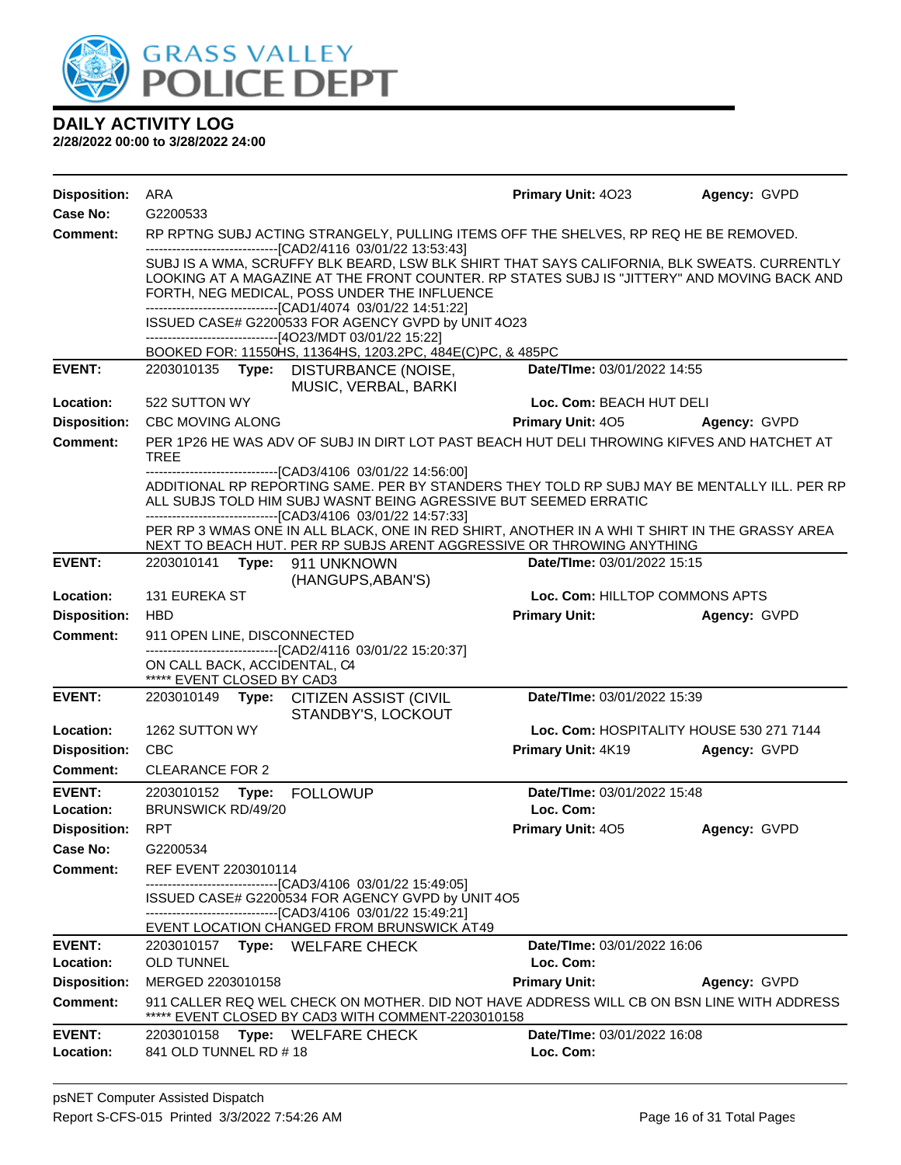

| <b>Case No:</b><br>G2200533<br><b>Comment:</b><br>RP RPTNG SUBJ ACTING STRANGELY, PULLING ITEMS OFF THE SHELVES, RP REQ HE BE REMOVED.<br>-------------------------------[CAD2/4116 03/01/22 13:53:43]<br>SUBJ IS A WMA, SCRUFFY BLK BEARD, LSW BLK SHIRT THAT SAYS CALIFORNIA, BLK SWEATS. CURRENTLY<br>LOOKING AT A MAGAZINE AT THE FRONT COUNTER. RP STATES SUBJ IS "JITTERY" AND MOVING BACK AND<br>FORTH, NEG MEDICAL, POSS UNDER THE INFLUENCE<br>-------------------------------[CAD1/4074 03/01/22 14:51:22]<br>ISSUED CASE# G2200533 FOR AGENCY GVPD by UNIT 4O23<br>------------------------------[4O23/MDT 03/01/22 15:22]<br>BOOKED FOR: 11550HS, 11364HS, 1203.2PC, 484E(C)PC, & 485PC<br><b>EVENT:</b><br>DISTURBANCE (NOISE,<br>Date/TIme: 03/01/2022 14:55<br>2203010135<br>Type:<br>MUSIC, VERBAL, BARKI<br>Location:<br>522 SUTTON WY<br>Loc. Com: BEACH HUT DELI<br><b>Disposition:</b><br><b>Primary Unit: 405</b><br><b>CBC MOVING ALONG</b><br>Agency: GVPD<br>PER 1P26 HE WAS ADV OF SUBJ IN DIRT LOT PAST BEACH HUT DELI THROWING KIFVES AND HATCHET AT<br><b>Comment:</b><br>TREE<br>--------------------------------[CAD3/4106 03/01/22 14:56:00]<br>ADDITIONAL RP REPORTING SAME. PER BY STANDERS THEY TOLD RP SUBJ MAY BE MENTALLY ILL. PER RP<br>ALL SUBJS TOLD HIM SUBJ WASNT BEING AGRESSIVE BUT SEEMED ERRATIC<br>--------------------------------[CAD3/4106 03/01/22 14:57:33]<br>PER RP 3 WMAS ONE IN ALL BLACK, ONE IN RED SHIRT, ANOTHER IN A WHI T SHIRT IN THE GRASSY AREA<br>NEXT TO BEACH HUT. PER RP SUBJS ARENT AGGRESSIVE OR THROWING ANYTHING<br><b>EVENT:</b><br>2203010141<br>Date/TIme: 03/01/2022 15:15<br>Type: 911 UNKNOWN<br>(HANGUPS, ABAN'S)<br>Location:<br><b>131 EUREKA ST</b><br>Loc. Com: HILLTOP COMMONS APTS<br><b>Disposition:</b><br><b>HBD</b><br><b>Primary Unit:</b><br>Agency: GVPD<br><b>Comment:</b><br>911 OPEN LINE, DISCONNECTED<br>-------------------------------[CAD2/4116 03/01/22 15:20:37]<br>ON CALL BACK, ACCIDENTAL, C4<br>***** EVENT CLOSED BY CAD3<br><b>EVENT:</b><br>Date/TIme: 03/01/2022 15:39<br>2203010149<br>Type: CITIZEN ASSIST (CIVIL<br>STANDBY'S, LOCKOUT<br>Location:<br>1262 SUTTON WY<br>Loc. Com: HOSPITALITY HOUSE 530 271 7144<br><b>Disposition:</b><br><b>CBC</b><br>Primary Unit: 4K19<br>Agency: GVPD<br><b>CLEARANCE FOR 2</b><br>Comment:<br><b>EVENT:</b><br>Date/TIme: 03/01/2022 15:48<br>2203010152<br>Type:<br><b>FOLLOWUP</b><br>Loc. Com:<br>Location:<br>BRUNSWICK RD/49/20<br><b>RPT</b><br><b>Primary Unit: 405</b><br><b>Disposition:</b><br>Agency: GVPD<br>Case No:<br>G2200534<br><b>Comment:</b><br>REF EVENT 2203010114<br>-----------------------[CAD3/4106_03/01/22 15:49:05]<br>ISSUED CASE# G2200534 FOR AGENCY GVPD by UNIT 4O5<br>------------------------------[CAD3/4106 03/01/22 15:49:21]<br>EVENT LOCATION CHANGED FROM BRUNSWICK AT49<br><b>EVENT:</b><br>Date/TIme: 03/01/2022 16:06<br>2203010157 Type: WELFARE CHECK<br>Loc. Com:<br>Location:<br><b>OLD TUNNEL</b><br><b>Disposition:</b><br><b>Primary Unit:</b><br>MERGED 2203010158<br>Agency: GVPD<br><b>Comment:</b><br>911 CALLER REQ WEL CHECK ON MOTHER. DID NOT HAVE ADDRESS WILL CB ON BSN LINE WITH ADDRESS<br>***** EVENT CLOSED BY CAD3 WITH COMMENT-2203010158<br>Date/TIme: 03/01/2022 16:08<br><b>EVENT:</b><br>2203010158<br>Type: WELFARE CHECK<br>841 OLD TUNNEL RD # 18<br>Loc. Com:<br>Location: | <b>Disposition:</b> | ARA | Primary Unit: 4023 | Agency: GVPD |
|------------------------------------------------------------------------------------------------------------------------------------------------------------------------------------------------------------------------------------------------------------------------------------------------------------------------------------------------------------------------------------------------------------------------------------------------------------------------------------------------------------------------------------------------------------------------------------------------------------------------------------------------------------------------------------------------------------------------------------------------------------------------------------------------------------------------------------------------------------------------------------------------------------------------------------------------------------------------------------------------------------------------------------------------------------------------------------------------------------------------------------------------------------------------------------------------------------------------------------------------------------------------------------------------------------------------------------------------------------------------------------------------------------------------------------------------------------------------------------------------------------------------------------------------------------------------------------------------------------------------------------------------------------------------------------------------------------------------------------------------------------------------------------------------------------------------------------------------------------------------------------------------------------------------------------------------------------------------------------------------------------------------------------------------------------------------------------------------------------------------------------------------------------------------------------------------------------------------------------------------------------------------------------------------------------------------------------------------------------------------------------------------------------------------------------------------------------------------------------------------------------------------------------------------------------------------------------------------------------------------------------------------------------------------------------------------------------------------------------------------------------------------------------------------------------------------------------------------------------------------------------------------------------------------------------------------------------------------------------------------------------------------------------------------------------------------------------------------------------------------------------------------------------------------------------------------------------------------------------------------------------------------------------------------------------------------------------------------------------------------------------------------------------------|---------------------|-----|--------------------|--------------|
|                                                                                                                                                                                                                                                                                                                                                                                                                                                                                                                                                                                                                                                                                                                                                                                                                                                                                                                                                                                                                                                                                                                                                                                                                                                                                                                                                                                                                                                                                                                                                                                                                                                                                                                                                                                                                                                                                                                                                                                                                                                                                                                                                                                                                                                                                                                                                                                                                                                                                                                                                                                                                                                                                                                                                                                                                                                                                                                                                                                                                                                                                                                                                                                                                                                                                                                                                                                                                  |                     |     |                    |              |
|                                                                                                                                                                                                                                                                                                                                                                                                                                                                                                                                                                                                                                                                                                                                                                                                                                                                                                                                                                                                                                                                                                                                                                                                                                                                                                                                                                                                                                                                                                                                                                                                                                                                                                                                                                                                                                                                                                                                                                                                                                                                                                                                                                                                                                                                                                                                                                                                                                                                                                                                                                                                                                                                                                                                                                                                                                                                                                                                                                                                                                                                                                                                                                                                                                                                                                                                                                                                                  |                     |     |                    |              |
|                                                                                                                                                                                                                                                                                                                                                                                                                                                                                                                                                                                                                                                                                                                                                                                                                                                                                                                                                                                                                                                                                                                                                                                                                                                                                                                                                                                                                                                                                                                                                                                                                                                                                                                                                                                                                                                                                                                                                                                                                                                                                                                                                                                                                                                                                                                                                                                                                                                                                                                                                                                                                                                                                                                                                                                                                                                                                                                                                                                                                                                                                                                                                                                                                                                                                                                                                                                                                  |                     |     |                    |              |
|                                                                                                                                                                                                                                                                                                                                                                                                                                                                                                                                                                                                                                                                                                                                                                                                                                                                                                                                                                                                                                                                                                                                                                                                                                                                                                                                                                                                                                                                                                                                                                                                                                                                                                                                                                                                                                                                                                                                                                                                                                                                                                                                                                                                                                                                                                                                                                                                                                                                                                                                                                                                                                                                                                                                                                                                                                                                                                                                                                                                                                                                                                                                                                                                                                                                                                                                                                                                                  |                     |     |                    |              |
|                                                                                                                                                                                                                                                                                                                                                                                                                                                                                                                                                                                                                                                                                                                                                                                                                                                                                                                                                                                                                                                                                                                                                                                                                                                                                                                                                                                                                                                                                                                                                                                                                                                                                                                                                                                                                                                                                                                                                                                                                                                                                                                                                                                                                                                                                                                                                                                                                                                                                                                                                                                                                                                                                                                                                                                                                                                                                                                                                                                                                                                                                                                                                                                                                                                                                                                                                                                                                  |                     |     |                    |              |
|                                                                                                                                                                                                                                                                                                                                                                                                                                                                                                                                                                                                                                                                                                                                                                                                                                                                                                                                                                                                                                                                                                                                                                                                                                                                                                                                                                                                                                                                                                                                                                                                                                                                                                                                                                                                                                                                                                                                                                                                                                                                                                                                                                                                                                                                                                                                                                                                                                                                                                                                                                                                                                                                                                                                                                                                                                                                                                                                                                                                                                                                                                                                                                                                                                                                                                                                                                                                                  |                     |     |                    |              |
|                                                                                                                                                                                                                                                                                                                                                                                                                                                                                                                                                                                                                                                                                                                                                                                                                                                                                                                                                                                                                                                                                                                                                                                                                                                                                                                                                                                                                                                                                                                                                                                                                                                                                                                                                                                                                                                                                                                                                                                                                                                                                                                                                                                                                                                                                                                                                                                                                                                                                                                                                                                                                                                                                                                                                                                                                                                                                                                                                                                                                                                                                                                                                                                                                                                                                                                                                                                                                  |                     |     |                    |              |
|                                                                                                                                                                                                                                                                                                                                                                                                                                                                                                                                                                                                                                                                                                                                                                                                                                                                                                                                                                                                                                                                                                                                                                                                                                                                                                                                                                                                                                                                                                                                                                                                                                                                                                                                                                                                                                                                                                                                                                                                                                                                                                                                                                                                                                                                                                                                                                                                                                                                                                                                                                                                                                                                                                                                                                                                                                                                                                                                                                                                                                                                                                                                                                                                                                                                                                                                                                                                                  |                     |     |                    |              |
|                                                                                                                                                                                                                                                                                                                                                                                                                                                                                                                                                                                                                                                                                                                                                                                                                                                                                                                                                                                                                                                                                                                                                                                                                                                                                                                                                                                                                                                                                                                                                                                                                                                                                                                                                                                                                                                                                                                                                                                                                                                                                                                                                                                                                                                                                                                                                                                                                                                                                                                                                                                                                                                                                                                                                                                                                                                                                                                                                                                                                                                                                                                                                                                                                                                                                                                                                                                                                  |                     |     |                    |              |
|                                                                                                                                                                                                                                                                                                                                                                                                                                                                                                                                                                                                                                                                                                                                                                                                                                                                                                                                                                                                                                                                                                                                                                                                                                                                                                                                                                                                                                                                                                                                                                                                                                                                                                                                                                                                                                                                                                                                                                                                                                                                                                                                                                                                                                                                                                                                                                                                                                                                                                                                                                                                                                                                                                                                                                                                                                                                                                                                                                                                                                                                                                                                                                                                                                                                                                                                                                                                                  |                     |     |                    |              |
|                                                                                                                                                                                                                                                                                                                                                                                                                                                                                                                                                                                                                                                                                                                                                                                                                                                                                                                                                                                                                                                                                                                                                                                                                                                                                                                                                                                                                                                                                                                                                                                                                                                                                                                                                                                                                                                                                                                                                                                                                                                                                                                                                                                                                                                                                                                                                                                                                                                                                                                                                                                                                                                                                                                                                                                                                                                                                                                                                                                                                                                                                                                                                                                                                                                                                                                                                                                                                  |                     |     |                    |              |
|                                                                                                                                                                                                                                                                                                                                                                                                                                                                                                                                                                                                                                                                                                                                                                                                                                                                                                                                                                                                                                                                                                                                                                                                                                                                                                                                                                                                                                                                                                                                                                                                                                                                                                                                                                                                                                                                                                                                                                                                                                                                                                                                                                                                                                                                                                                                                                                                                                                                                                                                                                                                                                                                                                                                                                                                                                                                                                                                                                                                                                                                                                                                                                                                                                                                                                                                                                                                                  |                     |     |                    |              |
|                                                                                                                                                                                                                                                                                                                                                                                                                                                                                                                                                                                                                                                                                                                                                                                                                                                                                                                                                                                                                                                                                                                                                                                                                                                                                                                                                                                                                                                                                                                                                                                                                                                                                                                                                                                                                                                                                                                                                                                                                                                                                                                                                                                                                                                                                                                                                                                                                                                                                                                                                                                                                                                                                                                                                                                                                                                                                                                                                                                                                                                                                                                                                                                                                                                                                                                                                                                                                  |                     |     |                    |              |
|                                                                                                                                                                                                                                                                                                                                                                                                                                                                                                                                                                                                                                                                                                                                                                                                                                                                                                                                                                                                                                                                                                                                                                                                                                                                                                                                                                                                                                                                                                                                                                                                                                                                                                                                                                                                                                                                                                                                                                                                                                                                                                                                                                                                                                                                                                                                                                                                                                                                                                                                                                                                                                                                                                                                                                                                                                                                                                                                                                                                                                                                                                                                                                                                                                                                                                                                                                                                                  |                     |     |                    |              |
|                                                                                                                                                                                                                                                                                                                                                                                                                                                                                                                                                                                                                                                                                                                                                                                                                                                                                                                                                                                                                                                                                                                                                                                                                                                                                                                                                                                                                                                                                                                                                                                                                                                                                                                                                                                                                                                                                                                                                                                                                                                                                                                                                                                                                                                                                                                                                                                                                                                                                                                                                                                                                                                                                                                                                                                                                                                                                                                                                                                                                                                                                                                                                                                                                                                                                                                                                                                                                  |                     |     |                    |              |
|                                                                                                                                                                                                                                                                                                                                                                                                                                                                                                                                                                                                                                                                                                                                                                                                                                                                                                                                                                                                                                                                                                                                                                                                                                                                                                                                                                                                                                                                                                                                                                                                                                                                                                                                                                                                                                                                                                                                                                                                                                                                                                                                                                                                                                                                                                                                                                                                                                                                                                                                                                                                                                                                                                                                                                                                                                                                                                                                                                                                                                                                                                                                                                                                                                                                                                                                                                                                                  |                     |     |                    |              |
|                                                                                                                                                                                                                                                                                                                                                                                                                                                                                                                                                                                                                                                                                                                                                                                                                                                                                                                                                                                                                                                                                                                                                                                                                                                                                                                                                                                                                                                                                                                                                                                                                                                                                                                                                                                                                                                                                                                                                                                                                                                                                                                                                                                                                                                                                                                                                                                                                                                                                                                                                                                                                                                                                                                                                                                                                                                                                                                                                                                                                                                                                                                                                                                                                                                                                                                                                                                                                  |                     |     |                    |              |
|                                                                                                                                                                                                                                                                                                                                                                                                                                                                                                                                                                                                                                                                                                                                                                                                                                                                                                                                                                                                                                                                                                                                                                                                                                                                                                                                                                                                                                                                                                                                                                                                                                                                                                                                                                                                                                                                                                                                                                                                                                                                                                                                                                                                                                                                                                                                                                                                                                                                                                                                                                                                                                                                                                                                                                                                                                                                                                                                                                                                                                                                                                                                                                                                                                                                                                                                                                                                                  |                     |     |                    |              |
|                                                                                                                                                                                                                                                                                                                                                                                                                                                                                                                                                                                                                                                                                                                                                                                                                                                                                                                                                                                                                                                                                                                                                                                                                                                                                                                                                                                                                                                                                                                                                                                                                                                                                                                                                                                                                                                                                                                                                                                                                                                                                                                                                                                                                                                                                                                                                                                                                                                                                                                                                                                                                                                                                                                                                                                                                                                                                                                                                                                                                                                                                                                                                                                                                                                                                                                                                                                                                  |                     |     |                    |              |
|                                                                                                                                                                                                                                                                                                                                                                                                                                                                                                                                                                                                                                                                                                                                                                                                                                                                                                                                                                                                                                                                                                                                                                                                                                                                                                                                                                                                                                                                                                                                                                                                                                                                                                                                                                                                                                                                                                                                                                                                                                                                                                                                                                                                                                                                                                                                                                                                                                                                                                                                                                                                                                                                                                                                                                                                                                                                                                                                                                                                                                                                                                                                                                                                                                                                                                                                                                                                                  |                     |     |                    |              |
|                                                                                                                                                                                                                                                                                                                                                                                                                                                                                                                                                                                                                                                                                                                                                                                                                                                                                                                                                                                                                                                                                                                                                                                                                                                                                                                                                                                                                                                                                                                                                                                                                                                                                                                                                                                                                                                                                                                                                                                                                                                                                                                                                                                                                                                                                                                                                                                                                                                                                                                                                                                                                                                                                                                                                                                                                                                                                                                                                                                                                                                                                                                                                                                                                                                                                                                                                                                                                  |                     |     |                    |              |
|                                                                                                                                                                                                                                                                                                                                                                                                                                                                                                                                                                                                                                                                                                                                                                                                                                                                                                                                                                                                                                                                                                                                                                                                                                                                                                                                                                                                                                                                                                                                                                                                                                                                                                                                                                                                                                                                                                                                                                                                                                                                                                                                                                                                                                                                                                                                                                                                                                                                                                                                                                                                                                                                                                                                                                                                                                                                                                                                                                                                                                                                                                                                                                                                                                                                                                                                                                                                                  |                     |     |                    |              |
|                                                                                                                                                                                                                                                                                                                                                                                                                                                                                                                                                                                                                                                                                                                                                                                                                                                                                                                                                                                                                                                                                                                                                                                                                                                                                                                                                                                                                                                                                                                                                                                                                                                                                                                                                                                                                                                                                                                                                                                                                                                                                                                                                                                                                                                                                                                                                                                                                                                                                                                                                                                                                                                                                                                                                                                                                                                                                                                                                                                                                                                                                                                                                                                                                                                                                                                                                                                                                  |                     |     |                    |              |
|                                                                                                                                                                                                                                                                                                                                                                                                                                                                                                                                                                                                                                                                                                                                                                                                                                                                                                                                                                                                                                                                                                                                                                                                                                                                                                                                                                                                                                                                                                                                                                                                                                                                                                                                                                                                                                                                                                                                                                                                                                                                                                                                                                                                                                                                                                                                                                                                                                                                                                                                                                                                                                                                                                                                                                                                                                                                                                                                                                                                                                                                                                                                                                                                                                                                                                                                                                                                                  |                     |     |                    |              |
|                                                                                                                                                                                                                                                                                                                                                                                                                                                                                                                                                                                                                                                                                                                                                                                                                                                                                                                                                                                                                                                                                                                                                                                                                                                                                                                                                                                                                                                                                                                                                                                                                                                                                                                                                                                                                                                                                                                                                                                                                                                                                                                                                                                                                                                                                                                                                                                                                                                                                                                                                                                                                                                                                                                                                                                                                                                                                                                                                                                                                                                                                                                                                                                                                                                                                                                                                                                                                  |                     |     |                    |              |
|                                                                                                                                                                                                                                                                                                                                                                                                                                                                                                                                                                                                                                                                                                                                                                                                                                                                                                                                                                                                                                                                                                                                                                                                                                                                                                                                                                                                                                                                                                                                                                                                                                                                                                                                                                                                                                                                                                                                                                                                                                                                                                                                                                                                                                                                                                                                                                                                                                                                                                                                                                                                                                                                                                                                                                                                                                                                                                                                                                                                                                                                                                                                                                                                                                                                                                                                                                                                                  |                     |     |                    |              |
|                                                                                                                                                                                                                                                                                                                                                                                                                                                                                                                                                                                                                                                                                                                                                                                                                                                                                                                                                                                                                                                                                                                                                                                                                                                                                                                                                                                                                                                                                                                                                                                                                                                                                                                                                                                                                                                                                                                                                                                                                                                                                                                                                                                                                                                                                                                                                                                                                                                                                                                                                                                                                                                                                                                                                                                                                                                                                                                                                                                                                                                                                                                                                                                                                                                                                                                                                                                                                  |                     |     |                    |              |
|                                                                                                                                                                                                                                                                                                                                                                                                                                                                                                                                                                                                                                                                                                                                                                                                                                                                                                                                                                                                                                                                                                                                                                                                                                                                                                                                                                                                                                                                                                                                                                                                                                                                                                                                                                                                                                                                                                                                                                                                                                                                                                                                                                                                                                                                                                                                                                                                                                                                                                                                                                                                                                                                                                                                                                                                                                                                                                                                                                                                                                                                                                                                                                                                                                                                                                                                                                                                                  |                     |     |                    |              |
|                                                                                                                                                                                                                                                                                                                                                                                                                                                                                                                                                                                                                                                                                                                                                                                                                                                                                                                                                                                                                                                                                                                                                                                                                                                                                                                                                                                                                                                                                                                                                                                                                                                                                                                                                                                                                                                                                                                                                                                                                                                                                                                                                                                                                                                                                                                                                                                                                                                                                                                                                                                                                                                                                                                                                                                                                                                                                                                                                                                                                                                                                                                                                                                                                                                                                                                                                                                                                  |                     |     |                    |              |
|                                                                                                                                                                                                                                                                                                                                                                                                                                                                                                                                                                                                                                                                                                                                                                                                                                                                                                                                                                                                                                                                                                                                                                                                                                                                                                                                                                                                                                                                                                                                                                                                                                                                                                                                                                                                                                                                                                                                                                                                                                                                                                                                                                                                                                                                                                                                                                                                                                                                                                                                                                                                                                                                                                                                                                                                                                                                                                                                                                                                                                                                                                                                                                                                                                                                                                                                                                                                                  |                     |     |                    |              |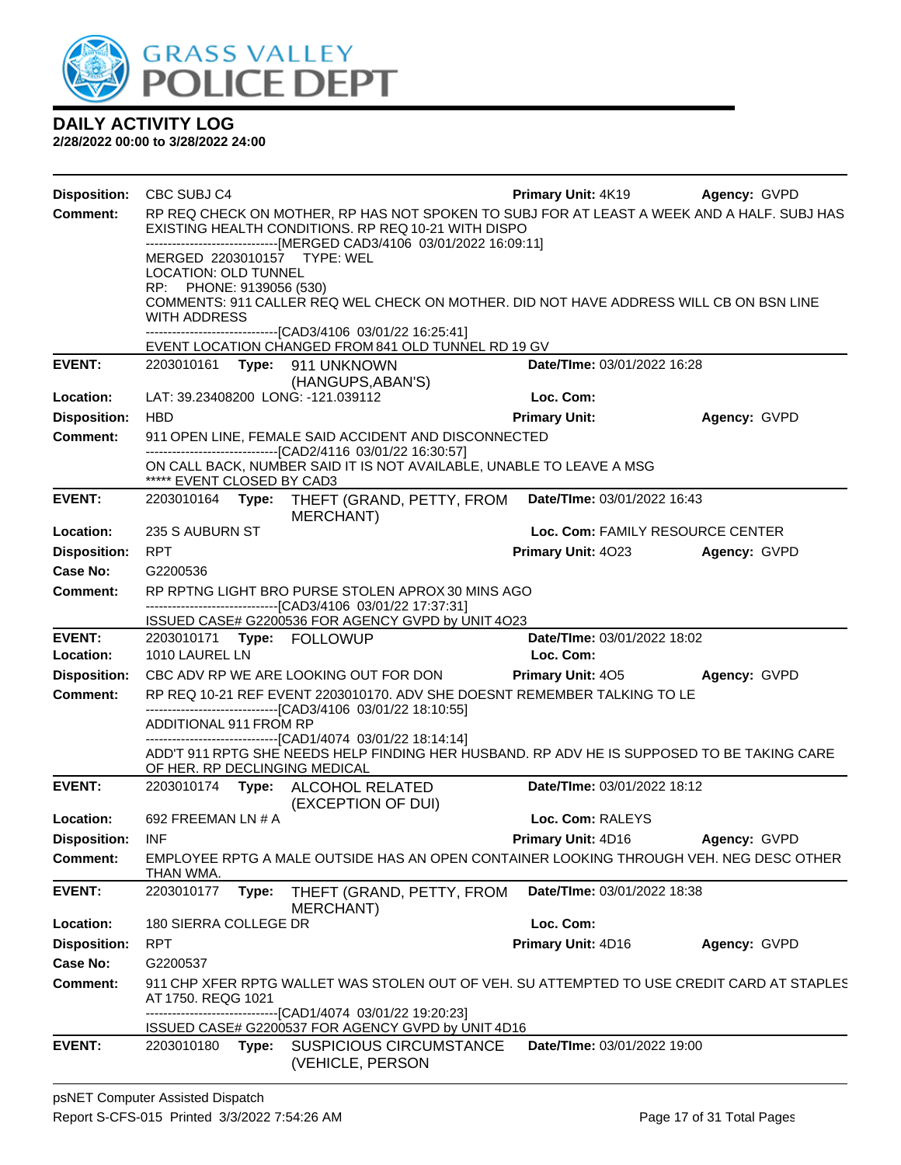

| <b>Disposition:</b> | CBC SUBJ C4                 |       |                                                                                                                                                                                                                            | <b>Primary Unit: 4K19 Agency: GVPD</b> |              |
|---------------------|-----------------------------|-------|----------------------------------------------------------------------------------------------------------------------------------------------------------------------------------------------------------------------------|----------------------------------------|--------------|
| <b>Comment:</b>     |                             |       | RP REQ CHECK ON MOTHER, RP HAS NOT SPOKEN TO SUBJ FOR AT LEAST A WEEK AND A HALF. SUBJ HAS<br>EXISTING HEALTH CONDITIONS. RP REQ 10-21 WITH DISPO<br>-------------------------------[MERGED CAD3/4106 03/01/2022 16:09:11] |                                        |              |
|                     | <b>LOCATION: OLD TUNNEL</b> |       | MERGED 2203010157 TYPE: WEL                                                                                                                                                                                                |                                        |              |
|                     | RP: PHONE: 9139056 (530)    |       |                                                                                                                                                                                                                            |                                        |              |
|                     | <b>WITH ADDRESS</b>         |       | COMMENTS: 911 CALLER REQ WEL CHECK ON MOTHER. DID NOT HAVE ADDRESS WILL CB ON BSN LINE                                                                                                                                     |                                        |              |
|                     |                             |       | ------------------------------[CAD3/4106 03/01/22 16:25:41]                                                                                                                                                                |                                        |              |
|                     |                             |       | EVENT LOCATION CHANGED FROM 841 OLD TUNNEL RD 19 GV                                                                                                                                                                        |                                        |              |
| <b>EVENT:</b>       |                             |       | 2203010161 Type: 911 UNKNOWN<br>(HANGUPS, ABAN'S)                                                                                                                                                                          | Date/TIme: 03/01/2022 16:28            |              |
| Location:           |                             |       | LAT: 39.23408200 LONG: -121.039112                                                                                                                                                                                         | Loc. Com:                              |              |
| <b>Disposition:</b> | <b>HBD</b>                  |       |                                                                                                                                                                                                                            | <b>Primary Unit:</b>                   | Agency: GVPD |
| <b>Comment:</b>     |                             |       | 911 OPEN LINE, FEMALE SAID ACCIDENT AND DISCONNECTED                                                                                                                                                                       |                                        |              |
|                     |                             |       | -------------------------------[CAD2/4116 03/01/22 16:30:57]<br>ON CALL BACK, NUMBER SAID IT IS NOT AVAILABLE, UNABLE TO LEAVE A MSG                                                                                       |                                        |              |
|                     | ***** EVENT CLOSED BY CAD3  |       |                                                                                                                                                                                                                            |                                        |              |
| <b>EVENT:</b>       |                             |       | 2203010164 Type: THEFT (GRAND, PETTY, FROM<br><b>MERCHANT</b> )                                                                                                                                                            | Date/TIme: 03/01/2022 16:43            |              |
| Location:           | 235 S AUBURN ST             |       |                                                                                                                                                                                                                            | Loc. Com: FAMILY RESOURCE CENTER       |              |
| <b>Disposition:</b> | RPT                         |       |                                                                                                                                                                                                                            | Primary Unit: 4023 Agency: GVPD        |              |
| Case No:            | G2200536                    |       |                                                                                                                                                                                                                            |                                        |              |
| Comment:            |                             |       | RP RPTNG LIGHT BRO PURSE STOLEN APROX 30 MINS AGO                                                                                                                                                                          |                                        |              |
|                     |                             |       | -------------------------------[CAD3/4106 03/01/22 17:37:31]<br>ISSUED CASE# G2200536 FOR AGENCY GVPD by UNIT 4O23                                                                                                         |                                        |              |
| <b>EVENT:</b>       |                             |       | 2203010171 Type: FOLLOWUP                                                                                                                                                                                                  | Date/TIme: 03/01/2022 18:02            |              |
| Location:           | 1010 LAUREL LN              |       |                                                                                                                                                                                                                            | Loc. Com:                              |              |
| <b>Disposition:</b> |                             |       | CBC ADV RP WE ARE LOOKING OUT FOR DON                                                                                                                                                                                      | <b>Primary Unit: 405</b>               | Agency: GVPD |
| <b>Comment:</b>     |                             |       | RP REQ 10-21 REF EVENT 2203010170. ADV SHE DOESNT REMEMBER TALKING TO LE<br>--------------------------------[CAD3/4106 03/01/22 18:10:55]                                                                                  |                                        |              |
|                     | ADDITIONAL 911 FROM RP      |       |                                                                                                                                                                                                                            |                                        |              |
|                     |                             |       |                                                                                                                                                                                                                            |                                        |              |
|                     |                             |       | ------------------------------[CAD1/4074 03/01/22 18:14:14]<br>ADD'T 911 RPTG SHE NEEDS HELP FINDING HER HUSBAND. RP ADV HE IS SUPPOSED TO BE TAKING CARE                                                                  |                                        |              |
|                     |                             |       | OF HER. RP DECLINGING MEDICAL                                                                                                                                                                                              |                                        |              |
| <b>EVENT:</b>       |                             |       | 2203010174 Type: ALCOHOL RELATED<br>(EXCEPTION OF DUI)                                                                                                                                                                     | Date/TIme: 03/01/2022 18:12            |              |
| Location:           | 692 FREEMAN LN # A          |       |                                                                                                                                                                                                                            | Loc. Com: RALEYS                       |              |
| <b>Disposition:</b> | <b>INF</b>                  |       |                                                                                                                                                                                                                            | <b>Primary Unit: 4D16</b>              | Agency: GVPD |
| Comment:            |                             |       | EMPLOYEE RPTG A MALE OUTSIDE HAS AN OPEN CONTAINER LOOKING THROUGH VEH. NEG DESC OTHER                                                                                                                                     |                                        |              |
| <b>EVENT:</b>       | THAN WMA.<br>2203010177     | Type: | THEFT (GRAND, PETTY, FROM                                                                                                                                                                                                  | Date/TIme: 03/01/2022 18:38            |              |
| Location:           | 180 SIERRA COLLEGE DR       |       | <b>MERCHANT)</b>                                                                                                                                                                                                           | Loc. Com:                              |              |
| <b>Disposition:</b> | <b>RPT</b>                  |       |                                                                                                                                                                                                                            | Primary Unit: 4D16                     | Agency: GVPD |
| Case No:            | G2200537                    |       |                                                                                                                                                                                                                            |                                        |              |
| <b>Comment:</b>     | AT 1750. REQG 1021          |       | 911 CHP XFER RPTG WALLET WAS STOLEN OUT OF VEH. SU ATTEMPTED TO USE CREDIT CARD AT STAPLES                                                                                                                                 |                                        |              |
|                     |                             |       | --------------------------[CAD1/4074_03/01/22_19:20:23]<br>ISSUED CASE# G2200537 FOR AGENCY GVPD by UNIT 4D16                                                                                                              |                                        |              |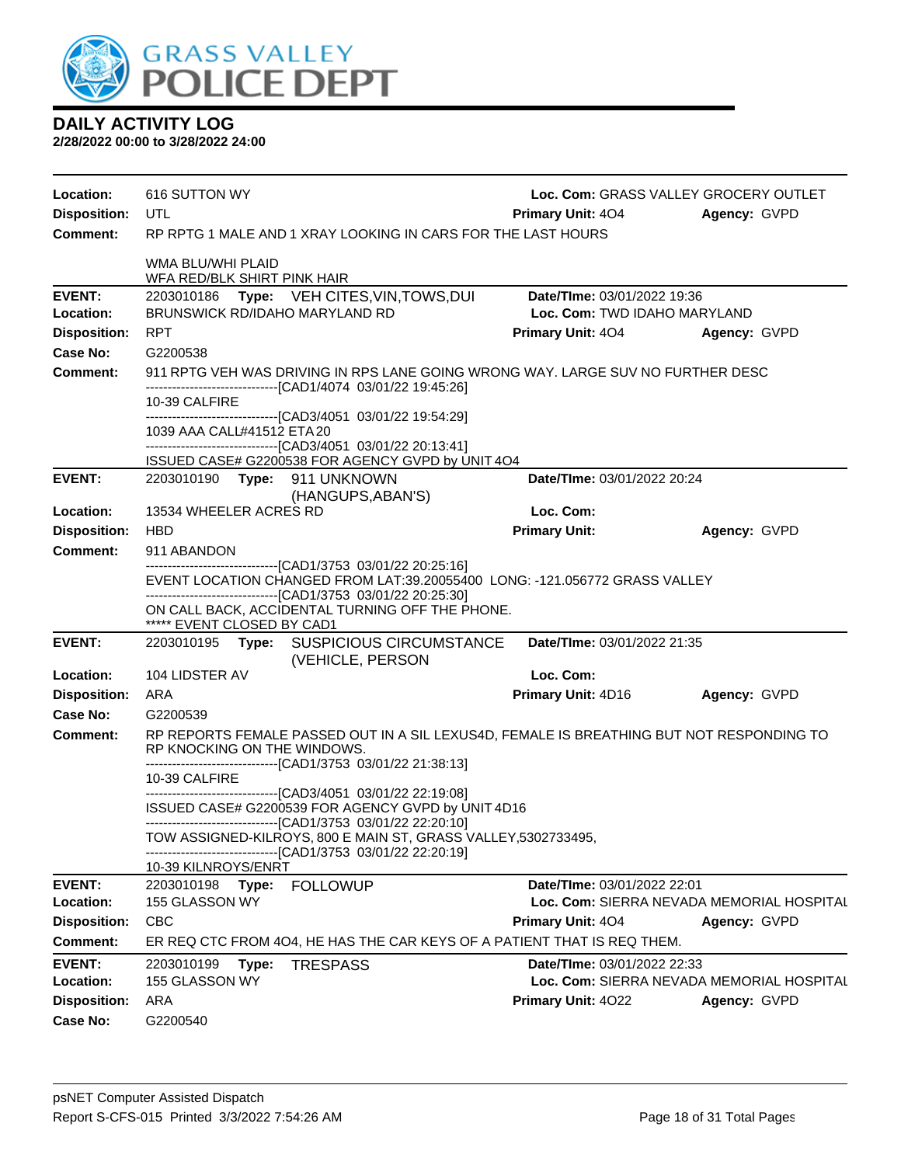

| Location:<br><b>Disposition:</b> | 616 SUTTON WY<br>UTL                                                                                                                                                                           | Loc. Com: GRASS VALLEY GROCERY OUTLET<br><b>Primary Unit: 404</b>        | Agency: GVPD |
|----------------------------------|------------------------------------------------------------------------------------------------------------------------------------------------------------------------------------------------|--------------------------------------------------------------------------|--------------|
| <b>Comment:</b>                  | RP RPTG 1 MALE AND 1 XRAY LOOKING IN CARS FOR THE LAST HOURS                                                                                                                                   |                                                                          |              |
|                                  | WMA BLU/WHI PLAID<br>WFA RED/BLK SHIRT PINK HAIR                                                                                                                                               |                                                                          |              |
| <b>EVENT:</b><br>Location:       | 2203010186 Type: VEH CITES, VIN, TOWS, DUI<br><b>BRUNSWICK RD/IDAHO MARYLAND RD</b>                                                                                                            | Date/TIme: 03/01/2022 19:36<br>Loc. Com: TWD IDAHO MARYLAND              |              |
| <b>Disposition:</b>              | <b>RPT</b>                                                                                                                                                                                     | <b>Primary Unit: 404</b>                                                 | Agency: GVPD |
| Case No:<br>Comment:             | G2200538<br>911 RPTG VEH WAS DRIVING IN RPS LANE GOING WRONG WAY. LARGE SUV NO FURTHER DESC                                                                                                    |                                                                          |              |
|                                  | -------------------------------[CAD1/4074 03/01/22 19:45:26]<br>10-39 CALFIRE<br>------------------------------[CAD3/4051_03/01/22 19:54:29]                                                   |                                                                          |              |
|                                  | 1039 AAA CALL#41512 ETA 20<br>------------------------------[CAD3/4051 03/01/22 20:13:41]                                                                                                      |                                                                          |              |
|                                  | ISSUED CASE# G2200538 FOR AGENCY GVPD by UNIT 4O4                                                                                                                                              |                                                                          |              |
| <b>EVENT:</b>                    | 2203010190 Type: 911 UNKNOWN<br>(HANGUPS, ABAN'S)                                                                                                                                              | Date/TIme: 03/01/2022 20:24                                              |              |
| Location:                        | 13534 WHEELER ACRES RD                                                                                                                                                                         | Loc. Com:                                                                |              |
| <b>Disposition:</b>              | <b>HBD</b>                                                                                                                                                                                     | <b>Primary Unit:</b>                                                     | Agency: GVPD |
| <b>Comment:</b>                  | 911 ABANDON<br>--------------------------------[CAD1/3753 03/01/22 20:25:16]                                                                                                                   |                                                                          |              |
|                                  | EVENT LOCATION CHANGED FROM LAT:39.20055400 LONG: -121.056772 GRASS VALLEY                                                                                                                     |                                                                          |              |
|                                  | -------------------------------[CAD1/3753_03/01/22_20:25:30]<br>ON CALL BACK, ACCIDENTAL TURNING OFF THE PHONE.<br>***** EVENT CLOSED BY CAD1                                                  |                                                                          |              |
| <b>EVENT:</b>                    | 2203010195<br>Type: SUSPICIOUS CIRCUMSTANCE<br>(VEHICLE, PERSON                                                                                                                                | Date/TIme: 03/01/2022 21:35                                              |              |
| Location:                        | 104 LIDSTER AV                                                                                                                                                                                 | Loc. Com:                                                                |              |
| <b>Disposition:</b>              | ARA                                                                                                                                                                                            | Primary Unit: 4D16                                                       | Agency: GVPD |
| Case No:<br><b>Comment:</b>      | G2200539<br>RP REPORTS FEMALE PASSED OUT IN A SIL LEXUS4D, FEMALE IS BREATHING BUT NOT RESPONDING TO                                                                                           |                                                                          |              |
|                                  | RP KNOCKING ON THE WINDOWS.<br>-------------------------------[CAD1/3753 03/01/22 21:38:13]                                                                                                    |                                                                          |              |
|                                  | 10-39 CALFIRE<br>--------------------------------[CAD3/4051 03/01/22 22:19:08]                                                                                                                 |                                                                          |              |
|                                  | ISSUED CASE# G2200539 FOR AGENCY GVPD by UNIT 4D16                                                                                                                                             |                                                                          |              |
|                                  | --------------------------------[CAD1/3753 03/01/22 22:20:10]<br>TOW ASSIGNED-KILROYS, 800 E MAIN ST, GRASS VALLEY,5302733495<br>--------------------------------[CAD1/3753 03/01/22 22:20:19] |                                                                          |              |
|                                  | 10-39 KILNROYS/ENRT                                                                                                                                                                            |                                                                          |              |
| <b>EVENT:</b><br>Location:       | Type:<br><b>FOLLOWUP</b><br>2203010198<br>155 GLASSON WY                                                                                                                                       | Date/TIme: 03/01/2022 22:01<br>Loc. Com: SIERRA NEVADA MEMORIAL HOSPITAL |              |
| <b>Disposition:</b>              | <b>CBC</b>                                                                                                                                                                                     | <b>Primary Unit: 404</b>                                                 | Agency: GVPD |
| <b>Comment:</b>                  | ER REQ CTC FROM 4O4, HE HAS THE CAR KEYS OF A PATIENT THAT IS REQ THEM.                                                                                                                        |                                                                          |              |
| <b>EVENT:</b><br>Location:       | 2203010199<br>Type:<br><b>TRESPASS</b><br>155 GLASSON WY                                                                                                                                       | Date/TIme: 03/01/2022 22:33<br>Loc. Com: SIERRA NEVADA MEMORIAL HOSPITAL |              |
| <b>Disposition:</b>              | ARA                                                                                                                                                                                            | Primary Unit: 4022                                                       | Agency: GVPD |
| <b>Case No:</b>                  | G2200540                                                                                                                                                                                       |                                                                          |              |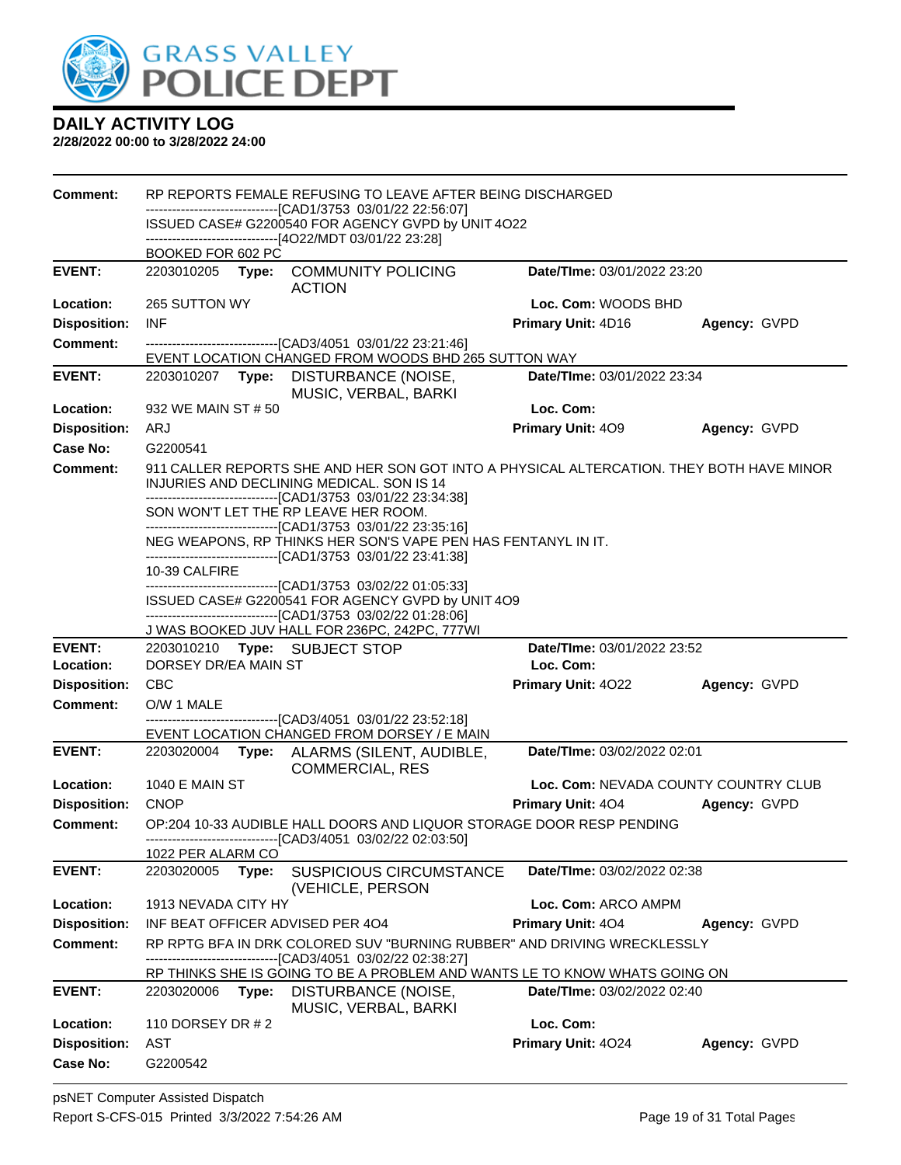

| <b>Comment:</b>     |                                  | RP REPORTS FEMALE REFUSING TO LEAVE AFTER BEING DISCHARGED                                                                                                                                            |                                      |              |
|---------------------|----------------------------------|-------------------------------------------------------------------------------------------------------------------------------------------------------------------------------------------------------|--------------------------------------|--------------|
|                     |                                  | --------------------------[CAD1/3753_03/01/22_22:56:07]<br>ISSUED CASE# G2200540 FOR AGENCY GVPD by UNIT 4O22                                                                                         |                                      |              |
|                     | BOOKED FOR 602 PC                | ------------------------------[4O22/MDT 03/01/22 23:28]                                                                                                                                               |                                      |              |
| <b>EVENT:</b>       |                                  | 2203010205 Type: COMMUNITY POLICING<br><b>ACTION</b>                                                                                                                                                  | Date/TIme: 03/01/2022 23:20          |              |
| Location:           | 265 SUTTON WY                    |                                                                                                                                                                                                       | Loc. Com: WOODS BHD                  |              |
| <b>Disposition:</b> | <b>INF</b>                       |                                                                                                                                                                                                       | Primary Unit: 4D16                   | Agency: GVPD |
| <b>Comment:</b>     |                                  | -------------------------------[CAD3/4051 03/01/22 23:21:46]<br>EVENT LOCATION CHANGED FROM WOODS BHD 265 SUTTON WAY                                                                                  |                                      |              |
| <b>EVENT:</b>       | 2203010207<br>Type:              | DISTURBANCE (NOISE,<br>MUSIC, VERBAL, BARKI                                                                                                                                                           | Date/TIme: 03/01/2022 23:34          |              |
| Location:           | 932 WE MAIN ST # 50              |                                                                                                                                                                                                       | Loc. Com:                            |              |
| <b>Disposition:</b> | ARJ                              |                                                                                                                                                                                                       | <b>Primary Unit: 409</b>             | Agency: GVPD |
| Case No:            | G2200541                         |                                                                                                                                                                                                       |                                      |              |
| <b>Comment:</b>     |                                  | 911 CALLER REPORTS SHE AND HER SON GOT INTO A PHYSICAL ALTERCATION. THEY BOTH HAVE MINOR<br>INJURIES AND DECLINING MEDICAL. SON IS 14<br>-------------------------------[CAD1/3753_03/01/22_23:34:38] |                                      |              |
|                     |                                  | SON WON'T LET THE RP LEAVE HER ROOM.                                                                                                                                                                  |                                      |              |
|                     |                                  | --------------------------------[CAD1/3753 03/01/22 23:35:16]<br>NEG WEAPONS, RP THINKS HER SON'S VAPE PEN HAS FENTANYL IN IT.                                                                        |                                      |              |
|                     |                                  | -------------------------------[CAD1/3753_03/01/22_23:41:38]                                                                                                                                          |                                      |              |
|                     | 10-39 CALFIRE                    | -------------------------------[CAD1/3753_03/02/22_01:05:33]                                                                                                                                          |                                      |              |
|                     |                                  | ISSUED CASE# G2200541 FOR AGENCY GVPD by UNIT 4O9                                                                                                                                                     |                                      |              |
|                     |                                  | -------------------------------[CAD1/3753_03/02/22_01:28:06]                                                                                                                                          |                                      |              |
| <b>EVENT:</b>       | 2203010210 Type: SUBJECT STOP    | J WAS BOOKED JUV HALL FOR 236PC, 242PC, 777WI                                                                                                                                                         | Date/TIme: 03/01/2022 23:52          |              |
| Location:           | DORSEY DR/EA MAIN ST             |                                                                                                                                                                                                       | Loc. Com:                            |              |
| <b>Disposition:</b> | <b>CBC</b>                       |                                                                                                                                                                                                       | <b>Primary Unit: 4022</b>            | Agency: GVPD |
|                     |                                  |                                                                                                                                                                                                       |                                      |              |
| <b>Comment:</b>     | O/W 1 MALE                       |                                                                                                                                                                                                       |                                      |              |
|                     |                                  | -------------------------------[CAD3/4051_03/01/22 23:52:18]                                                                                                                                          |                                      |              |
|                     |                                  | EVENT LOCATION CHANGED FROM DORSEY / E MAIN                                                                                                                                                           |                                      |              |
| <b>EVENT:</b>       |                                  | 2203020004 Type: ALARMS (SILENT, AUDIBLE,                                                                                                                                                             | Date/TIme: 03/02/2022 02:01          |              |
| Location:           | <b>1040 E MAIN ST</b>            | <b>COMMERCIAL, RES</b>                                                                                                                                                                                | Loc. Com: NEVADA COUNTY COUNTRY CLUB |              |
| <b>Disposition:</b> | <b>CNOP</b>                      |                                                                                                                                                                                                       | <b>Primary Unit: 404</b>             | Agency: GVPD |
| <b>Comment:</b>     |                                  | OP:204 10-33 AUDIBLE HALL DOORS AND LIQUOR STORAGE DOOR RESP PENDING                                                                                                                                  |                                      |              |
|                     | 1022 PER ALARM CO                | ----------[CAD3/4051 03/02/22 02:03:50]                                                                                                                                                               |                                      |              |
| <b>EVENT:</b>       | 2203020005<br>Type:              | <b>SUSPICIOUS CIRCUMSTANCE</b><br>(VEHICLE, PERSON                                                                                                                                                    | Date/TIme: 03/02/2022 02:38          |              |
| Location:           | 1913 NEVADA CITY HY              |                                                                                                                                                                                                       | Loc. Com: ARCO AMPM                  |              |
| <b>Disposition:</b> | INF BEAT OFFICER ADVISED PER 404 |                                                                                                                                                                                                       | Primary Unit: 404                    | Agency: GVPD |
| <b>Comment:</b>     |                                  | RP RPTG BFA IN DRK COLORED SUV "BURNING RUBBER" AND DRIVING WRECKLESSLY<br>--[CAD3/4051 03/02/22 02:38:27]                                                                                            |                                      |              |
|                     |                                  | RP THINKS SHE IS GOING TO BE A PROBLEM AND WANTS LE TO KNOW WHATS GOING ON                                                                                                                            |                                      |              |
| <b>EVENT:</b>       | 2203020006 Type:                 | <b>DISTURBANCE (NOISE,</b>                                                                                                                                                                            | Date/TIme: 03/02/2022 02:40          |              |
| Location:           | 110 DORSEY DR # 2                | MUSIC, VERBAL, BARKI                                                                                                                                                                                  | Loc. Com:                            |              |
| <b>Disposition:</b> | AST                              |                                                                                                                                                                                                       | Primary Unit: 4024                   | Agency: GVPD |
| <b>Case No:</b>     | G2200542                         |                                                                                                                                                                                                       |                                      |              |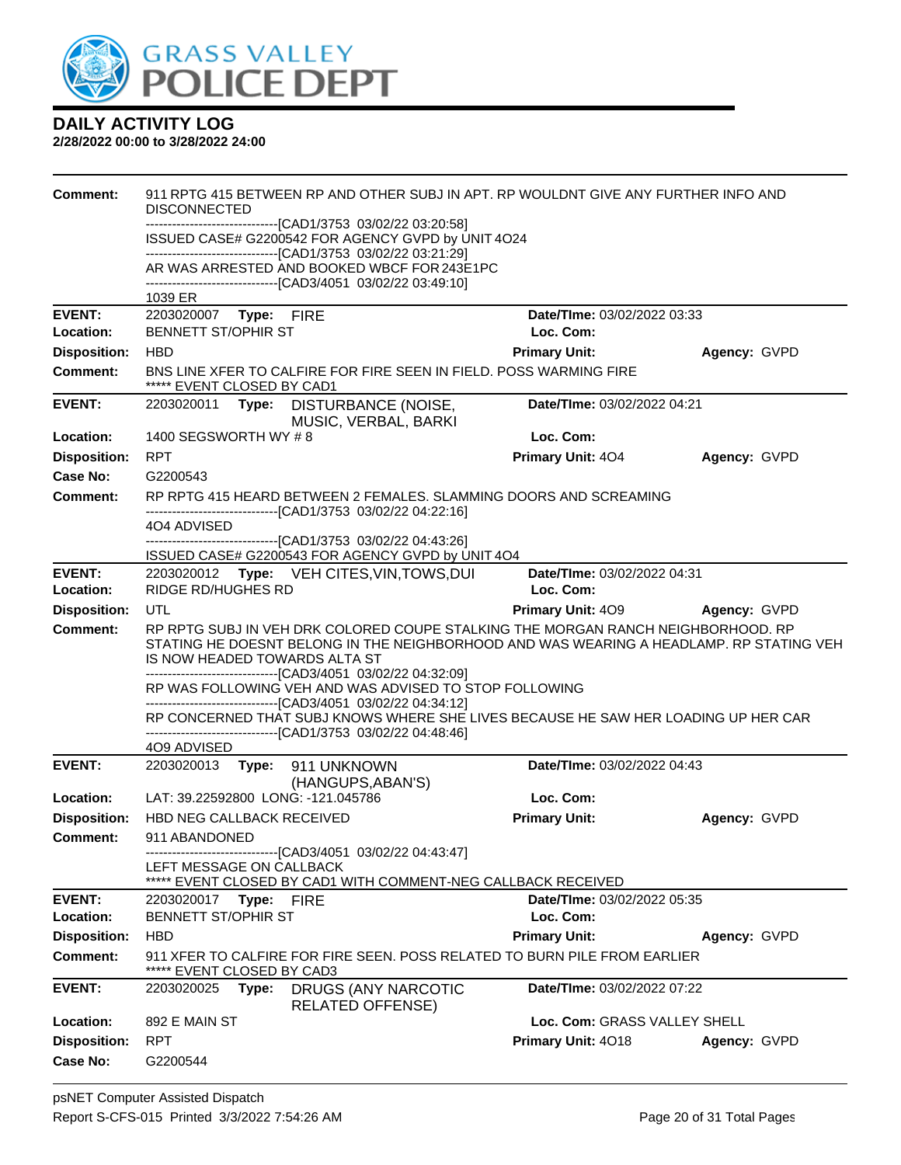

| Comment:            | 911 RPTG 415 BETWEEN RP AND OTHER SUBJ IN APT. RP WOULDNT GIVE ANY FURTHER INFO AND<br><b>DISCONNECTED</b>                                                                                                                                                                   |                              |              |
|---------------------|------------------------------------------------------------------------------------------------------------------------------------------------------------------------------------------------------------------------------------------------------------------------------|------------------------------|--------------|
|                     | -------------------------------[CAD1/3753 03/02/22 03:20:58]<br>ISSUED CASE# G2200542 FOR AGENCY GVPD by UNIT 4O24                                                                                                                                                           |                              |              |
|                     | -------------------------------[CAD1/3753 03/02/22 03:21:29]                                                                                                                                                                                                                 |                              |              |
|                     | AR WAS ARRESTED AND BOOKED WBCF FOR 243E1PC<br>-------------------------------[CAD3/4051 03/02/22 03:49:10]                                                                                                                                                                  |                              |              |
|                     | 1039 ER                                                                                                                                                                                                                                                                      |                              |              |
| <b>EVENT:</b>       | 2203020007 Type: FIRE                                                                                                                                                                                                                                                        | Date/TIme: 03/02/2022 03:33  |              |
| Location:           | <b>BENNETT ST/OPHIR ST</b>                                                                                                                                                                                                                                                   | Loc. Com:                    |              |
| <b>Disposition:</b> | <b>HBD</b>                                                                                                                                                                                                                                                                   | <b>Primary Unit:</b>         | Agency: GVPD |
| Comment:            | BNS LINE XFER TO CALFIRE FOR FIRE SEEN IN FIELD. POSS WARMING FIRE<br>***** EVENT CLOSED BY CAD1                                                                                                                                                                             |                              |              |
| <b>EVENT:</b>       | 2203020011<br>Type:<br><b>DISTURBANCE (NOISE,</b><br>MUSIC, VERBAL, BARKI                                                                                                                                                                                                    | Date/TIme: 03/02/2022 04:21  |              |
| Location:           | 1400 SEGSWORTH WY # 8                                                                                                                                                                                                                                                        | Loc. Com:                    |              |
| <b>Disposition:</b> | <b>RPT</b>                                                                                                                                                                                                                                                                   | <b>Primary Unit: 404</b>     | Agency: GVPD |
| Case No:            | G2200543                                                                                                                                                                                                                                                                     |                              |              |
| Comment:            | RP RPTG 415 HEARD BETWEEN 2 FEMALES. SLAMMING DOORS AND SCREAMING<br>----------------------[CAD1/3753_03/02/22_04:22:16]                                                                                                                                                     |                              |              |
|                     | 4O4 ADVISED                                                                                                                                                                                                                                                                  |                              |              |
|                     | ------------------------------[CAD1/3753_03/02/22_04:43:26]<br>ISSUED CASE# G2200543 FOR AGENCY GVPD by UNIT 4O4                                                                                                                                                             |                              |              |
| <b>EVENT:</b>       | 2203020012 Type: VEH CITES, VIN, TOWS, DUI                                                                                                                                                                                                                                   | Date/TIme: 03/02/2022 04:31  |              |
| Location:           | RIDGE RD/HUGHES RD                                                                                                                                                                                                                                                           | Loc. Com:                    |              |
| <b>Disposition:</b> | UTL                                                                                                                                                                                                                                                                          | Primary Unit: 409            | Agency: GVPD |
| <b>Comment:</b>     | RP RPTG SUBJ IN VEH DRK COLORED COUPE STALKING THE MORGAN RANCH NEIGHBORHOOD. RP<br>STATING HE DOESNT BELONG IN THE NEIGHBORHOOD AND WAS WEARING A HEADLAMP. RP STATING VEH<br>IS NOW HEADED TOWARDS ALTA ST<br>-------------------------------[CAD3/4051 03/02/22 04:32:09] |                              |              |
|                     | RP WAS FOLLOWING VEH AND WAS ADVISED TO STOP FOLLOWING                                                                                                                                                                                                                       |                              |              |
|                     | -------------------------------[CAD3/4051 03/02/22 04:34:12]<br>RP CONCERNED THAT SUBJ KNOWS WHERE SHE LIVES BECAUSE HE SAW HER LOADING UP HER CAR<br>------------------------------[CAD1/3753_03/02/22_04:48:46]                                                            |                              |              |
|                     | 4O9 ADVISED                                                                                                                                                                                                                                                                  |                              |              |
| <b>EVENT:</b>       | 911 UNKNOWN<br>2203020013<br>Type:<br>(HANGUPS, ABAN'S)                                                                                                                                                                                                                      | Date/TIme: 03/02/2022 04:43  |              |
| Location:           | LAT: 39.22592800 LONG: -121.045786                                                                                                                                                                                                                                           | Loc. Com:                    |              |
| <b>Disposition:</b> | <b>HBD NEG CALLBACK RECEIVED</b>                                                                                                                                                                                                                                             | <b>Primary Unit:</b>         | Agency: GVPD |
| <b>Comment:</b>     | 911 ABANDONED                                                                                                                                                                                                                                                                |                              |              |
|                     | ------------------------------[CAD3/4051_03/02/22 04:43:47]<br>LEFT MESSAGE ON CALLBACK<br>***** EVENT CLOSED BY CAD1 WITH COMMENT-NEG CALLBACK RECEIVED                                                                                                                     |                              |              |
| <b>EVENT:</b>       | 2203020017 Type: FIRE                                                                                                                                                                                                                                                        | Date/TIme: 03/02/2022 05:35  |              |
| Location:           | <b>BENNETT ST/OPHIR ST</b>                                                                                                                                                                                                                                                   | Loc. Com:                    |              |
| <b>Disposition:</b> | <b>HBD</b>                                                                                                                                                                                                                                                                   | <b>Primary Unit:</b>         | Agency: GVPD |
| <b>Comment:</b>     | 911 XFER TO CALFIRE FOR FIRE SEEN. POSS RELATED TO BURN PILE FROM EARLIER<br>EVENT CLOSED BY CAD3                                                                                                                                                                            |                              |              |
| <b>EVENT:</b>       | Type:<br>DRUGS (ANY NARCOTIC<br>2203020025<br><b>RELATED OFFENSE)</b>                                                                                                                                                                                                        | Date/TIme: 03/02/2022 07:22  |              |
| Location:           | 892 E MAIN ST                                                                                                                                                                                                                                                                | Loc. Com: GRASS VALLEY SHELL |              |
| <b>Disposition:</b> | <b>RPT</b>                                                                                                                                                                                                                                                                   | Primary Unit: 4018           | Agency: GVPD |
| <b>Case No:</b>     | G2200544                                                                                                                                                                                                                                                                     |                              |              |
|                     |                                                                                                                                                                                                                                                                              |                              |              |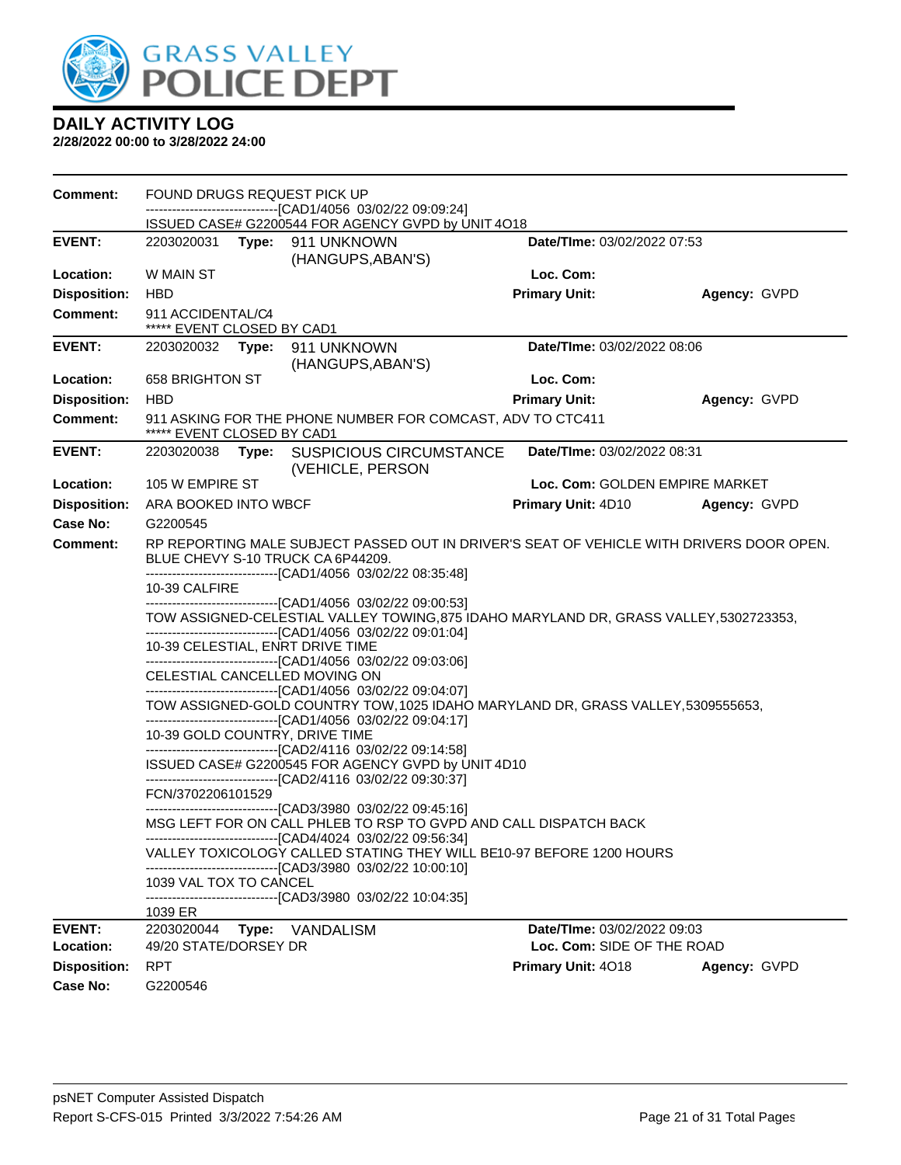

| <b>Comment:</b>     | FOUND DRUGS REQUEST PICK UP<br>-------------------------------[CAD1/4056 03/02/22 09:09:24] |       |                                                                                                                                                        |                                |              |
|---------------------|---------------------------------------------------------------------------------------------|-------|--------------------------------------------------------------------------------------------------------------------------------------------------------|--------------------------------|--------------|
|                     |                                                                                             |       | ISSUED CASE# G2200544 FOR AGENCY GVPD by UNIT 4O18                                                                                                     |                                |              |
| <b>EVENT:</b>       |                                                                                             |       | 2203020031 Type: 911 UNKNOWN<br>(HANGUPS, ABAN'S)                                                                                                      | Date/TIme: 03/02/2022 07:53    |              |
| Location:           | W MAIN ST                                                                                   |       |                                                                                                                                                        | Loc. Com:                      |              |
| <b>Disposition:</b> | <b>HBD</b>                                                                                  |       |                                                                                                                                                        | <b>Primary Unit:</b>           | Agency: GVPD |
| <b>Comment:</b>     | 911 ACCIDENTAL/C4<br>***** EVENT CLOSED BY CAD1                                             |       |                                                                                                                                                        |                                |              |
| <b>EVENT:</b>       |                                                                                             |       | 2203020032 Type: 911 UNKNOWN<br>(HANGUPS, ABAN'S)                                                                                                      | Date/TIme: 03/02/2022 08:06    |              |
| Location:           | 658 BRIGHTON ST                                                                             |       |                                                                                                                                                        | Loc. Com:                      |              |
| <b>Disposition:</b> | <b>HBD</b>                                                                                  |       |                                                                                                                                                        | <b>Primary Unit:</b>           | Agency: GVPD |
| <b>Comment:</b>     | ***** EVENT CLOSED BY CAD1                                                                  |       | 911 ASKING FOR THE PHONE NUMBER FOR COMCAST, ADV TO CTC411                                                                                             |                                |              |
| <b>EVENT:</b>       | 2203020038                                                                                  |       | Type: SUSPICIOUS CIRCUMSTANCE<br>(VEHICLE, PERSON                                                                                                      | Date/TIme: 03/02/2022 08:31    |              |
| Location:           | 105 W EMPIRE ST                                                                             |       |                                                                                                                                                        | Loc. Com: GOLDEN EMPIRE MARKET |              |
| <b>Disposition:</b> | ARA BOOKED INTO WBCF                                                                        |       |                                                                                                                                                        | Primary Unit: 4D10             | Agency: GVPD |
| Case No:            | G2200545                                                                                    |       |                                                                                                                                                        |                                |              |
| Comment:            |                                                                                             |       | RP REPORTING MALE SUBJECT PASSED OUT IN DRIVER'S SEAT OF VEHICLE WITH DRIVERS DOOR OPEN.<br>BLUE CHEVY S-10 TRUCK CA 6P44209.                          |                                |              |
|                     | 10-39 CALFIRE                                                                               |       | --------------------------------[CAD1/4056 03/02/22 08:35:48]<br>-------------------------------[CAD1/4056 03/02/22 09:00:53]                          |                                |              |
|                     |                                                                                             |       | TOW ASSIGNED-CELESTIAL VALLEY TOWING, 875 IDAHO MARYLAND DR, GRASS VALLEY, 5302723353,<br>-------------------------------[CAD1/4056 03/02/22 09:01:04] |                                |              |
|                     |                                                                                             |       | 10-39 CELESTIAL, ENRT DRIVE TIME<br>-------------------------------[CAD1/4056 03/02/22 09:03:06]                                                       |                                |              |
|                     |                                                                                             |       | CELESTIAL CANCELLED MOVING ON<br>-------------------------------[CAD1/4056 03/02/22 09:04:07]                                                          |                                |              |
|                     |                                                                                             |       | TOW ASSIGNED-GOLD COUNTRY TOW, 1025 IDAHO MARYLAND DR, GRASS VALLEY, 5309555653,<br>-------------------------------[CAD1/4056 03/02/22 09:04:17]       |                                |              |
|                     | 10-39 GOLD COUNTRY, DRIVE TIME                                                              |       | -------------------------------[CAD2/4116 03/02/22 09:14:58]                                                                                           |                                |              |
|                     |                                                                                             |       | ISSUED CASE# G2200545 FOR AGENCY GVPD by UNIT 4D10<br>-------------------------------[CAD2/4116 03/02/22 09:30:37]                                     |                                |              |
|                     | FCN/3702206101529                                                                           |       | -------------------------------[CAD3/3980_03/02/22 09:45:16]                                                                                           |                                |              |
|                     |                                                                                             |       | MSG LEFT FOR ON CALL PHLEB TO RSP TO GVPD AND CALL DISPATCH BACK<br>------------------------------[CAD4/4024_03/02/22 09:56:34]                        |                                |              |
|                     |                                                                                             |       | VALLEY TOXICOLOGY CALLED STATING THEY WILL BE10-97 BEFORE 1200 HOURS<br>--------------------------[CAD3/3980 03/02/22 10:00:10]                        |                                |              |
|                     | 1039 VAL TOX TO CANCEL                                                                      |       | -------------------------------[CAD3/3980 03/02/22 10:04:35]                                                                                           |                                |              |
|                     | 1039 ER                                                                                     |       |                                                                                                                                                        |                                |              |
| <b>EVENT:</b>       | 2203020044                                                                                  | Type: | VANDALISM                                                                                                                                              | Date/TIme: 03/02/2022 09:03    |              |
| Location:           | 49/20 STATE/DORSEY DR                                                                       |       |                                                                                                                                                        | Loc. Com: SIDE OF THE ROAD     |              |
| <b>Disposition:</b> | <b>RPT</b>                                                                                  |       |                                                                                                                                                        | Primary Unit: 4018             | Agency: GVPD |
| <b>Case No:</b>     | G2200546                                                                                    |       |                                                                                                                                                        |                                |              |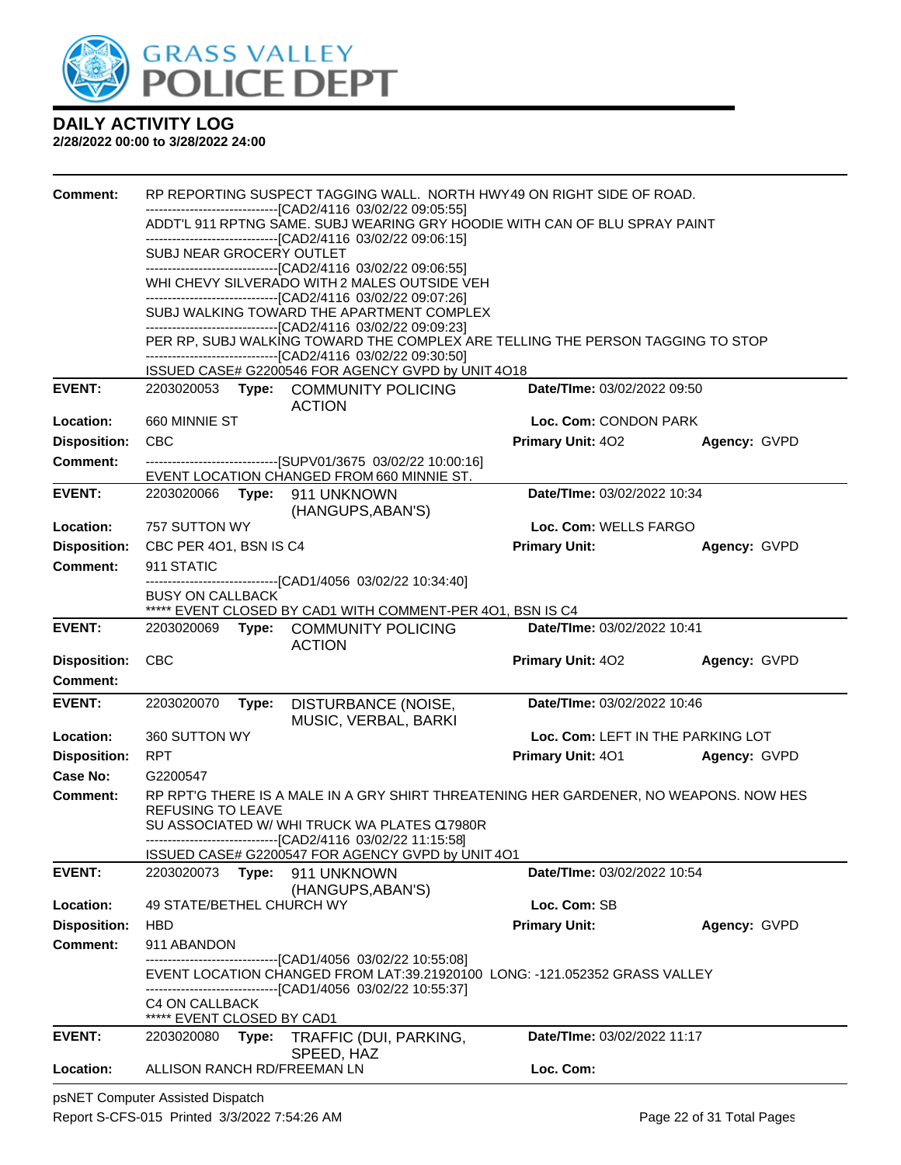

#### **2/28/2022 00:00 to 3/28/2022 24:00**

| <b>Comment:</b>                        | RP REPORTING SUSPECT TAGGING WALL. NORTH HWY49 ON RIGHT SIDE OF ROAD. |                                                                                                                                            |                                   |              |
|----------------------------------------|-----------------------------------------------------------------------|--------------------------------------------------------------------------------------------------------------------------------------------|-----------------------------------|--------------|
|                                        |                                                                       | -------------------------------[CAD2/4116 03/02/22 09:05:55]<br>ADDT'L 911 RPTNG SAME. SUBJ WEARING GRY HOODIE WITH CAN OF BLU SPRAY PAINT |                                   |              |
|                                        |                                                                       | -------------------------------[CAD2/4116 03/02/22 09:06:15]                                                                               |                                   |              |
|                                        | SUBJ NEAR GROCERY OUTLET                                              | -------------------------------[CAD2/4116_03/02/22_09:06:55]                                                                               |                                   |              |
|                                        |                                                                       | WHI CHEVY SILVERADO WITH 2 MALES OUTSIDE VEH                                                                                               |                                   |              |
|                                        |                                                                       | -------------------------------[CAD2/4116 03/02/22 09:07:26]                                                                               |                                   |              |
|                                        |                                                                       | SUBJ WALKING TOWARD THE APARTMENT COMPLEX<br>-------------------------------[CAD2/4116 03/02/22 09:09:23]                                  |                                   |              |
|                                        |                                                                       | PER RP, SUBJ WALKING TOWARD THE COMPLEX ARE TELLING THE PERSON TAGGING TO STOP                                                             |                                   |              |
|                                        |                                                                       | -------------------------------[CAD2/4116 03/02/22 09:30:50]<br>ISSUED CASE# G2200546 FOR AGENCY GVPD by UNIT 4O18                         |                                   |              |
| <b>EVENT:</b>                          |                                                                       | 2203020053 Type: COMMUNITY POLICING<br><b>ACTION</b>                                                                                       | Date/TIme: 03/02/2022 09:50       |              |
| Location:                              | 660 MINNIE ST                                                         |                                                                                                                                            | Loc. Com: CONDON PARK             |              |
| <b>Disposition:</b>                    | <b>CBC</b>                                                            |                                                                                                                                            | <b>Primary Unit: 402</b>          | Agency: GVPD |
| <b>Comment:</b>                        |                                                                       | -------------------------------[SUPV01/3675 03/02/22 10:00:16]<br>EVENT LOCATION CHANGED FROM 660 MINNIE ST.                               |                                   |              |
| <b>EVENT:</b>                          | 2203020066                                                            | Type: 911 UNKNOWN<br>(HANGUPS, ABAN'S)                                                                                                     | Date/TIme: 03/02/2022 10:34       |              |
| Location:                              | 757 SUTTON WY                                                         |                                                                                                                                            | Loc. Com: WELLS FARGO             |              |
| <b>Disposition:</b>                    | CBC PER 4O1, BSN IS C4                                                |                                                                                                                                            | <b>Primary Unit:</b>              | Agency: GVPD |
| <b>Comment:</b>                        | 911 STATIC                                                            | -------------------------------[CAD1/4056_03/02/22 10:34:40]                                                                               |                                   |              |
|                                        | <b>BUSY ON CALLBACK</b>                                               |                                                                                                                                            |                                   |              |
|                                        |                                                                       | ***** EVENT CLOSED BY CAD1 WITH COMMENT-PER 401, BSN IS C4                                                                                 |                                   |              |
| <b>EVENT:</b>                          | 2203020069                                                            | Type: COMMUNITY POLICING<br><b>ACTION</b>                                                                                                  | Date/TIme: 03/02/2022 10:41       |              |
| <b>Disposition:</b>                    | <b>CBC</b>                                                            |                                                                                                                                            | Primary Unit: 402                 | Agency: GVPD |
| <b>Comment:</b>                        |                                                                       |                                                                                                                                            |                                   |              |
| <b>EVENT:</b>                          | 2203020070                                                            | DISTURBANCE (NOISE,<br>Type:<br>MUSIC, VERBAL, BARKI                                                                                       | Date/TIme: 03/02/2022 10:46       |              |
| Location:                              | 360 SUTTON WY                                                         |                                                                                                                                            | Loc. Com: LEFT IN THE PARKING LOT |              |
| <b>Disposition:</b>                    | <b>RPT</b>                                                            |                                                                                                                                            | Primary Unit: 401                 | Agency: GVPD |
| Case No:                               | G2200547                                                              |                                                                                                                                            |                                   |              |
| <b>Comment:</b>                        | <b>REFUSING TO LEAVE</b>                                              | RP RPT'G THERE IS A MALE IN A GRY SHIRT THREATENING HER GARDENER, NO WEAPONS. NOW HES                                                      |                                   |              |
|                                        |                                                                       | SU ASSOCIATED W/ WHI TRUCK WA PLATES CI7980R                                                                                               |                                   |              |
|                                        |                                                                       | ----------------------------------[CAD2/4116 03/02/22 11:15:58]<br>ISSUED CASE# G2200547 FOR AGENCY GVPD by UNIT 4O1                       |                                   |              |
| <b>EVENT:</b>                          | 2203020073 Type:                                                      | 911 UNKNOWN                                                                                                                                | Date/TIme: 03/02/2022 10:54       |              |
|                                        |                                                                       | (HANGUPS, ABAN'S)                                                                                                                          |                                   |              |
| Location:                              | 49 STATE/BETHEL CHURCH WY                                             |                                                                                                                                            | Loc. Com: SB                      |              |
| <b>Disposition:</b><br><b>Comment:</b> | <b>HBD</b><br>911 ABANDON                                             |                                                                                                                                            | <b>Primary Unit:</b>              | Agency: GVPD |
|                                        |                                                                       | -------------------------------[CAD1/4056 03/02/22 10:55:08]                                                                               |                                   |              |
|                                        |                                                                       | EVENT LOCATION CHANGED FROM LAT:39.21920100 LONG: -121.052352 GRASS VALLEY                                                                 |                                   |              |
|                                        | C4 ON CALLBACK                                                        | -------------------------------[CAD1/4056_03/02/22 10:55:37]                                                                               |                                   |              |
|                                        | ***** EVENT CLOSED BY CAD1                                            |                                                                                                                                            |                                   |              |
| <b>EVENT:</b>                          |                                                                       | 2203020080 Type: TRAFFIC (DUI, PARKING,                                                                                                    | Date/TIme: 03/02/2022 11:17       |              |
| Location:                              |                                                                       | SPEED, HAZ<br>ALLISON RANCH RD/FREEMAN LN                                                                                                  | Loc. Com:                         |              |
|                                        |                                                                       |                                                                                                                                            |                                   |              |

psNET Computer Assisted Dispatch Report S-CFS-015 Printed 3/3/2022 7:54:26 AM Page 22 of 31 Total Pages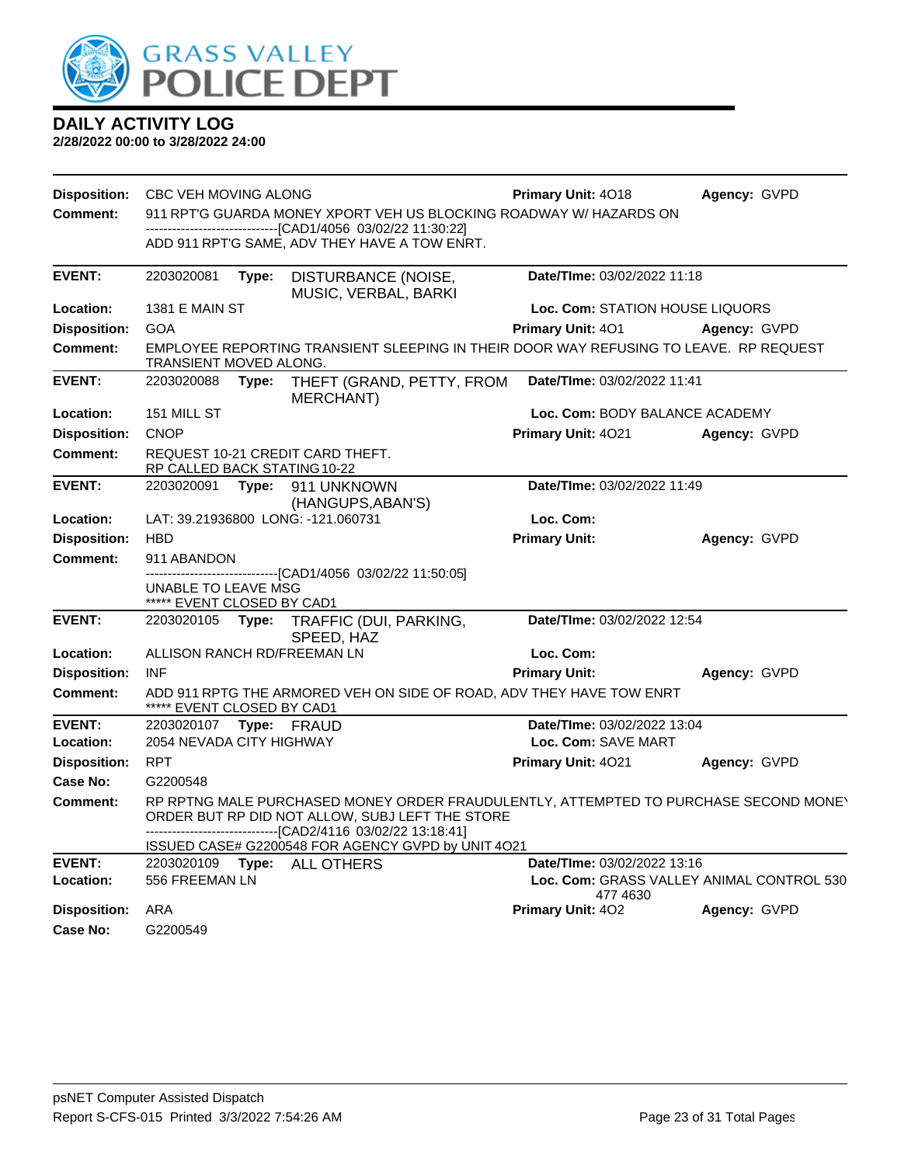

| Disposition:               | CBC VEH MOVING ALONG                              |       |                                                                                                                                                                                                           | <b>Primary Unit: 4018</b>       | Agency: GVPD                              |
|----------------------------|---------------------------------------------------|-------|-----------------------------------------------------------------------------------------------------------------------------------------------------------------------------------------------------------|---------------------------------|-------------------------------------------|
| <b>Comment:</b>            |                                                   |       | 911 RPT'G GUARDA MONEY XPORT VEH US BLOCKING ROADWAY W/ HAZARDS ON                                                                                                                                        |                                 |                                           |
|                            |                                                   |       | ---------------------------------[CAD1/4056 03/02/22 11:30:22]<br>ADD 911 RPT'G SAME, ADV THEY HAVE A TOW ENRT.                                                                                           |                                 |                                           |
| <b>EVENT:</b>              | 2203020081                                        | Type: | DISTURBANCE (NOISE,<br>MUSIC, VERBAL, BARKI                                                                                                                                                               | Date/TIme: 03/02/2022 11:18     |                                           |
| Location:                  | <b>1381 E MAIN ST</b>                             |       |                                                                                                                                                                                                           | Loc. Com: STATION HOUSE LIQUORS |                                           |
| <b>Disposition:</b>        | <b>GOA</b>                                        |       |                                                                                                                                                                                                           | Primary Unit: 401               | Agency: GVPD                              |
| Comment:                   | TRANSIENT MOVED ALONG.                            |       | EMPLOYEE REPORTING TRANSIENT SLEEPING IN THEIR DOOR WAY REFUSING TO LEAVE. RP REQUEST                                                                                                                     |                                 |                                           |
| <b>EVENT:</b>              | 2203020088 Type:                                  |       | THEFT (GRAND, PETTY, FROM<br>MERCHANT)                                                                                                                                                                    | Date/TIme: 03/02/2022 11:41     |                                           |
| Location:                  | 151 MILL ST                                       |       |                                                                                                                                                                                                           | Loc. Com: BODY BALANCE ACADEMY  |                                           |
| <b>Disposition:</b>        | <b>CNOP</b>                                       |       |                                                                                                                                                                                                           | Primary Unit: 4021              | Agency: GVPD                              |
| <b>Comment:</b>            | RP CALLED BACK STATING 10-22                      |       | REQUEST 10-21 CREDIT CARD THEFT.                                                                                                                                                                          |                                 |                                           |
| <b>EVENT:</b>              | 2203020091                                        |       | Type: 911 UNKNOWN<br>(HANGUPS, ABAN'S)                                                                                                                                                                    | Date/TIme: 03/02/2022 11:49     |                                           |
| Location:                  |                                                   |       | LAT: 39.21936800 LONG: -121.060731                                                                                                                                                                        | Loc. Com:                       |                                           |
| <b>Disposition:</b>        | <b>HBD</b>                                        |       |                                                                                                                                                                                                           | <b>Primary Unit:</b>            | Agency: GVPD                              |
| <b>Comment:</b>            | 911 ABANDON                                       |       |                                                                                                                                                                                                           |                                 |                                           |
|                            | UNABLE TO LEAVE MSG<br>***** EVENT CLOSED BY CAD1 |       | ------------------------[CAD1/4056_03/02/22_11:50:05]                                                                                                                                                     |                                 |                                           |
| <b>EVENT:</b>              |                                                   |       | 2203020105 Type: TRAFFIC (DUI, PARKING,<br>SPEED, HAZ                                                                                                                                                     | Date/TIme: 03/02/2022 12:54     |                                           |
| Location:                  |                                                   |       | ALLISON RANCH RD/FREEMAN LN                                                                                                                                                                               | Loc. Com:                       |                                           |
| <b>Disposition:</b>        | <b>INF</b>                                        |       |                                                                                                                                                                                                           | <b>Primary Unit:</b>            | Agency: GVPD                              |
| <b>Comment:</b>            | ***** EVENT CLOSED BY CAD1                        |       | ADD 911 RPTG THE ARMORED VEH ON SIDE OF ROAD, ADV THEY HAVE TOW ENRT                                                                                                                                      |                                 |                                           |
| <b>EVENT:</b>              | 2203020107                                        |       | Type: FRAUD                                                                                                                                                                                               | Date/TIme: 03/02/2022 13:04     |                                           |
| Location:                  | 2054 NEVADA CITY HIGHWAY                          |       |                                                                                                                                                                                                           | Loc. Com: SAVE MART             |                                           |
| <b>Disposition:</b>        | <b>RPT</b>                                        |       |                                                                                                                                                                                                           | Primary Unit: 4021              | Agency: GVPD                              |
| Case No:                   | G2200548                                          |       |                                                                                                                                                                                                           |                                 |                                           |
| <b>Comment:</b>            |                                                   |       | RP RPTNG MALE PURCHASED MONEY ORDER FRAUDULENTLY, ATTEMPTED TO PURCHASE SECOND MONEY<br>ORDER BUT RP DID NOT ALLOW, SUBJ LEFT THE STORE<br>---------------------------------[CAD2/4116 03/02/22 13:18:41] |                                 |                                           |
|                            |                                                   |       | ISSUED CASE# G2200548 FOR AGENCY GVPD by UNIT 4O21                                                                                                                                                        |                                 |                                           |
| <b>EVENT:</b><br>Location: | 556 FREEMAN LN                                    |       | 2203020109    Type: ALL OTHERS                                                                                                                                                                            | Date/TIme: 03/02/2022 13:16     | Loc. Com: GRASS VALLEY ANIMAL CONTROL 530 |
| <b>Disposition:</b>        | ARA                                               |       |                                                                                                                                                                                                           | 477 4630<br>Primary Unit: 402   | Agency: GVPD                              |
| Case No:                   | G2200549                                          |       |                                                                                                                                                                                                           |                                 |                                           |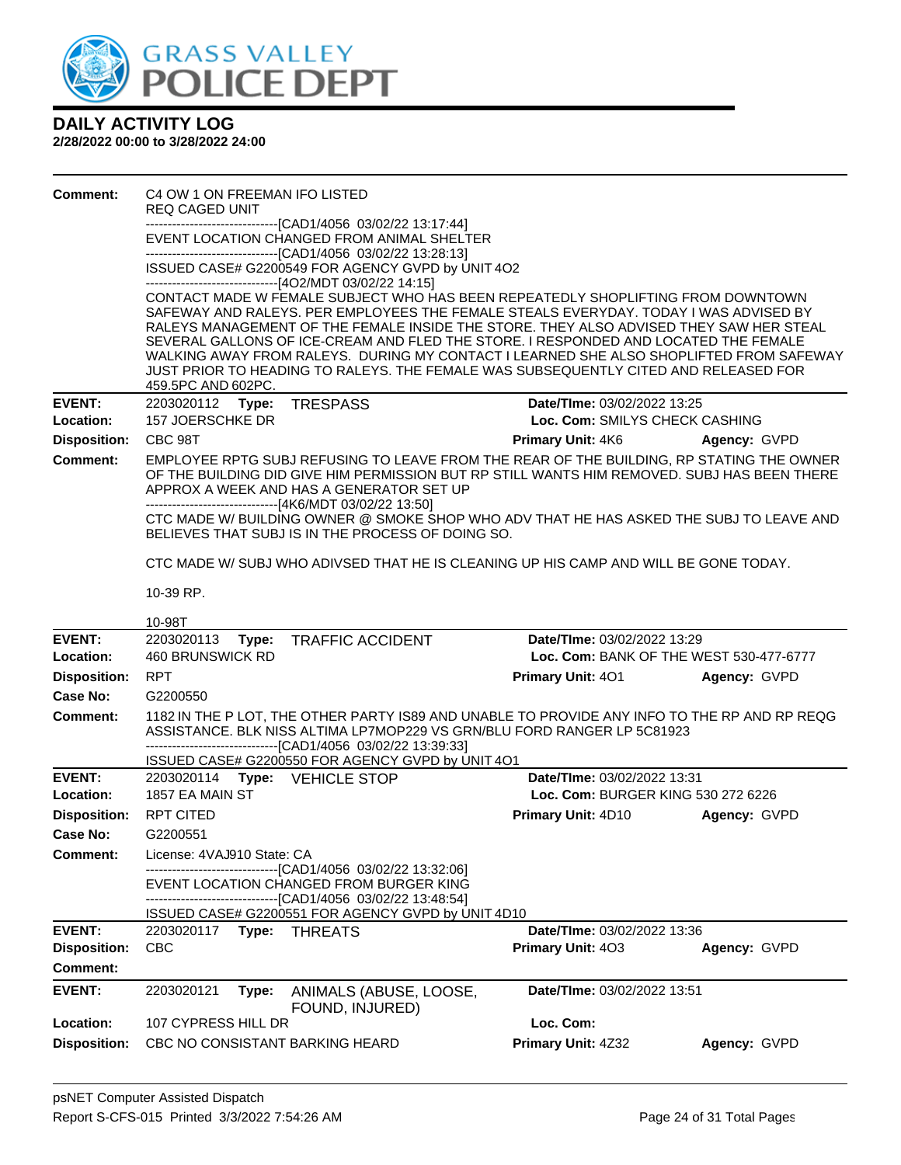

| <b>Comment:</b>            | C4 OW 1 ON FREEMAN IFO LISTED<br><b>REQ CAGED UNIT</b> |                                                                                                                                                                                                                                                                                                |                                    |                                         |
|----------------------------|--------------------------------------------------------|------------------------------------------------------------------------------------------------------------------------------------------------------------------------------------------------------------------------------------------------------------------------------------------------|------------------------------------|-----------------------------------------|
|                            |                                                        | --------------------[CAD1/4056_03/02/22 13:17:44]                                                                                                                                                                                                                                              |                                    |                                         |
|                            |                                                        | EVENT LOCATION CHANGED FROM ANIMAL SHELTER                                                                                                                                                                                                                                                     |                                    |                                         |
|                            |                                                        | -------------------------------[CAD1/4056 03/02/22 13:28:13]<br>ISSUED CASE# G2200549 FOR AGENCY GVPD by UNIT 4O2                                                                                                                                                                              |                                    |                                         |
|                            |                                                        | ------------------------------[4O2/MDT 03/02/22 14:15]<br>CONTACT MADE W FEMALE SUBJECT WHO HAS BEEN REPEATEDLY SHOPLIFTING FROM DOWNTOWN                                                                                                                                                      |                                    |                                         |
|                            |                                                        | SAFEWAY AND RALEYS. PER EMPLOYEES THE FEMALE STEALS EVERYDAY. TODAY I WAS ADVISED BY                                                                                                                                                                                                           |                                    |                                         |
|                            |                                                        | RALEYS MANAGEMENT OF THE FEMALE INSIDE THE STORE. THEY ALSO ADVISED THEY SAW HER STEAL                                                                                                                                                                                                         |                                    |                                         |
|                            |                                                        | SEVERAL GALLONS OF ICE-CREAM AND FLED THE STORE. I RESPONDED AND LOCATED THE FEMALE<br>WALKING AWAY FROM RALEYS. DURING MY CONTACT I LEARNED SHE ALSO SHOPLIFTED FROM SAFEWAY                                                                                                                  |                                    |                                         |
|                            |                                                        | JUST PRIOR TO HEADING TO RALEYS. THE FEMALE WAS SUBSEQUENTLY CITED AND RELEASED FOR                                                                                                                                                                                                            |                                    |                                         |
|                            | 459.5PC AND 602PC.                                     |                                                                                                                                                                                                                                                                                                |                                    |                                         |
| <b>EVENT:</b>              | 2203020112 Type:                                       | <b>TRESPASS</b>                                                                                                                                                                                                                                                                                | Date/TIme: 03/02/2022 13:25        |                                         |
| Location:                  | 157 JOERSCHKE DR                                       |                                                                                                                                                                                                                                                                                                | Loc. Com: SMILYS CHECK CASHING     |                                         |
| <b>Disposition:</b>        | CBC 98T                                                |                                                                                                                                                                                                                                                                                                | <b>Primary Unit: 4K6</b>           | Agency: GVPD                            |
| <b>Comment:</b>            |                                                        | EMPLOYEE RPTG SUBJ REFUSING TO LEAVE FROM THE REAR OF THE BUILDING, RP STATING THE OWNER<br>OF THE BUILDING DID GIVE HIM PERMISSION BUT RP STILL WANTS HIM REMOVED. SUBJ HAS BEEN THERE<br>APPROX A WEEK AND HAS A GENERATOR SET UP<br>-------------------------------[4K6/MDT 03/02/22 13:50] |                                    |                                         |
|                            |                                                        | CTC MADE W/ BUILDING OWNER @ SMOKE SHOP WHO ADV THAT HE HAS ASKED THE SUBJ TO LEAVE AND<br>BELIEVES THAT SUBJ IS IN THE PROCESS OF DOING SO.                                                                                                                                                   |                                    |                                         |
|                            |                                                        | CTC MADE W/SUBJ WHO ADIVSED THAT HE IS CLEANING UP HIS CAMP AND WILL BE GONE TODAY.                                                                                                                                                                                                            |                                    |                                         |
|                            | 10-39 RP.                                              |                                                                                                                                                                                                                                                                                                |                                    |                                         |
|                            | 10-98T                                                 |                                                                                                                                                                                                                                                                                                |                                    |                                         |
|                            |                                                        |                                                                                                                                                                                                                                                                                                |                                    |                                         |
| <b>EVENT:</b><br>Location: | 2203020113<br>Type:<br><b>460 BRUNSWICK RD</b>         | <b>TRAFFIC ACCIDENT</b>                                                                                                                                                                                                                                                                        | Date/TIme: 03/02/2022 13:29        | Loc. Com: BANK OF THE WEST 530-477-6777 |
| <b>Disposition:</b>        | <b>RPT</b>                                             |                                                                                                                                                                                                                                                                                                | <b>Primary Unit: 401</b>           | Agency: GVPD                            |
| Case No:                   | G2200550                                               |                                                                                                                                                                                                                                                                                                |                                    |                                         |
| Comment:                   |                                                        | 1182 IN THE P LOT, THE OTHER PARTY IS89 AND UNABLE TO PROVIDE ANY INFO TO THE RP AND RP REQG<br>ASSISTANCE. BLK NISS ALTIMA LP7MOP229 VS GRN/BLU FORD RANGER LP 5C81923<br>-------------------------------[CAD1/4056 03/02/22 13:39:33]                                                        |                                    |                                         |
|                            |                                                        | ISSUED CASE# G2200550 FOR AGENCY GVPD by UNIT 4O1                                                                                                                                                                                                                                              |                                    |                                         |
| <b>EVENT:</b>              | 2203020114 Type: VEHICLE STOP                          |                                                                                                                                                                                                                                                                                                | Date/TIme: 03/02/2022 13:31        |                                         |
| Location:                  | 1857 EA MAIN ST                                        |                                                                                                                                                                                                                                                                                                | Loc. Com: BURGER KING 530 272 6226 |                                         |
| <b>Disposition:</b>        | <b>RPT CITED</b>                                       |                                                                                                                                                                                                                                                                                                | <b>Primary Unit: 4D10</b>          | Agency: GVPD                            |
| Case No:                   | G2200551                                               |                                                                                                                                                                                                                                                                                                |                                    |                                         |
| <b>Comment:</b>            | License: 4VAJ910 State: CA                             |                                                                                                                                                                                                                                                                                                |                                    |                                         |
|                            |                                                        | -------------------[CAD1/4056_03/02/22 13:32:06]<br>EVENT LOCATION CHANGED FROM BURGER KING                                                                                                                                                                                                    |                                    |                                         |
|                            |                                                        | ----------------------------[CAD1/4056_03/02/22 13:48:54]<br>ISSUED CASE# G2200551 FOR AGENCY GVPD by UNIT 4D10                                                                                                                                                                                |                                    |                                         |
| <b>EVENT:</b>              | 2203020117                                             | Type: THREATS                                                                                                                                                                                                                                                                                  | Date/TIme: 03/02/2022 13:36        |                                         |
| <b>Disposition:</b>        | <b>CBC</b>                                             |                                                                                                                                                                                                                                                                                                | Primary Unit: 403                  | Agency: GVPD                            |
| <b>Comment:</b>            |                                                        |                                                                                                                                                                                                                                                                                                |                                    |                                         |
| <b>EVENT:</b>              | 2203020121<br>Type:                                    | ANIMALS (ABUSE, LOOSE,                                                                                                                                                                                                                                                                         | Date/TIme: 03/02/2022 13:51        |                                         |
| Location:                  | 107 CYPRESS HILL DR                                    | FOUND, INJURED)                                                                                                                                                                                                                                                                                | Loc. Com:                          |                                         |
| <b>Disposition:</b>        | CBC NO CONSISTANT BARKING HEARD                        |                                                                                                                                                                                                                                                                                                | Primary Unit: 4Z32                 | Agency: GVPD                            |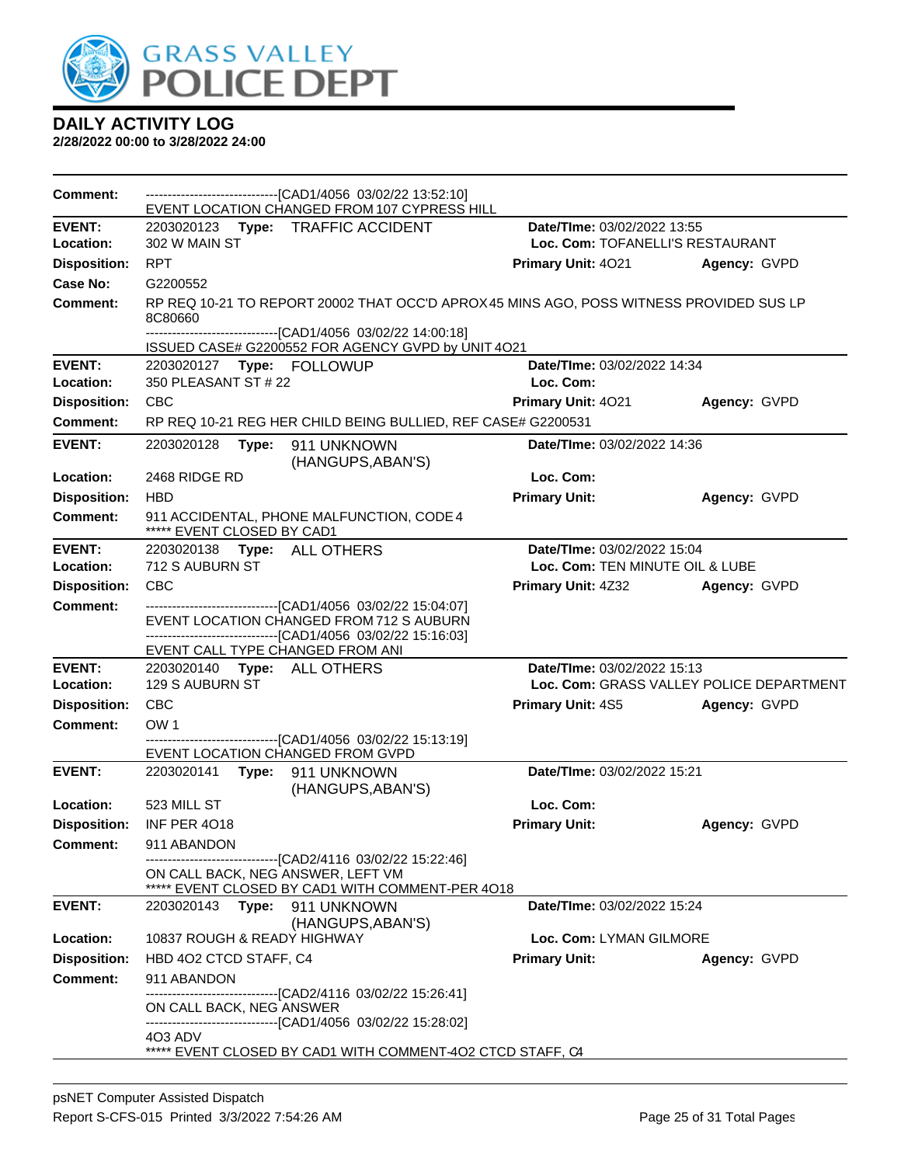

| <b>Comment:</b>     | -------------------------------[CAD1/4056 03/02/22 13:52:10]<br>EVENT LOCATION CHANGED FROM 107 CYPRESS HILL                                                 |                                  |                                          |
|---------------------|--------------------------------------------------------------------------------------------------------------------------------------------------------------|----------------------------------|------------------------------------------|
| <b>EVENT:</b>       | 2203020123 Type: TRAFFIC ACCIDENT                                                                                                                            | Date/TIme: 03/02/2022 13:55      |                                          |
| Location:           | 302 W MAIN ST                                                                                                                                                | Loc. Com: TOFANELLI'S RESTAURANT |                                          |
| <b>Disposition:</b> | <b>RPT</b>                                                                                                                                                   | <b>Primary Unit: 4021</b>        | Agency: GVPD                             |
| Case No:            | G2200552                                                                                                                                                     |                                  |                                          |
| <b>Comment:</b>     | RP REQ 10-21 TO REPORT 20002 THAT OCC'D APROX 45 MINS AGO, POSS WITNESS PROVIDED SUS LP<br>8C80660                                                           |                                  |                                          |
|                     | -------------------------------[CAD1/4056 03/02/22 14:00:18]<br>ISSUED CASE# G2200552 FOR AGENCY GVPD by UNIT 4O21                                           |                                  |                                          |
| <b>EVENT:</b>       |                                                                                                                                                              | Date/TIme: 03/02/2022 14:34      |                                          |
| Location:           | 350 PLEASANT ST # 22                                                                                                                                         | Loc. Com:                        |                                          |
| <b>Disposition:</b> | <b>CBC</b>                                                                                                                                                   | Primary Unit: 4021               | Agency: GVPD                             |
| <b>Comment:</b>     | RP REQ 10-21 REG HER CHILD BEING BULLIED, REF CASE# G2200531                                                                                                 |                                  |                                          |
| <b>EVENT:</b>       | 2203020128<br>Type: 911 UNKNOWN<br>(HANGUPS, ABAN'S)                                                                                                         | Date/TIme: 03/02/2022 14:36      |                                          |
| Location:           | 2468 RIDGE RD                                                                                                                                                | Loc. Com:                        |                                          |
| <b>Disposition:</b> | <b>HBD</b>                                                                                                                                                   | <b>Primary Unit:</b>             | Agency: GVPD                             |
| Comment:            | 911 ACCIDENTAL, PHONE MALFUNCTION, CODE 4<br>***** EVENT CLOSED BY CAD1                                                                                      |                                  |                                          |
| <b>EVENT:</b>       | 2203020138 Type: ALL OTHERS                                                                                                                                  | Date/TIme: 03/02/2022 15:04      |                                          |
| Location:           | 712 S AUBURN ST                                                                                                                                              | Loc. Com: TEN MINUTE OIL & LUBE  |                                          |
| <b>Disposition:</b> | <b>CBC</b>                                                                                                                                                   | <b>Primary Unit: 4Z32</b>        | Agency: GVPD                             |
| <b>Comment:</b>     | ---------------------------[CAD1/4056 03/02/22 15:04:07]<br>EVENT LOCATION CHANGED FROM 712 S AUBURN<br>-----------------------[CAD1/4056 03/02/22 15:16:03] |                                  |                                          |
|                     | EVENT CALL TYPE CHANGED FROM ANI                                                                                                                             |                                  |                                          |
| <b>EVENT:</b>       | 2203020140    Type: ALL OTHERS                                                                                                                               | Date/TIme: 03/02/2022 15:13      |                                          |
| Location:           | <b>129 S AUBURN ST</b>                                                                                                                                       |                                  | Loc. Com: GRASS VALLEY POLICE DEPARTMENT |
| <b>Disposition:</b> | <b>CBC</b>                                                                                                                                                   | <b>Primary Unit: 4S5</b>         | Agency: GVPD                             |
| <b>Comment:</b>     | OW <sub>1</sub>                                                                                                                                              |                                  |                                          |
|                     | -------------------------------[CAD1/4056 03/02/22 15:13:19]<br>EVENT LOCATION CHANGED FROM GVPD                                                             |                                  |                                          |
| <b>EVENT:</b>       | 2203020141 Type: 911 UNKNOWN<br>(HANGUPS, ABAN'S)                                                                                                            | Date/TIme: 03/02/2022 15:21      |                                          |
| Location:           | 523 MILL ST                                                                                                                                                  | Loc. Com:                        |                                          |
| <b>Disposition:</b> | <b>INF PER 4018</b>                                                                                                                                          | <b>Primary Unit:</b>             | Agency: GVPD                             |
| <b>Comment:</b>     | 911 ABANDON                                                                                                                                                  |                                  |                                          |
|                     | ----------------------------------[CAD2/4116 03/02/22 15:22:46]<br>ON CALL BACK, NEG ANSWER, LEFT VM<br>***** EVENT CLOSED BY CAD1 WITH COMMENT-PER 4018     |                                  |                                          |
| <b>EVENT:</b>       | 2203020143<br>Type: 911 UNKNOWN<br>(HANGUPS, ABAN'S)                                                                                                         | Date/TIme: 03/02/2022 15:24      |                                          |
| Location:           | 10837 ROUGH & READY HIGHWAY                                                                                                                                  | Loc. Com: LYMAN GILMORE          |                                          |
| <b>Disposition:</b> | HBD 402 CTCD STAFF, C4                                                                                                                                       | <b>Primary Unit:</b>             | Agency: GVPD                             |
| <b>Comment:</b>     | 911 ABANDON                                                                                                                                                  |                                  |                                          |
|                     | -------------------------[CAD2/4116_03/02/22 15:26:41]                                                                                                       |                                  |                                          |
|                     | ON CALL BACK, NEG ANSWER<br>-------------------------------[CAD1/4056 03/02/22 15:28:02]                                                                     |                                  |                                          |
|                     | 4O3 ADV<br>***** EVENT CLOSED BY CAD1 WITH COMMENT-402 CTCD STAFF, C4                                                                                        |                                  |                                          |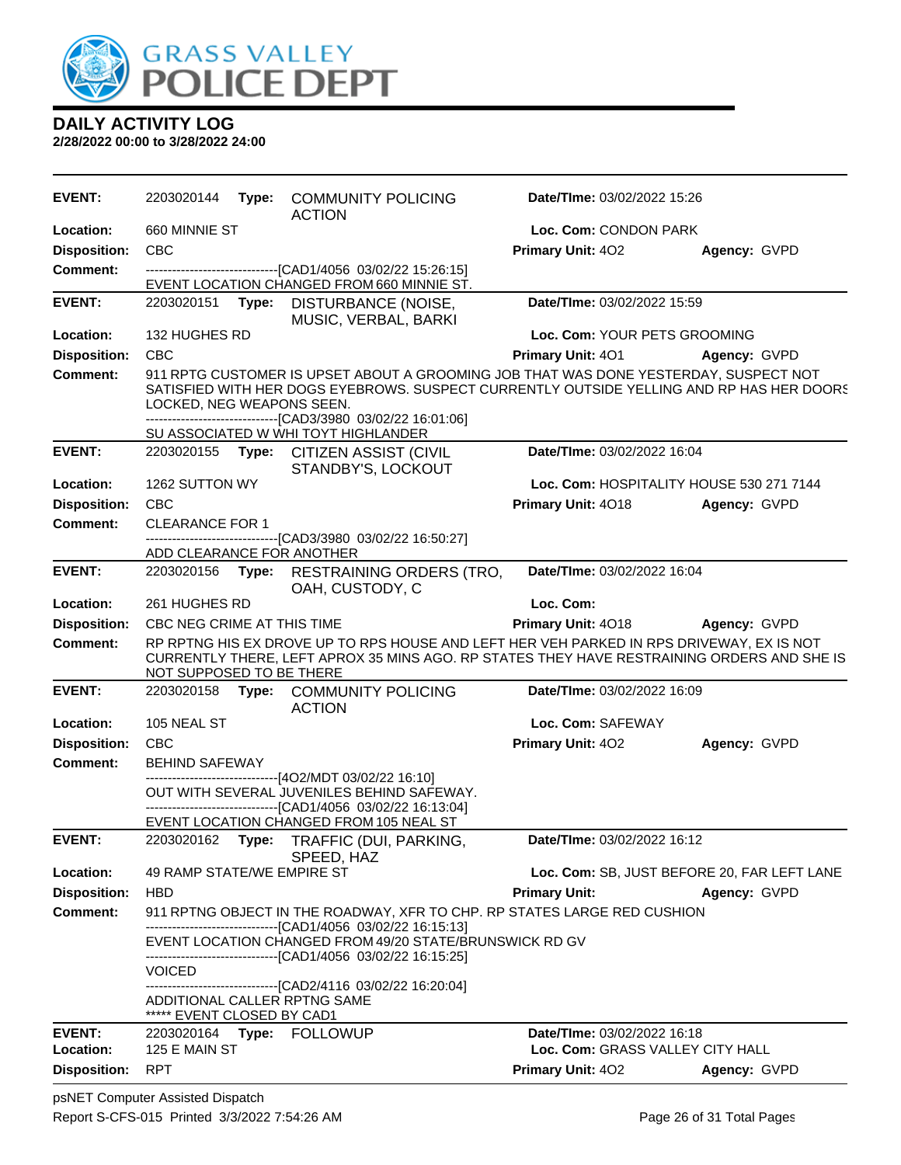

| EVENT:              | 2203020144                                                                                                                                                                                                                                                                     | Type:                                                         | <b>COMMUNITY POLICING</b><br><b>ACTION</b>                                                                                                                       | Date/TIme: 03/02/2022 15:26                 |              |  |
|---------------------|--------------------------------------------------------------------------------------------------------------------------------------------------------------------------------------------------------------------------------------------------------------------------------|---------------------------------------------------------------|------------------------------------------------------------------------------------------------------------------------------------------------------------------|---------------------------------------------|--------------|--|
| Location:           | 660 MINNIE ST                                                                                                                                                                                                                                                                  |                                                               |                                                                                                                                                                  | Loc. Com: CONDON PARK                       |              |  |
| <b>Disposition:</b> | <b>CBC</b>                                                                                                                                                                                                                                                                     |                                                               |                                                                                                                                                                  | Primary Unit: 402                           | Agency: GVPD |  |
| <b>Comment:</b>     |                                                                                                                                                                                                                                                                                |                                                               | -------------------------------[CAD1/4056 03/02/22 15:26:15]<br>EVENT LOCATION CHANGED FROM 660 MINNIE ST.                                                       |                                             |              |  |
| <b>EVENT:</b>       | 2203020151                                                                                                                                                                                                                                                                     | Type:                                                         | DISTURBANCE (NOISE,<br>MUSIC, VERBAL, BARKI                                                                                                                      | Date/TIme: 03/02/2022 15:59                 |              |  |
| Location:           | 132 HUGHES RD                                                                                                                                                                                                                                                                  |                                                               |                                                                                                                                                                  | Loc. Com: YOUR PETS GROOMING                |              |  |
| <b>Disposition:</b> | <b>CBC</b>                                                                                                                                                                                                                                                                     |                                                               |                                                                                                                                                                  | Primary Unit: 401                           | Agency: GVPD |  |
| <b>Comment:</b>     | 911 RPTG CUSTOMER IS UPSET ABOUT A GROOMING JOB THAT WAS DONE YESTERDAY, SUSPECT NOT<br>SATISFIED WITH HER DOGS EYEBROWS. SUSPECT CURRENTLY OUTSIDE YELLING AND RP HAS HER DOORS<br>LOCKED, NEG WEAPONS SEEN.<br>--------------------------------[CAD3/3980 03/02/22 16:01:06] |                                                               |                                                                                                                                                                  |                                             |              |  |
|                     |                                                                                                                                                                                                                                                                                |                                                               | SU ASSOCIATED W WHI TOYT HIGHLANDER                                                                                                                              |                                             |              |  |
| <b>EVENT:</b>       |                                                                                                                                                                                                                                                                                |                                                               | 2203020155 Type: CITIZEN ASSIST (CIVIL<br>STANDBY'S, LOCKOUT                                                                                                     | Date/TIme: 03/02/2022 16:04                 |              |  |
| Location:           | 1262 SUTTON WY                                                                                                                                                                                                                                                                 |                                                               |                                                                                                                                                                  | Loc. Com: HOSPITALITY HOUSE 530 271 7144    |              |  |
| <b>Disposition:</b> | <b>CBC</b>                                                                                                                                                                                                                                                                     |                                                               |                                                                                                                                                                  | Primary Unit: 4018                          | Agency: GVPD |  |
| <b>Comment:</b>     | <b>CLEARANCE FOR 1</b>                                                                                                                                                                                                                                                         |                                                               |                                                                                                                                                                  |                                             |              |  |
|                     | ADD CLEARANCE FOR ANOTHER                                                                                                                                                                                                                                                      |                                                               | ----------------------[CAD3/3980 03/02/22 16:50:27]                                                                                                              |                                             |              |  |
| <b>EVENT:</b>       |                                                                                                                                                                                                                                                                                |                                                               | 2203020156 Type: RESTRAINING ORDERS (TRO,<br>OAH, CUSTODY, C                                                                                                     | Date/TIme: 03/02/2022 16:04                 |              |  |
| Location:           | 261 HUGHES RD                                                                                                                                                                                                                                                                  |                                                               |                                                                                                                                                                  | Loc. Com:                                   |              |  |
| <b>Disposition:</b> | CBC NEG CRIME AT THIS TIME                                                                                                                                                                                                                                                     |                                                               |                                                                                                                                                                  | <b>Primary Unit: 4018</b>                   | Agency: GVPD |  |
| <b>Comment:</b>     | RP RPTNG HIS EX DROVE UP TO RPS HOUSE AND LEFT HER VEH PARKED IN RPS DRIVEWAY, EX IS NOT<br>CURRENTLY THERE, LEFT APROX 35 MINS AGO. RP STATES THEY HAVE RESTRAINING ORDERS AND SHE IS<br>NOT SUPPOSED TO BE THERE                                                             |                                                               |                                                                                                                                                                  |                                             |              |  |
| <b>EVENT:</b>       | 2203020158                                                                                                                                                                                                                                                                     |                                                               | Type: COMMUNITY POLICING<br><b>ACTION</b>                                                                                                                        | Date/TIme: 03/02/2022 16:09                 |              |  |
| Location:           | 105 NEAL ST                                                                                                                                                                                                                                                                    |                                                               |                                                                                                                                                                  | Loc. Com: SAFEWAY                           |              |  |
| <b>Disposition:</b> | <b>CBC</b>                                                                                                                                                                                                                                                                     |                                                               |                                                                                                                                                                  | Primary Unit: 402                           | Agency: GVPD |  |
| Comment:            | <b>BEHIND SAFEWAY</b>                                                                                                                                                                                                                                                          |                                                               |                                                                                                                                                                  |                                             |              |  |
|                     |                                                                                                                                                                                                                                                                                |                                                               | --------------------------[4O2/MDT 03/02/22 16:10]<br>OUT WITH SEVERAL JUVENILES BEHIND SAFEWAY.<br>-------------------------------[CAD1/4056 03/02/22 16:13:04] |                                             |              |  |
|                     |                                                                                                                                                                                                                                                                                |                                                               | EVENT LOCATION CHANGED FROM 105 NEAL ST                                                                                                                          |                                             |              |  |
| <b>EVENT:</b>       |                                                                                                                                                                                                                                                                                |                                                               | 2203020162 Type: TRAFFIC (DUI, PARKING,                                                                                                                          | Date/TIme: 03/02/2022 16:12                 |              |  |
| Location:           | 49 RAMP STATE/WE EMPIRE ST                                                                                                                                                                                                                                                     |                                                               | SPEED, HAZ                                                                                                                                                       | Loc. Com: SB, JUST BEFORE 20, FAR LEFT LANE |              |  |
| <b>Disposition:</b> | <b>HBD</b>                                                                                                                                                                                                                                                                     |                                                               |                                                                                                                                                                  | <b>Primary Unit:</b>                        | Agency: GVPD |  |
| Comment:            |                                                                                                                                                                                                                                                                                |                                                               | 911 RPTNG OBJECT IN THE ROADWAY, XFR TO CHP. RP STATES LARGE RED CUSHION                                                                                         |                                             |              |  |
|                     |                                                                                                                                                                                                                                                                                | --------------------------------[CAD1/4056 03/02/22 16:15:13] |                                                                                                                                                                  |                                             |              |  |
|                     |                                                                                                                                                                                                                                                                                |                                                               | EVENT LOCATION CHANGED FROM 49/20 STATE/BRUNSWICK RD GV<br>-------------------------------[CAD1/4056 03/02/22 16:15:25]                                          |                                             |              |  |
|                     | <b>VOICED</b>                                                                                                                                                                                                                                                                  |                                                               | -------------------------------[CAD2/4116 03/02/22 16:20:04]                                                                                                     |                                             |              |  |
|                     | ***** EVENT CLOSED BY CAD1                                                                                                                                                                                                                                                     |                                                               | ADDITIONAL CALLER RPTNG SAME                                                                                                                                     |                                             |              |  |
| EVENT:              |                                                                                                                                                                                                                                                                                |                                                               | 2203020164 Type: FOLLOWUP                                                                                                                                        | Date/TIme: 03/02/2022 16:18                 |              |  |
| Location:           | 125 E MAIN ST                                                                                                                                                                                                                                                                  |                                                               |                                                                                                                                                                  | Loc. Com: GRASS VALLEY CITY HALL            |              |  |
| <b>Disposition:</b> | <b>RPT</b>                                                                                                                                                                                                                                                                     |                                                               |                                                                                                                                                                  | Primary Unit: 402                           | Agency: GVPD |  |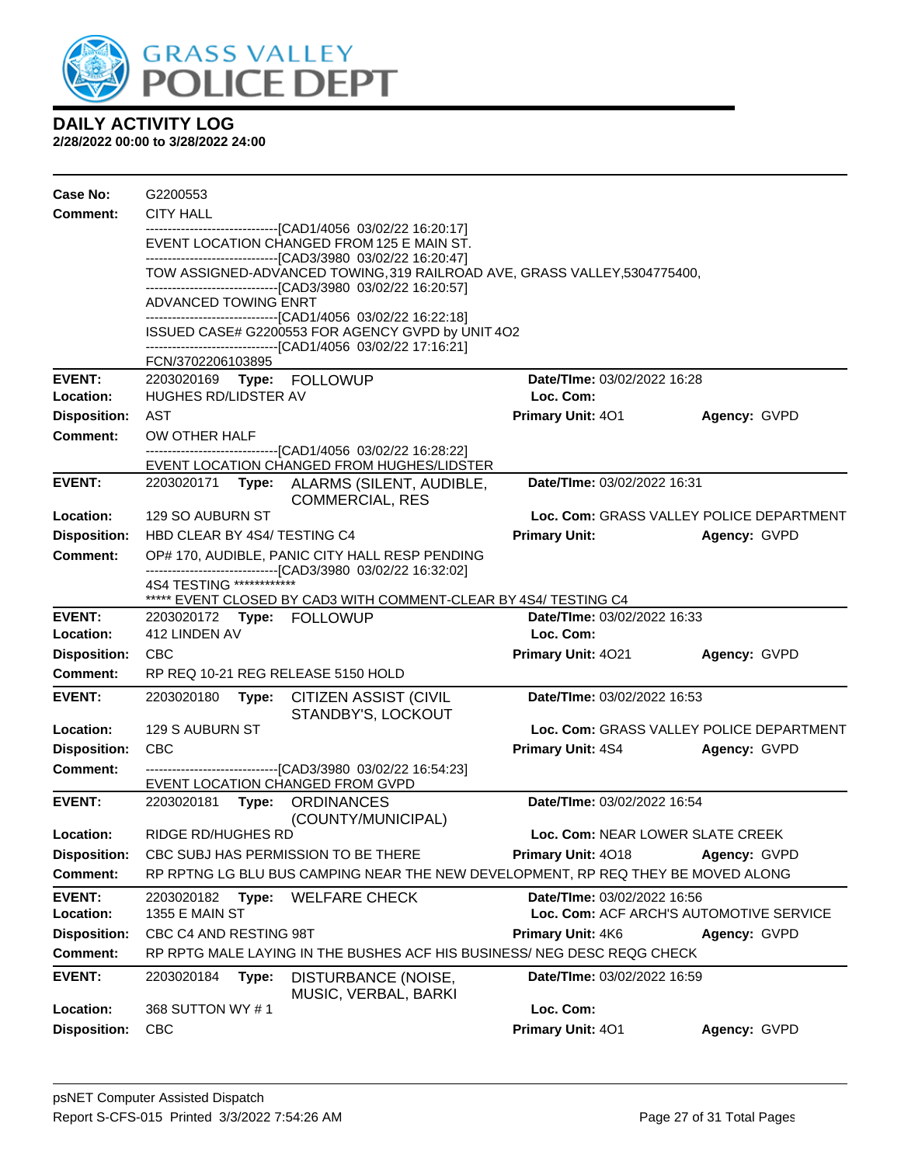

| Case No:                               | G2200553                                                                                                                     |                                                                                                                |                                                                                                                                            |                                    |                                          |  |  |
|----------------------------------------|------------------------------------------------------------------------------------------------------------------------------|----------------------------------------------------------------------------------------------------------------|--------------------------------------------------------------------------------------------------------------------------------------------|------------------------------------|------------------------------------------|--|--|
| <b>Comment:</b>                        | <b>CITY HALL</b>                                                                                                             |                                                                                                                |                                                                                                                                            |                                    |                                          |  |  |
|                                        | -------------------------------[CAD1/4056 03/02/22 16:20:17]<br>EVENT LOCATION CHANGED FROM 125 E MAIN ST.                   |                                                                                                                |                                                                                                                                            |                                    |                                          |  |  |
|                                        | -------------------------------[CAD3/3980 03/02/22 16:20:47]                                                                 |                                                                                                                |                                                                                                                                            |                                    |                                          |  |  |
|                                        |                                                                                                                              |                                                                                                                | TOW ASSIGNED-ADVANCED TOWING, 319 RAILROAD AVE, GRASS VALLEY, 5304775400,<br>--------------------------------[CAD3/3980 03/02/22 16:20:57] |                                    |                                          |  |  |
|                                        | ADVANCED TOWING ENRT                                                                                                         |                                                                                                                |                                                                                                                                            |                                    |                                          |  |  |
|                                        | --------------------------------[CAD1/4056 03/02/22 16:22:18]                                                                |                                                                                                                |                                                                                                                                            |                                    |                                          |  |  |
|                                        | ISSUED CASE# G2200553 FOR AGENCY GVPD by UNIT 4O2<br>-------------------------------[CAD1/4056 03/02/22 17:16:21]            |                                                                                                                |                                                                                                                                            |                                    |                                          |  |  |
|                                        | FCN/3702206103895                                                                                                            |                                                                                                                |                                                                                                                                            |                                    |                                          |  |  |
| EVENT:                                 |                                                                                                                              |                                                                                                                |                                                                                                                                            | <b>Date/Time: 03/02/2022 16:28</b> |                                          |  |  |
| Location:                              | HUGHES RD/LIDSTER AV<br>AST                                                                                                  |                                                                                                                |                                                                                                                                            | Loc. Com:                          |                                          |  |  |
| <b>Disposition:</b><br><b>Comment:</b> | OW OTHER HALF                                                                                                                |                                                                                                                |                                                                                                                                            | Primary Unit: 401                  | Agency: GVPD                             |  |  |
|                                        |                                                                                                                              |                                                                                                                | --------------------------------[CAD1/4056 03/02/22 16:28:22]                                                                              |                                    |                                          |  |  |
|                                        |                                                                                                                              |                                                                                                                | EVENT LOCATION CHANGED FROM HUGHES/LIDSTER                                                                                                 |                                    |                                          |  |  |
| <b>EVENT:</b>                          | Date/TIme: 03/02/2022 16:31<br>2203020171 Type: ALARMS (SILENT, AUDIBLE,<br><b>COMMERCIAL, RES</b>                           |                                                                                                                |                                                                                                                                            |                                    |                                          |  |  |
| Location:                              | 129 SO AUBURN ST                                                                                                             |                                                                                                                |                                                                                                                                            |                                    | Loc. Com: GRASS VALLEY POLICE DEPARTMENT |  |  |
| <b>Disposition:</b>                    | HBD CLEAR BY 4S4/ TESTING C4                                                                                                 |                                                                                                                |                                                                                                                                            | <b>Primary Unit:</b>               | Agency: GVPD                             |  |  |
| Comment:                               |                                                                                                                              | OP# 170, AUDIBLE, PANIC CITY HALL RESP PENDING<br>-------------------------------[CAD3/3980 03/02/22 16:32:02] |                                                                                                                                            |                                    |                                          |  |  |
|                                        | 4S4 TESTING *************                                                                                                    |                                                                                                                |                                                                                                                                            |                                    |                                          |  |  |
| EVENT:                                 | ***** EVENT CLOSED BY CAD3 WITH COMMENT-CLEAR BY 4S4/ TESTING C4<br>Date/TIme: 03/02/2022 16:33<br>2203020172 Type: FOLLOWUP |                                                                                                                |                                                                                                                                            |                                    |                                          |  |  |
| Location:                              | 412 LINDEN AV                                                                                                                |                                                                                                                |                                                                                                                                            | Loc. Com:                          |                                          |  |  |
| <b>Disposition:</b>                    | <b>CBC</b>                                                                                                                   |                                                                                                                |                                                                                                                                            | <b>Primary Unit: 4021</b>          | Agency: GVPD                             |  |  |
| Comment:                               |                                                                                                                              |                                                                                                                | RP REQ 10-21 REG RELEASE 5150 HOLD                                                                                                         |                                    |                                          |  |  |
| <b>EVENT:</b>                          | 2203020180                                                                                                                   |                                                                                                                | Type: CITIZEN ASSIST (CIVIL                                                                                                                | Date/TIme: 03/02/2022 16:53        |                                          |  |  |
|                                        |                                                                                                                              |                                                                                                                | STANDBY'S, LOCKOUT                                                                                                                         |                                    |                                          |  |  |
| Location:                              | 129 S AUBURN ST                                                                                                              |                                                                                                                |                                                                                                                                            |                                    | Loc. Com: GRASS VALLEY POLICE DEPARTMENT |  |  |
| <b>Disposition:</b>                    | <b>CBC</b>                                                                                                                   |                                                                                                                |                                                                                                                                            | <b>Primary Unit: 4S4</b>           | Agency: GVPD                             |  |  |
| <b>Comment:</b>                        |                                                                                                                              |                                                                                                                | --------------------------------[CAD3/3980 03/02/22 16:54:23]                                                                              |                                    |                                          |  |  |
| <b>EVENT:</b>                          |                                                                                                                              |                                                                                                                | EVENT LOCATION CHANGED FROM GVPD<br>2203020181    Type: ORDINANCES                                                                         | Date/TIme: 03/02/2022 16:54        |                                          |  |  |
|                                        |                                                                                                                              |                                                                                                                | (COUNTY/MUNICIPAL)                                                                                                                         |                                    |                                          |  |  |
| Location:                              | RIDGE RD/HUGHES RD                                                                                                           |                                                                                                                |                                                                                                                                            | Loc. Com: NEAR LOWER SLATE CREEK   |                                          |  |  |
| <b>Disposition:</b>                    |                                                                                                                              |                                                                                                                | CBC SUBJ HAS PERMISSION TO BE THERE                                                                                                        | Primary Unit: 4018                 | Agency: GVPD                             |  |  |
| <b>Comment:</b>                        |                                                                                                                              |                                                                                                                | RP RPTNG LG BLU BUS CAMPING NEAR THE NEW DEVELOPMENT, RP REQ THEY BE MOVED ALONG                                                           |                                    |                                          |  |  |
| <b>EVENT:</b>                          | 2203020182                                                                                                                   | Type:                                                                                                          | <b>WELFARE CHECK</b>                                                                                                                       | Date/TIme: 03/02/2022 16:56        |                                          |  |  |
| Location:                              | <b>1355 E MAIN ST</b>                                                                                                        |                                                                                                                |                                                                                                                                            |                                    | Loc. Com: ACF ARCH'S AUTOMOTIVE SERVICE  |  |  |
| <b>Disposition:</b>                    | CBC C4 AND RESTING 98T                                                                                                       |                                                                                                                |                                                                                                                                            | Primary Unit: 4K6<br>Agency: GVPD  |                                          |  |  |
| Comment:                               |                                                                                                                              |                                                                                                                | RP RPTG MALE LAYING IN THE BUSHES ACF HIS BUSINESS/ NEG DESC REQG CHECK                                                                    |                                    |                                          |  |  |
| <b>EVENT:</b>                          | 2203020184                                                                                                                   | Type:                                                                                                          | DISTURBANCE (NOISE,<br>MUSIC, VERBAL, BARKI                                                                                                | Date/TIme: 03/02/2022 16:59        |                                          |  |  |
| Location:                              | 368 SUTTON WY #1                                                                                                             |                                                                                                                |                                                                                                                                            | Loc. Com:                          |                                          |  |  |
| <b>Disposition:</b>                    | <b>CBC</b>                                                                                                                   |                                                                                                                |                                                                                                                                            | Primary Unit: 401                  | Agency: GVPD                             |  |  |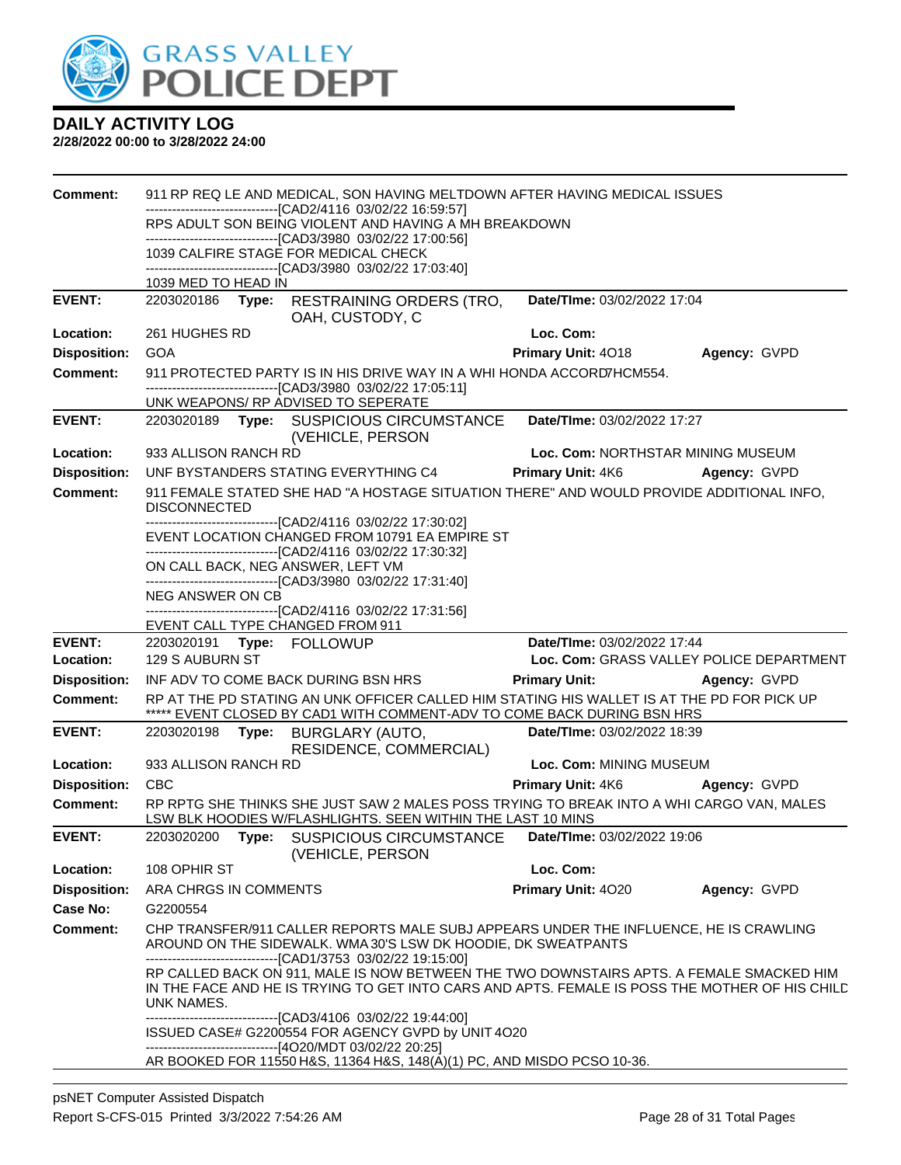

| <b>Comment:</b>     | 911 RP REQ LE AND MEDICAL, SON HAVING MELTDOWN AFTER HAVING MEDICAL ISSUES                                            |  |                                                                                                                                                                                                                         |                                   |                                          |  |  |
|---------------------|-----------------------------------------------------------------------------------------------------------------------|--|-------------------------------------------------------------------------------------------------------------------------------------------------------------------------------------------------------------------------|-----------------------------------|------------------------------------------|--|--|
|                     | -------------------------------[CAD2/4116 03/02/22 16:59:57]<br>RPS ADULT SON BEING VIOLENT AND HAVING A MH BREAKDOWN |  |                                                                                                                                                                                                                         |                                   |                                          |  |  |
|                     | -------------------------------[CAD3/3980 03/02/22 17:00:56]                                                          |  |                                                                                                                                                                                                                         |                                   |                                          |  |  |
|                     | 1039 CALFIRE STAGE FOR MEDICAL CHECK<br>-------------------------------[CAD3/3980_03/02/22 17:03:40]                  |  |                                                                                                                                                                                                                         |                                   |                                          |  |  |
|                     | 1039 MED TO HEAD IN                                                                                                   |  |                                                                                                                                                                                                                         |                                   |                                          |  |  |
| <b>EVENT:</b>       |                                                                                                                       |  | 2203020186 Type: RESTRAINING ORDERS (TRO,<br>OAH, CUSTODY, C                                                                                                                                                            | Date/TIme: 03/02/2022 17:04       |                                          |  |  |
| Location:           | 261 HUGHES RD                                                                                                         |  |                                                                                                                                                                                                                         | Loc. Com:                         |                                          |  |  |
| <b>Disposition:</b> | <b>GOA</b>                                                                                                            |  |                                                                                                                                                                                                                         | Primary Unit: 4018                | Agency: GVPD                             |  |  |
| <b>Comment:</b>     | 911 PROTECTED PARTY IS IN HIS DRIVE WAY IN A WHI HONDA ACCORD7HCM554.                                                 |  |                                                                                                                                                                                                                         |                                   |                                          |  |  |
|                     |                                                                                                                       |  | -------------------------[CAD3/3980_03/02/22 17:05:11]<br>UNK WEAPONS/ RP ADVISED TO SEPERATE                                                                                                                           |                                   |                                          |  |  |
| <b>EVENT:</b>       |                                                                                                                       |  | 2203020189 Type: SUSPICIOUS CIRCUMSTANCE<br>(VEHICLE, PERSON                                                                                                                                                            | Date/TIme: 03/02/2022 17:27       |                                          |  |  |
| Location:           | 933 ALLISON RANCH RD                                                                                                  |  |                                                                                                                                                                                                                         | Loc. Com: NORTHSTAR MINING MUSEUM |                                          |  |  |
| <b>Disposition:</b> |                                                                                                                       |  | UNF BYSTANDERS STATING EVERYTHING C4                                                                                                                                                                                    | <b>Primary Unit: 4K6</b>          | Agency: GVPD                             |  |  |
| <b>Comment:</b>     | <b>DISCONNECTED</b>                                                                                                   |  | 911 FEMALE STATED SHE HAD "A HOSTAGE SITUATION THERE" AND WOULD PROVIDE ADDITIONAL INFO.                                                                                                                                |                                   |                                          |  |  |
|                     |                                                                                                                       |  | -------------------------------[CAD2/4116 03/02/22 17:30:02]<br>EVENT LOCATION CHANGED FROM 10791 EA EMPIRE ST                                                                                                          |                                   |                                          |  |  |
|                     |                                                                                                                       |  | -------------------------------[CAD2/4116 03/02/22 17:30:32]                                                                                                                                                            |                                   |                                          |  |  |
|                     |                                                                                                                       |  | ON CALL BACK, NEG ANSWER, LEFT VM<br>-------------------------------[CAD3/3980_03/02/22 17:31:40]                                                                                                                       |                                   |                                          |  |  |
|                     | NEG ANSWER ON CB                                                                                                      |  |                                                                                                                                                                                                                         |                                   |                                          |  |  |
|                     |                                                                                                                       |  | -------------------------------[CAD2/4116 03/02/22 17:31:56]<br>EVENT CALL TYPE CHANGED FROM 911                                                                                                                        |                                   |                                          |  |  |
|                     |                                                                                                                       |  |                                                                                                                                                                                                                         |                                   |                                          |  |  |
| <b>EVENT:</b>       |                                                                                                                       |  | 2203020191 Type: FOLLOWUP                                                                                                                                                                                               | Date/TIme: 03/02/2022 17:44       |                                          |  |  |
| Location:           | 129 S AUBURN ST                                                                                                       |  |                                                                                                                                                                                                                         |                                   | Loc. Com: GRASS VALLEY POLICE DEPARTMENT |  |  |
| <b>Disposition:</b> |                                                                                                                       |  | INF ADV TO COME BACK DURING BSN HRS                                                                                                                                                                                     | <b>Primary Unit:</b>              | Agency: GVPD                             |  |  |
| <b>Comment:</b>     |                                                                                                                       |  | RP AT THE PD STATING AN UNK OFFICER CALLED HIM STATING HIS WALLET IS AT THE PD FOR PICK UP<br>***** EVENT CLOSED BY CAD1 WITH COMMENT-ADV TO COME BACK DURING BSN HRS                                                   |                                   |                                          |  |  |
| <b>EVENT:</b>       |                                                                                                                       |  | RESIDENCE, COMMERCIAL)                                                                                                                                                                                                  | Date/TIme: 03/02/2022 18:39       |                                          |  |  |
| Location:           | 933 ALLISON RANCH RD                                                                                                  |  |                                                                                                                                                                                                                         | Loc. Com: MINING MUSEUM           |                                          |  |  |
| <b>Disposition:</b> | <b>CBC</b>                                                                                                            |  |                                                                                                                                                                                                                         | <b>Primary Unit: 4K6</b>          | Agency: GVPD                             |  |  |
| <b>Comment:</b>     |                                                                                                                       |  | RP RPTG SHE THINKS SHE JUST SAW 2 MALES POSS TRYING TO BREAK INTO A WHI CARGO VAN, MALES<br>LSW BLK HOODIES W/FLASHLIGHTS. SEEN WITHIN THE LAST 10 MINS                                                                 |                                   |                                          |  |  |
| <b>EVENT:</b>       | 2203020200 Type:                                                                                                      |  | <b>SUSPICIOUS CIRCUMSTANCE</b><br>(VEHICLE, PERSON                                                                                                                                                                      | Date/TIme: 03/02/2022 19:06       |                                          |  |  |
| Location:           | 108 OPHIR ST                                                                                                          |  |                                                                                                                                                                                                                         | Loc. Com:                         |                                          |  |  |
| <b>Disposition:</b> | ARA CHRGS IN COMMENTS                                                                                                 |  |                                                                                                                                                                                                                         | Primary Unit: 4020                | Agency: GVPD                             |  |  |
| <b>Case No:</b>     | G2200554                                                                                                              |  |                                                                                                                                                                                                                         |                                   |                                          |  |  |
| <b>Comment:</b>     |                                                                                                                       |  | CHP TRANSFER/911 CALLER REPORTS MALE SUBJ APPEARS UNDER THE INFLUENCE, HE IS CRAWLING<br>AROUND ON THE SIDEWALK. WMA 30'S LSW DK HOODIE, DK SWEATPANTS<br>--------------------------------[CAD1/3753 03/02/22 19:15:00] |                                   |                                          |  |  |
|                     | UNK NAMES.                                                                                                            |  | RP CALLED BACK ON 911, MALE IS NOW BETWEEN THE TWO DOWNSTAIRS APTS. A FEMALE SMACKED HIM<br>IN THE FACE AND HE IS TRYING TO GET INTO CARS AND APTS. FEMALE IS POSS THE MOTHER OF HIS CHILD                              |                                   |                                          |  |  |
|                     |                                                                                                                       |  | -------------------------------[CAD3/4106 03/02/22 19:44:00]<br>ISSUED CASE# G2200554 FOR AGENCY GVPD by UNIT 4O20<br>-------------------------------[4O20/MDT 03/02/22 20:25]                                          |                                   |                                          |  |  |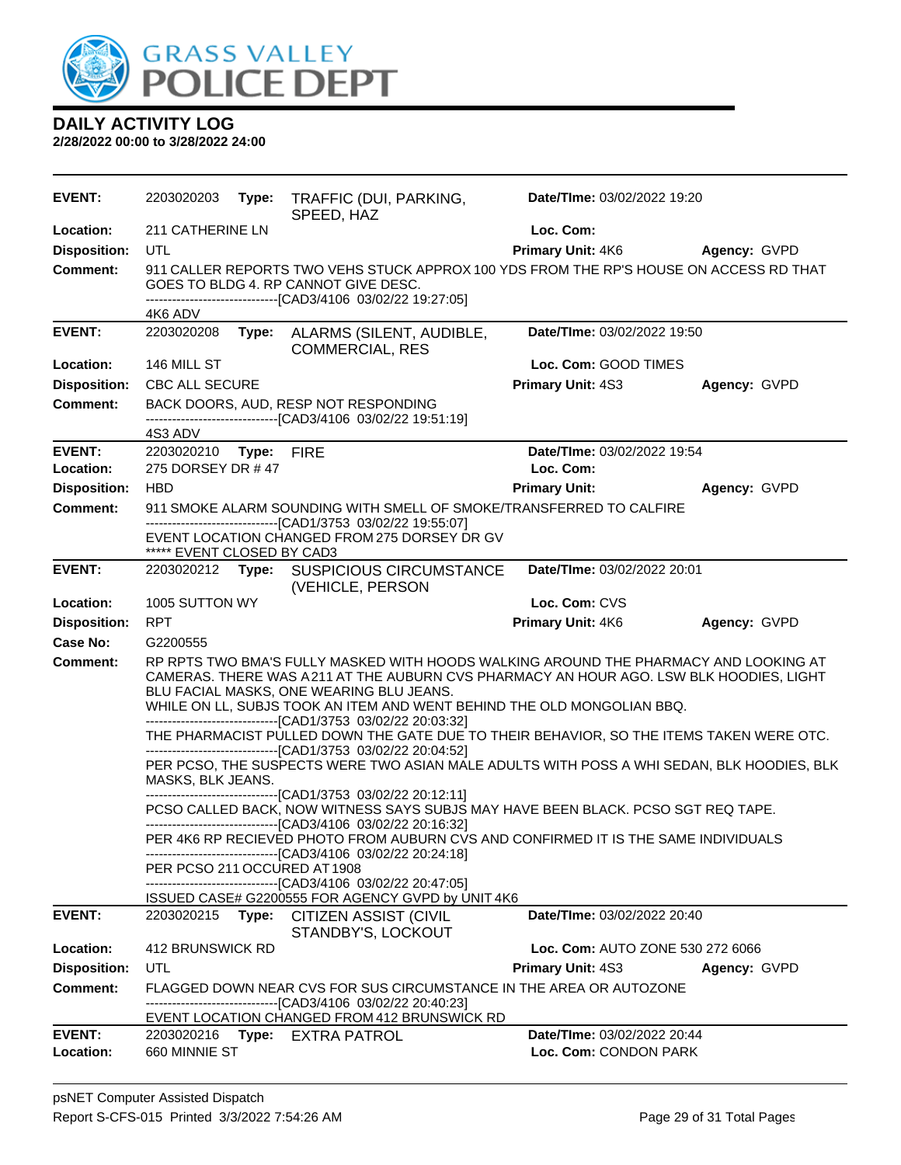

| <b>EVENT:</b>       | 2203020203                                                                                                                                                                                                                                                                                                                                                                                                                                                                                                                                              | Type:                                                                                                                                                                          | TRAFFIC (DUI, PARKING,<br>SPEED, HAZ                                                                                                               | Date/TIme: 03/02/2022 19:20                                                            |              |  |
|---------------------|---------------------------------------------------------------------------------------------------------------------------------------------------------------------------------------------------------------------------------------------------------------------------------------------------------------------------------------------------------------------------------------------------------------------------------------------------------------------------------------------------------------------------------------------------------|--------------------------------------------------------------------------------------------------------------------------------------------------------------------------------|----------------------------------------------------------------------------------------------------------------------------------------------------|----------------------------------------------------------------------------------------|--------------|--|
| Location:           | 211 CATHERINE LN                                                                                                                                                                                                                                                                                                                                                                                                                                                                                                                                        |                                                                                                                                                                                |                                                                                                                                                    | Loc. Com:                                                                              |              |  |
| <b>Disposition:</b> | <b>UTL</b>                                                                                                                                                                                                                                                                                                                                                                                                                                                                                                                                              |                                                                                                                                                                                |                                                                                                                                                    | <b>Primary Unit: 4K6</b>                                                               | Agency: GVPD |  |
| <b>Comment:</b>     |                                                                                                                                                                                                                                                                                                                                                                                                                                                                                                                                                         |                                                                                                                                                                                | GOES TO BLDG 4. RP CANNOT GIVE DESC.<br>-------------------------------[CAD3/4106 03/02/22 19:27:05]                                               | 911 CALLER REPORTS TWO VEHS STUCK APPROX 100 YDS FROM THE RP'S HOUSE ON ACCESS RD THAT |              |  |
| <b>EVENT:</b>       | 4K6 ADV<br>2203020208                                                                                                                                                                                                                                                                                                                                                                                                                                                                                                                                   |                                                                                                                                                                                |                                                                                                                                                    | Date/TIme: 03/02/2022 19:50                                                            |              |  |
|                     |                                                                                                                                                                                                                                                                                                                                                                                                                                                                                                                                                         |                                                                                                                                                                                | Type: ALARMS (SILENT, AUDIBLE,<br><b>COMMERCIAL, RES</b>                                                                                           |                                                                                        |              |  |
| Location:           | 146 MILL ST                                                                                                                                                                                                                                                                                                                                                                                                                                                                                                                                             |                                                                                                                                                                                |                                                                                                                                                    | Loc. Com: GOOD TIMES                                                                   |              |  |
| <b>Disposition:</b> | <b>CBC ALL SECURE</b>                                                                                                                                                                                                                                                                                                                                                                                                                                                                                                                                   |                                                                                                                                                                                |                                                                                                                                                    | <b>Primary Unit: 4S3</b>                                                               | Agency: GVPD |  |
| <b>Comment:</b>     |                                                                                                                                                                                                                                                                                                                                                                                                                                                                                                                                                         |                                                                                                                                                                                | BACK DOORS, AUD, RESP NOT RESPONDING<br>-------------------------------[CAD3/4106 03/02/22 19:51:19]                                               |                                                                                        |              |  |
|                     | 4S3 ADV                                                                                                                                                                                                                                                                                                                                                                                                                                                                                                                                                 |                                                                                                                                                                                |                                                                                                                                                    |                                                                                        |              |  |
| <b>EVENT:</b>       | 2203020210 Type: FIRE                                                                                                                                                                                                                                                                                                                                                                                                                                                                                                                                   |                                                                                                                                                                                |                                                                                                                                                    | Date/TIme: 03/02/2022 19:54                                                            |              |  |
| Location:           | 275 DORSEY DR #47                                                                                                                                                                                                                                                                                                                                                                                                                                                                                                                                       |                                                                                                                                                                                |                                                                                                                                                    | Loc. Com:                                                                              |              |  |
| <b>Disposition:</b> | <b>HBD</b>                                                                                                                                                                                                                                                                                                                                                                                                                                                                                                                                              |                                                                                                                                                                                |                                                                                                                                                    | <b>Primary Unit:</b>                                                                   | Agency: GVPD |  |
| <b>Comment:</b>     |                                                                                                                                                                                                                                                                                                                                                                                                                                                                                                                                                         |                                                                                                                                                                                | 911 SMOKE ALARM SOUNDING WITH SMELL OF SMOKE/TRANSFERRED TO CALFIRE<br>---------------------------------[CAD1/3753 03/02/22 19:55:07]              |                                                                                        |              |  |
|                     | ***** EVENT CLOSED BY CAD3                                                                                                                                                                                                                                                                                                                                                                                                                                                                                                                              |                                                                                                                                                                                | EVENT LOCATION CHANGED FROM 275 DORSEY DR GV                                                                                                       |                                                                                        |              |  |
| <b>EVENT:</b>       |                                                                                                                                                                                                                                                                                                                                                                                                                                                                                                                                                         |                                                                                                                                                                                | 2203020212 Type: SUSPICIOUS CIRCUMSTANCE<br>(VEHICLE, PERSON                                                                                       | Date/TIme: 03/02/2022 20:01                                                            |              |  |
| Location:           | 1005 SUTTON WY                                                                                                                                                                                                                                                                                                                                                                                                                                                                                                                                          |                                                                                                                                                                                |                                                                                                                                                    | Loc. Com: CVS                                                                          |              |  |
| <b>Disposition:</b> | <b>RPT</b>                                                                                                                                                                                                                                                                                                                                                                                                                                                                                                                                              |                                                                                                                                                                                |                                                                                                                                                    | Primary Unit: 4K6                                                                      | Agency: GVPD |  |
| Case No:            | G2200555                                                                                                                                                                                                                                                                                                                                                                                                                                                                                                                                                |                                                                                                                                                                                |                                                                                                                                                    |                                                                                        |              |  |
| <b>Comment:</b>     | BLU FACIAL MASKS, ONE WEARING BLU JEANS.<br>WHILE ON LL, SUBJS TOOK AN ITEM AND WENT BEHIND THE OLD MONGOLIAN BBQ.                                                                                                                                                                                                                                                                                                                                                                                                                                      | RP RPTS TWO BMA'S FULLY MASKED WITH HOODS WALKING AROUND THE PHARMACY AND LOOKING AT<br>CAMERAS. THERE WAS A211 AT THE AUBURN CVS PHARMACY AN HOUR AGO. LSW BLK HOODIES, LIGHT |                                                                                                                                                    |                                                                                        |              |  |
|                     | --------------------------------[CAD1/3753 03/02/22 20:03:32]<br>THE PHARMACIST PULLED DOWN THE GATE DUE TO THEIR BEHAVIOR, SO THE ITEMS TAKEN WERE OTC.<br>-------------------------------[CAD1/3753 03/02/22 20:04:52]<br>PER PCSO, THE SUSPECTS WERE TWO ASIAN MALE ADULTS WITH POSS A WHI SEDAN, BLK HOODIES, BLK<br>MASKS, BLK JEANS.<br>------------------------[CAD1/3753_03/02/22_20:12:11]<br>PCSO CALLED BACK, NOW WITNESS SAYS SUBJS MAY HAVE BEEN BLACK. PCSO SGT REQ TAPE.<br>-------------------------------[CAD3/4106 03/02/22 20:16:32] |                                                                                                                                                                                |                                                                                                                                                    |                                                                                        |              |  |
|                     |                                                                                                                                                                                                                                                                                                                                                                                                                                                                                                                                                         |                                                                                                                                                                                |                                                                                                                                                    |                                                                                        |              |  |
|                     |                                                                                                                                                                                                                                                                                                                                                                                                                                                                                                                                                         |                                                                                                                                                                                |                                                                                                                                                    |                                                                                        |              |  |
|                     | PER PCSO 211 OCCURED AT 1908                                                                                                                                                                                                                                                                                                                                                                                                                                                                                                                            |                                                                                                                                                                                | PER 4K6 RP RECIEVED PHOTO FROM AUBURN CVS AND CONFIRMED IT IS THE SAME INDIVIDUALS<br>-------------------------------[CAD3/4106 03/02/22 20:24:18] |                                                                                        |              |  |
|                     |                                                                                                                                                                                                                                                                                                                                                                                                                                                                                                                                                         |                                                                                                                                                                                | -------------------------------[CAD3/4106 03/02/22 20:47:05]                                                                                       |                                                                                        |              |  |
|                     |                                                                                                                                                                                                                                                                                                                                                                                                                                                                                                                                                         |                                                                                                                                                                                | ISSUED CASE# G2200555 FOR AGENCY GVPD by UNIT 4K6                                                                                                  |                                                                                        |              |  |
| <b>EVENT:</b>       | 2203020215                                                                                                                                                                                                                                                                                                                                                                                                                                                                                                                                              |                                                                                                                                                                                | Type: CITIZEN ASSIST (CIVIL<br>STANDBY'S, LOCKOUT                                                                                                  | <b>Date/TIme: 03/02/2022 20:40</b>                                                     |              |  |
| Location:           | 412 BRUNSWICK RD                                                                                                                                                                                                                                                                                                                                                                                                                                                                                                                                        |                                                                                                                                                                                |                                                                                                                                                    | Loc. Com: AUTO ZONE 530 272 6066                                                       |              |  |
| <b>Disposition:</b> | UTL                                                                                                                                                                                                                                                                                                                                                                                                                                                                                                                                                     |                                                                                                                                                                                |                                                                                                                                                    | <b>Primary Unit: 4S3</b>                                                               | Agency: GVPD |  |
| <b>Comment:</b>     | FLAGGED DOWN NEAR CVS FOR SUS CIRCUMSTANCE IN THE AREA OR AUTOZONE<br>-------------------------------[CAD3/4106 03/02/22 20:40:23]<br>EVENT LOCATION CHANGED FROM 412 BRUNSWICK RD                                                                                                                                                                                                                                                                                                                                                                      |                                                                                                                                                                                |                                                                                                                                                    |                                                                                        |              |  |
| <b>EVENT:</b>       | 2203020216                                                                                                                                                                                                                                                                                                                                                                                                                                                                                                                                              |                                                                                                                                                                                | Type: EXTRA PATROL                                                                                                                                 | Date/TIme: 03/02/2022 20:44                                                            |              |  |
| Location:           | 660 MINNIE ST                                                                                                                                                                                                                                                                                                                                                                                                                                                                                                                                           |                                                                                                                                                                                |                                                                                                                                                    | Loc. Com: CONDON PARK                                                                  |              |  |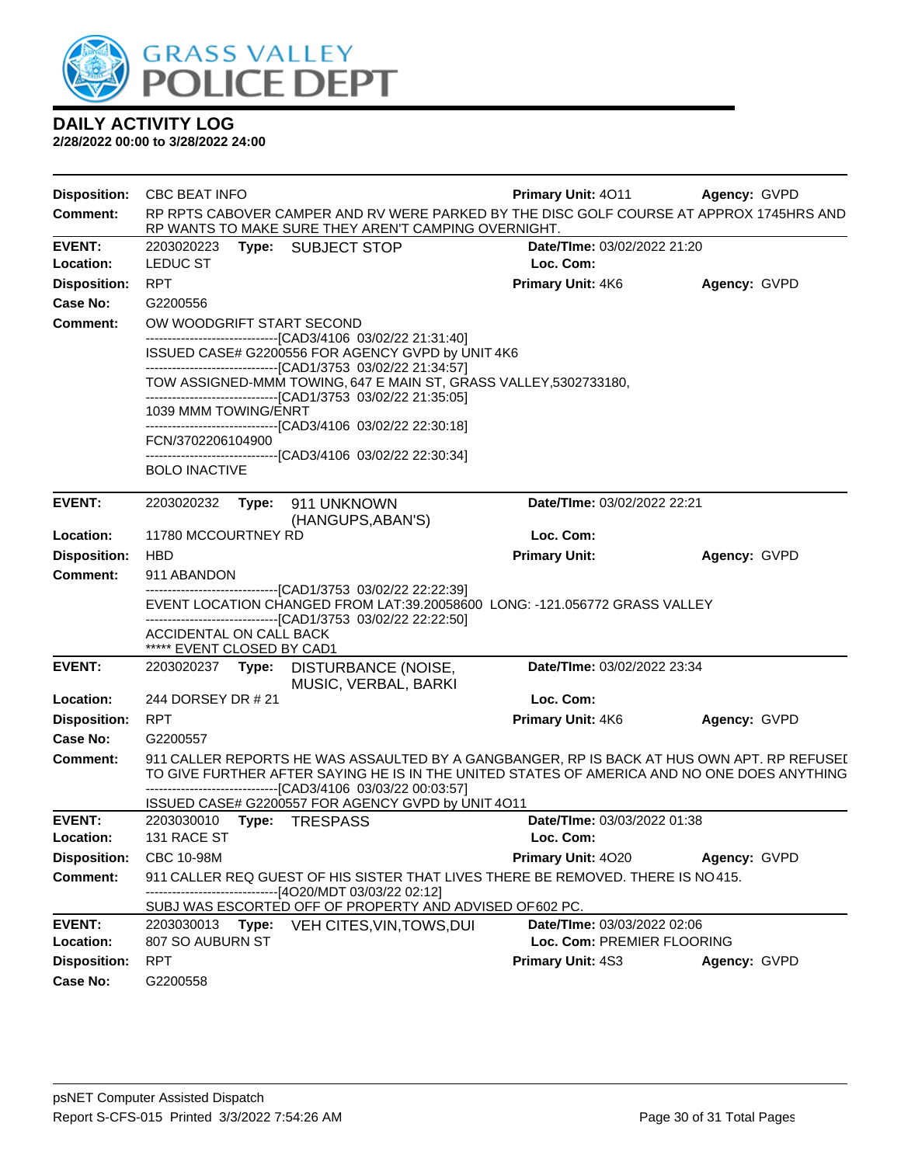

| <b>Disposition:</b>        | <b>CBC BEAT INFO</b>           |       |                                                                                                                                                                                           | <b>Primary Unit: 4011</b>                                 | <b>Agency: GVPD</b> |
|----------------------------|--------------------------------|-------|-------------------------------------------------------------------------------------------------------------------------------------------------------------------------------------------|-----------------------------------------------------------|---------------------|
| <b>Comment:</b>            |                                |       | RP RPTS CABOVER CAMPER AND RV WERE PARKED BY THE DISC GOLF COURSE AT APPROX 1745HRS AND<br>RP WANTS TO MAKE SURE THEY AREN'T CAMPING OVERNIGHT.                                           |                                                           |                     |
| <b>EVENT:</b><br>Location: | 2203020223<br><b>LEDUC ST</b>  |       | Type: SUBJECT STOP                                                                                                                                                                        | <b>Date/Time: 03/02/2022 21:20</b><br>Loc. Com:           |                     |
| <b>Disposition:</b>        | <b>RPT</b>                     |       |                                                                                                                                                                                           | Primary Unit: 4K6                                         | Agency: GVPD        |
| Case No:                   | G2200556                       |       |                                                                                                                                                                                           |                                                           |                     |
| <b>Comment:</b>            | OW WOODGRIFT START SECOND      |       |                                                                                                                                                                                           |                                                           |                     |
|                            |                                |       | --------------------------------[CAD3/4106 03/02/22 21:31:40]<br>ISSUED CASE# G2200556 FOR AGENCY GVPD by UNIT 4K6<br>----------------------------------[CAD1/3753 03/02/22 21:34:57]     |                                                           |                     |
|                            |                                |       | TOW ASSIGNED-MMM TOWING, 647 E MAIN ST, GRASS VALLEY, 5302733180,<br>--------------------------------[CAD1/3753 03/02/22 21:35:05]                                                        |                                                           |                     |
|                            | 1039 MMM TOWING/ENRT           |       | --------------------------------[CAD3/4106 03/02/22 22:30:18]                                                                                                                             |                                                           |                     |
|                            | FCN/3702206104900              |       |                                                                                                                                                                                           |                                                           |                     |
|                            | <b>BOLO INACTIVE</b>           |       | ------------------------------[CAD3/4106_03/02/22 22:30:34]                                                                                                                               |                                                           |                     |
| <b>EVENT:</b>              | 2203020232                     |       | Type: 911 UNKNOWN                                                                                                                                                                         | Date/TIme: 03/02/2022 22:21                               |                     |
|                            |                                |       | (HANGUPS, ABAN'S)                                                                                                                                                                         |                                                           |                     |
| Location:                  | 11780 MCCOURTNEY RD            |       |                                                                                                                                                                                           | Loc. Com:                                                 |                     |
| <b>Disposition:</b>        | <b>HBD</b>                     |       |                                                                                                                                                                                           | <b>Primary Unit:</b>                                      | Agency: GVPD        |
| <b>Comment:</b>            | 911 ABANDON                    |       | -------------------------------[CAD1/3753 03/02/22 22:22:39]                                                                                                                              |                                                           |                     |
|                            |                                |       | EVENT LOCATION CHANGED FROM LAT:39.20058600 LONG: -121.056772 GRASS VALLEY                                                                                                                |                                                           |                     |
|                            | ACCIDENTAL ON CALL BACK        |       | --------------------------------[CAD1/3753 03/02/22 22:22:50]                                                                                                                             |                                                           |                     |
|                            | ***** EVENT CLOSED BY CAD1     |       |                                                                                                                                                                                           |                                                           |                     |
| <b>EVENT:</b>              |                                |       | 2203020237 Type: DISTURBANCE (NOISE,<br>MUSIC, VERBAL, BARKI                                                                                                                              | Date/TIme: 03/02/2022 23:34                               |                     |
| Location:                  | 244 DORSEY DR # 21             |       |                                                                                                                                                                                           | Loc. Com:                                                 |                     |
| <b>Disposition:</b>        | <b>RPT</b>                     |       |                                                                                                                                                                                           | Primary Unit: 4K6                                         | Agency: GVPD        |
| Case No:                   | G2200557                       |       |                                                                                                                                                                                           |                                                           |                     |
| <b>Comment:</b>            |                                |       | 911 CALLER REPORTS HE WAS ASSAULTED BY A GANGBANGER, RP IS BACK AT HUS OWN APT. RP REFUSEI<br>TO GIVE FURTHER AFTER SAYING HE IS IN THE UNITED STATES OF AMERICA AND NO ONE DOES ANYTHING |                                                           |                     |
|                            |                                |       | -------------------------------[CAD3/4106 03/03/22 00:03:57]<br>ISSUED CASE# G2200557 FOR AGENCY GVPD by UNIT 4O11                                                                        |                                                           |                     |
| <b>EVENT:</b>              |                                |       |                                                                                                                                                                                           |                                                           |                     |
| Location:                  | 2203030010 Type: TRESPASS      |       |                                                                                                                                                                                           | Date/TIme: 03/03/2022 01:38                               |                     |
|                            | 131 RACE ST                    |       |                                                                                                                                                                                           | Loc. Com:                                                 |                     |
| <b>Disposition:</b>        | CBC 10-98M                     |       |                                                                                                                                                                                           | <b>Primary Unit: 4020</b>                                 | Agency: GVPD        |
| <b>Comment:</b>            |                                |       | 911 CALLER REQ GUEST OF HIS SISTER THAT LIVES THERE BE REMOVED. THERE IS NO415.                                                                                                           |                                                           |                     |
|                            |                                |       | ------------------------------[4O20/MDT 03/03/22 02:12]<br>SUBJ WAS ESCORTED OFF OF PROPERTY AND ADVISED OF602 PC.                                                                        |                                                           |                     |
| <b>EVENT:</b><br>Location: | 2203030013<br>807 SO AUBURN ST | Type: | VEH CITES, VIN, TOWS, DUI                                                                                                                                                                 | Date/TIme: 03/03/2022 02:06<br>Loc. Com: PREMIER FLOORING |                     |
| <b>Disposition:</b>        | <b>RPT</b>                     |       |                                                                                                                                                                                           | <b>Primary Unit: 4S3</b>                                  | Agency: GVPD        |